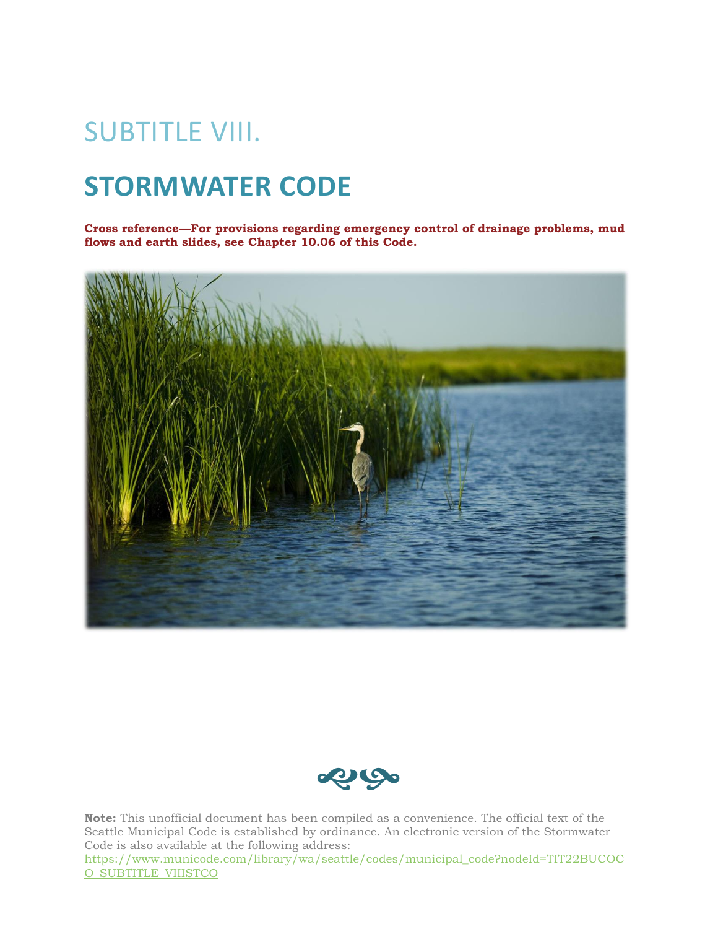# SUBTITLE VIII.

# **STORMWATER CODE**

**Cross reference—For provisions regarding emergency control of drainage problems, mud flows and earth slides, see Chapter 10.06 of this Code.**





**Note:** This unofficial document has been compiled as a convenience. The official text of the Seattle Municipal Code is established by ordinance. An electronic version of the Stormwater Code is also available at the following address:

[https://www.municode.com/library/wa/seattle/codes/municipal\\_code?nodeId=TIT22BUCOC](https://www.municode.com/library/wa/seattle/codes/municipal_code?nodeId=TIT22BUCOCO_SUBTITLE_VIIISTCO) [O\\_SUBTITLE\\_VIIISTCO](https://www.municode.com/library/wa/seattle/codes/municipal_code?nodeId=TIT22BUCOCO_SUBTITLE_VIIISTCO)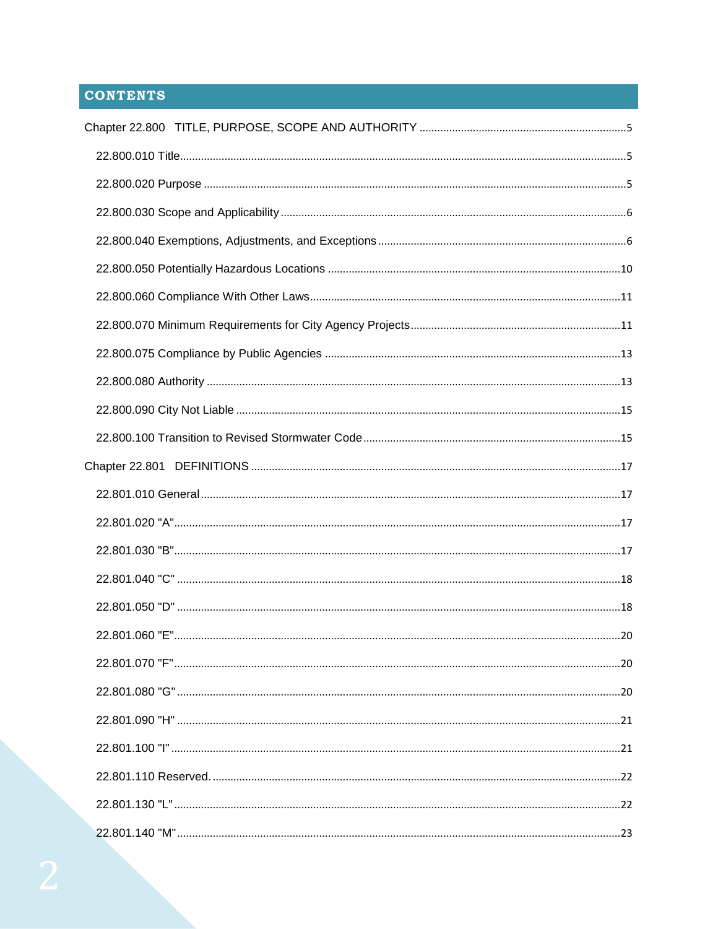# **CONTENTS**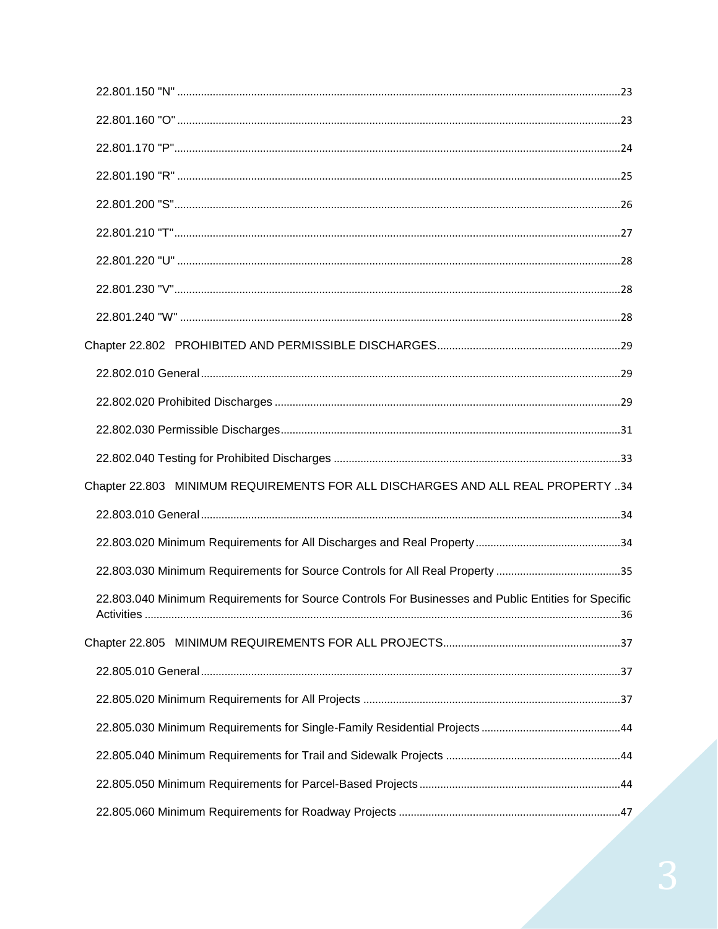| Chapter 22.803 MINIMUM REQUIREMENTS FOR ALL DISCHARGES AND ALL REAL PROPERTY 34                     |  |
|-----------------------------------------------------------------------------------------------------|--|
|                                                                                                     |  |
|                                                                                                     |  |
|                                                                                                     |  |
| 22.803.040 Minimum Requirements for Source Controls For Businesses and Public Entities for Specific |  |
|                                                                                                     |  |
|                                                                                                     |  |
|                                                                                                     |  |
|                                                                                                     |  |
|                                                                                                     |  |
|                                                                                                     |  |
|                                                                                                     |  |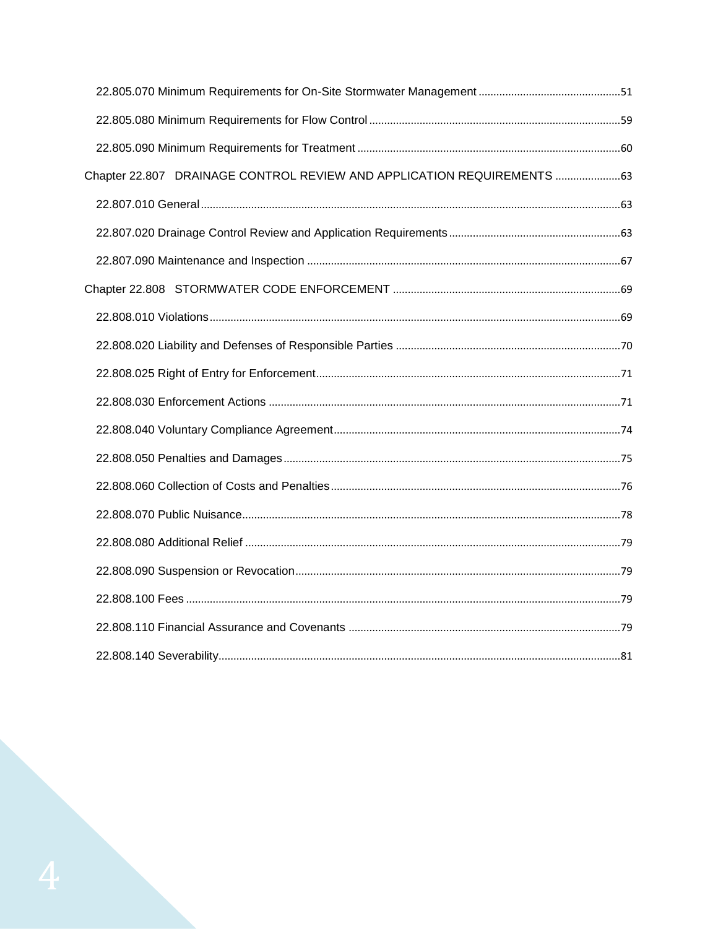| Chapter 22.807 DRAINAGE CONTROL REVIEW AND APPLICATION REQUIREMENTS 63 |  |
|------------------------------------------------------------------------|--|
|                                                                        |  |
|                                                                        |  |
|                                                                        |  |
|                                                                        |  |
|                                                                        |  |
|                                                                        |  |
|                                                                        |  |
|                                                                        |  |
|                                                                        |  |
|                                                                        |  |
|                                                                        |  |
|                                                                        |  |
|                                                                        |  |
|                                                                        |  |
|                                                                        |  |
|                                                                        |  |
|                                                                        |  |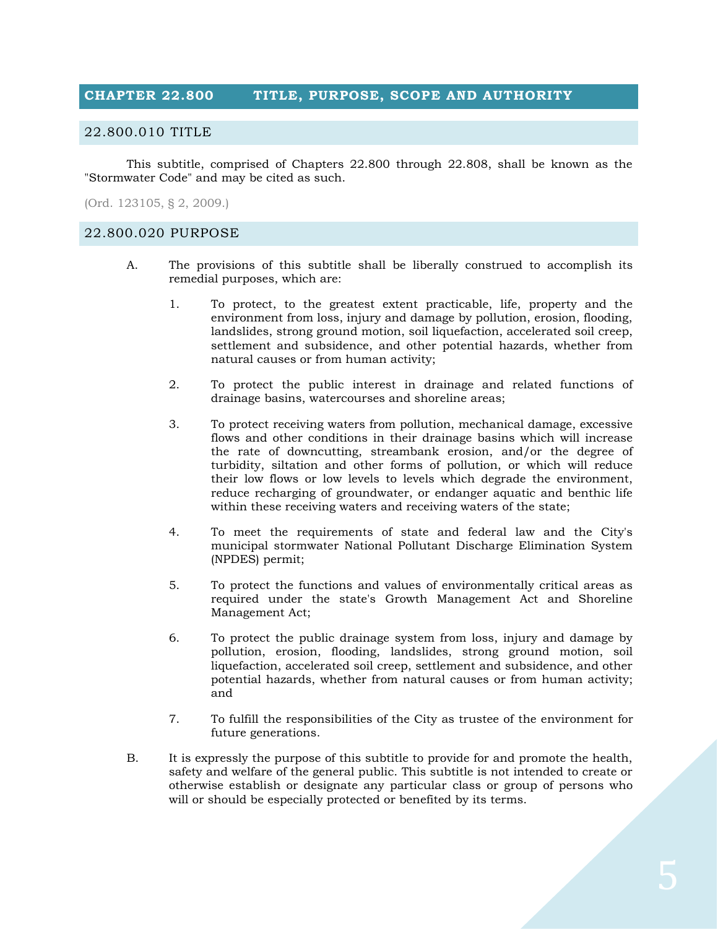## <span id="page-4-0"></span>**CHAPTER 22.800 TITLE, PURPOSE, SCOPE AND AUTHORITY**

#### <span id="page-4-1"></span>22.800.010 TITLE

This subtitle, comprised of Chapters 22.800 through 22.808, shall be known as the "Stormwater Code" and may be cited as such.

(Ord. 123105, § 2, 2009.)

#### <span id="page-4-2"></span>22.800.020 PURPOSE

- A. The provisions of this subtitle shall be liberally construed to accomplish its remedial purposes, which are:
	- 1. To protect, to the greatest extent practicable, life, property and the environment from loss, injury and damage by pollution, erosion, flooding, landslides, strong ground motion, soil liquefaction, accelerated soil creep, settlement and subsidence, and other potential hazards, whether from natural causes or from human activity;
	- 2. To protect the public interest in drainage and related functions of drainage basins, watercourses and shoreline areas;
	- 3. To protect receiving waters from pollution, mechanical damage, excessive flows and other conditions in their drainage basins which will increase the rate of downcutting, streambank erosion, and/or the degree of turbidity, siltation and other forms of pollution, or which will reduce their low flows or low levels to levels which degrade the environment, reduce recharging of groundwater, or endanger aquatic and benthic life within these receiving waters and receiving waters of the state;
	- 4. To meet the requirements of state and federal law and the City's municipal stormwater National Pollutant Discharge Elimination System (NPDES) permit;
	- 5. To protect the functions and values of environmentally critical areas as required under the state's Growth Management Act and Shoreline Management Act;
	- 6. To protect the public drainage system from loss, injury and damage by pollution, erosion, flooding, landslides, strong ground motion, soil liquefaction, accelerated soil creep, settlement and subsidence, and other potential hazards, whether from natural causes or from human activity; and
	- 7. To fulfill the responsibilities of the City as trustee of the environment for future generations.
- B. It is expressly the purpose of this subtitle to provide for and promote the health, safety and welfare of the general public. This subtitle is not intended to create or otherwise establish or designate any particular class or group of persons who will or should be especially protected or benefited by its terms.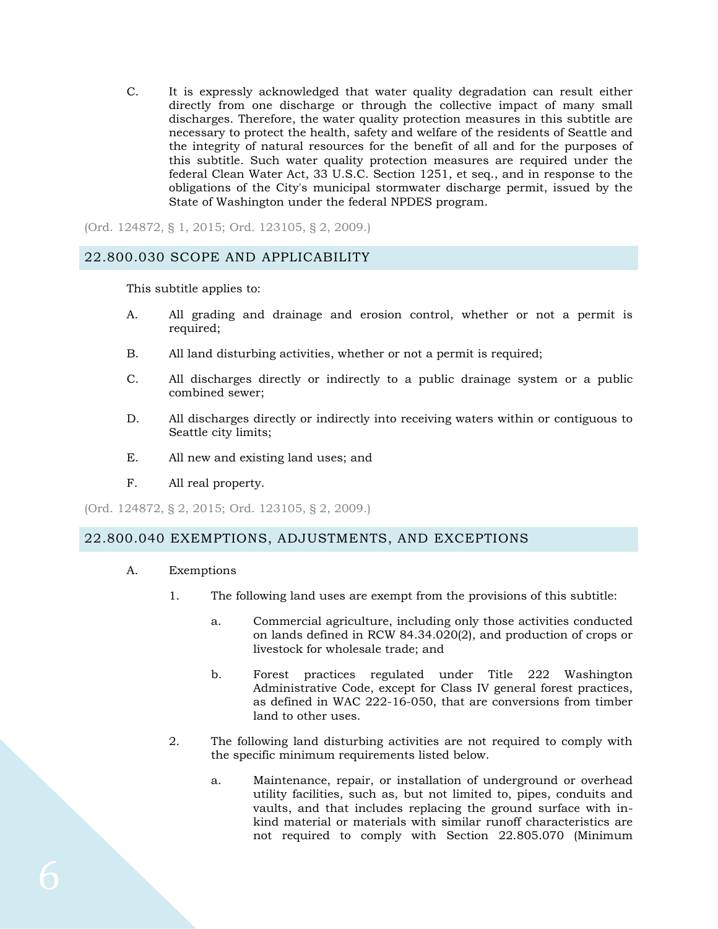C. It is expressly acknowledged that water quality degradation can result either directly from one discharge or through the collective impact of many small discharges. Therefore, the water quality protection measures in this subtitle are necessary to protect the health, safety and welfare of the residents of Seattle and the integrity of natural resources for the benefit of all and for the purposes of this subtitle. Such water quality protection measures are required under the federal Clean Water Act, 33 U.S.C. Section 1251, et seq., and in response to the obligations of the City's municipal stormwater discharge permit, issued by the State of Washington under the federal NPDES program.

(Ord. 124872, § 1, 2015; Ord. 123105, § 2, 2009.)

#### <span id="page-5-0"></span>22.800.030 SCOPE AND APPLICABILITY

This subtitle applies to:

- A. All grading and drainage and erosion control, whether or not a permit is required;
- B. All land disturbing activities, whether or not a permit is required;
- C. All discharges directly or indirectly to a public drainage system or a public combined sewer;
- D. All discharges directly or indirectly into receiving waters within or contiguous to Seattle city limits;
- E. All new and existing land uses; and
- F. All real property.

(Ord. 124872, § 2, 2015; Ord. 123105, § 2, 2009.)

### <span id="page-5-1"></span>22.800.040 EXEMPTIONS, ADJUSTMENTS, AND EXCEPTIONS

- A. Exemptions
	- 1. The following land uses are exempt from the provisions of this subtitle:
		- a. Commercial agriculture, including only those activities conducted on lands defined in RCW 84.34.020(2), and production of crops or livestock for wholesale trade; and
		- b. Forest practices regulated under Title 222 Washington Administrative Code, except for Class IV general forest practices, as defined in WAC 222-16-050, that are conversions from timber land to other uses.
	- 2. The following land disturbing activities are not required to comply with the specific minimum requirements listed below.
		- a. Maintenance, repair, or installation of underground or overhead utility facilities, such as, but not limited to, pipes, conduits and vaults, and that includes replacing the ground surface with inkind material or materials with similar runoff characteristics are not required to comply with Section 22.805.070 (Minimum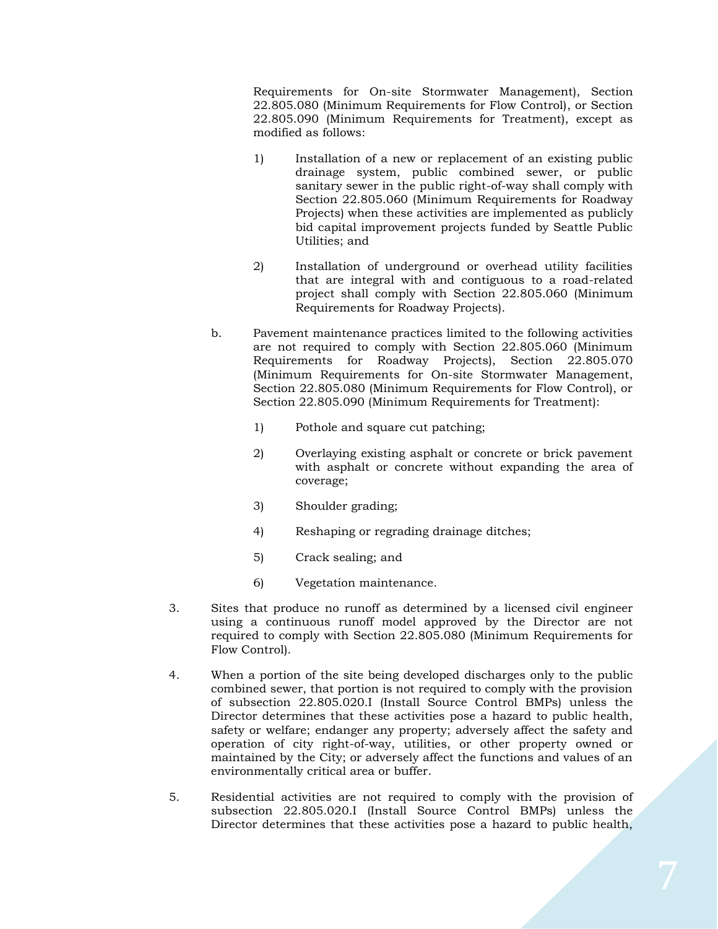Requirements for On-site Stormwater Management), Section 22.805.080 (Minimum Requirements for Flow Control), or Section 22.805.090 (Minimum Requirements for Treatment), except as modified as follows:

- 1) Installation of a new or replacement of an existing public drainage system, public combined sewer, or public sanitary sewer in the public right-of-way shall comply with Section 22.805.060 (Minimum Requirements for Roadway Projects) when these activities are implemented as publicly bid capital improvement projects funded by Seattle Public Utilities; and
- 2) Installation of underground or overhead utility facilities that are integral with and contiguous to a road-related project shall comply with Section 22.805.060 (Minimum Requirements for Roadway Projects).
- b. Pavement maintenance practices limited to the following activities are not required to comply with Section 22.805.060 (Minimum Requirements for Roadway Projects), Section 22.805.070 (Minimum Requirements for On-site Stormwater Management, Section 22.805.080 (Minimum Requirements for Flow Control), or Section 22.805.090 (Minimum Requirements for Treatment):
	- 1) Pothole and square cut patching;
	- 2) Overlaying existing asphalt or concrete or brick pavement with asphalt or concrete without expanding the area of coverage;
	- 3) Shoulder grading;
	- 4) Reshaping or regrading drainage ditches;
	- 5) Crack sealing; and
	- 6) Vegetation maintenance.
- 3. Sites that produce no runoff as determined by a licensed civil engineer using a continuous runoff model approved by the Director are not required to comply with Section 22.805.080 (Minimum Requirements for Flow Control).
- 4. When a portion of the site being developed discharges only to the public combined sewer, that portion is not required to comply with the provision of subsection 22.805.020.I (Install Source Control BMPs) unless the Director determines that these activities pose a hazard to public health, safety or welfare; endanger any property; adversely affect the safety and operation of city right-of-way, utilities, or other property owned or maintained by the City; or adversely affect the functions and values of an environmentally critical area or buffer.
- 5. Residential activities are not required to comply with the provision of subsection 22.805.020.I (Install Source Control BMPs) unless the Director determines that these activities pose a hazard to public health,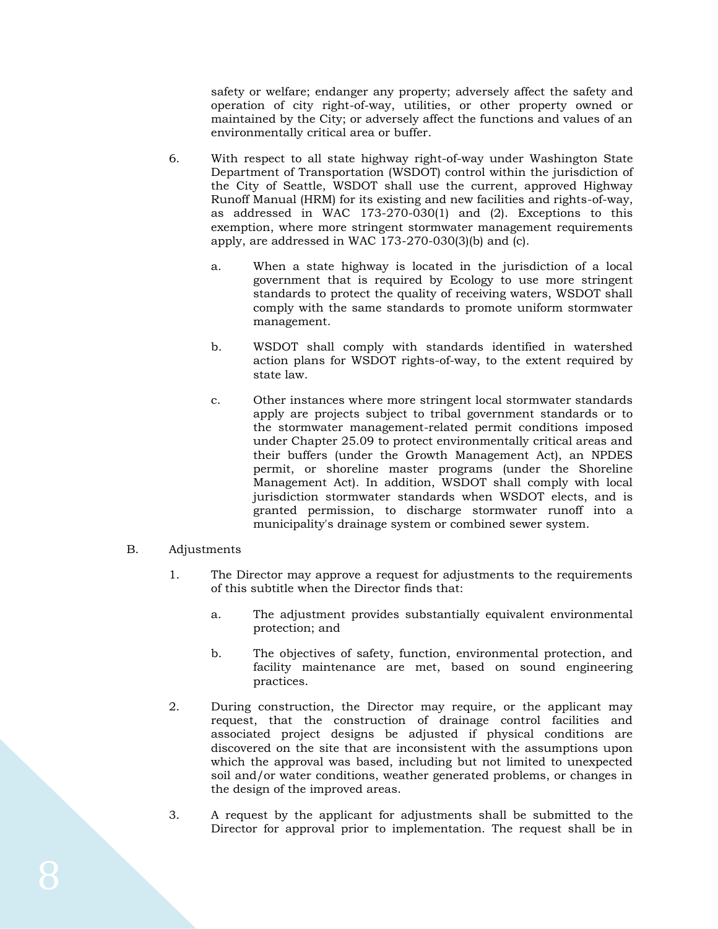safety or welfare; endanger any property; adversely affect the safety and operation of city right-of-way, utilities, or other property owned or maintained by the City; or adversely affect the functions and values of an environmentally critical area or buffer.

- 6. With respect to all state highway right-of-way under Washington State Department of Transportation (WSDOT) control within the jurisdiction of the City of Seattle, WSDOT shall use the current, approved Highway Runoff Manual (HRM) for its existing and new facilities and rights-of-way, as addressed in WAC 173-270-030(1) and (2). Exceptions to this exemption, where more stringent stormwater management requirements apply, are addressed in WAC 173-270-030(3)(b) and (c).
	- a. When a state highway is located in the jurisdiction of a local government that is required by Ecology to use more stringent standards to protect the quality of receiving waters, WSDOT shall comply with the same standards to promote uniform stormwater management.
	- b. WSDOT shall comply with standards identified in watershed action plans for WSDOT rights-of-way, to the extent required by state law.
	- c. Other instances where more stringent local stormwater standards apply are projects subject to tribal government standards or to the stormwater management-related permit conditions imposed under Chapter 25.09 to protect environmentally critical areas and their buffers (under the Growth Management Act), an NPDES permit, or shoreline master programs (under the Shoreline Management Act). In addition, WSDOT shall comply with local jurisdiction stormwater standards when WSDOT elects, and is granted permission, to discharge stormwater runoff into a municipality's drainage system or combined sewer system.

#### B. Adjustments

- 1. The Director may approve a request for adjustments to the requirements of this subtitle when the Director finds that:
	- a. The adjustment provides substantially equivalent environmental protection; and
	- b. The objectives of safety, function, environmental protection, and facility maintenance are met, based on sound engineering practices.
- 2. During construction, the Director may require, or the applicant may request, that the construction of drainage control facilities and associated project designs be adjusted if physical conditions are discovered on the site that are inconsistent with the assumptions upon which the approval was based, including but not limited to unexpected soil and/or water conditions, weather generated problems, or changes in the design of the improved areas.
- 3. A request by the applicant for adjustments shall be submitted to the Director for approval prior to implementation. The request shall be in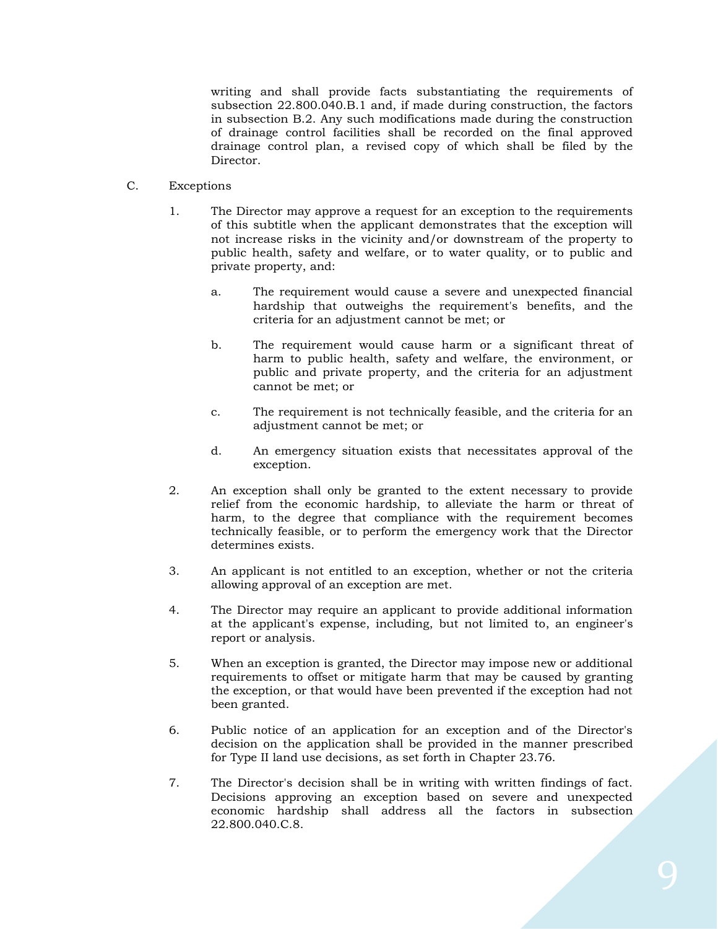writing and shall provide facts substantiating the requirements of subsection 22.800.040.B.1 and, if made during construction, the factors in subsection B.2. Any such modifications made during the construction of drainage control facilities shall be recorded on the final approved drainage control plan, a revised copy of which shall be filed by the Director.

- C. Exceptions
	- 1. The Director may approve a request for an exception to the requirements of this subtitle when the applicant demonstrates that the exception will not increase risks in the vicinity and/or downstream of the property to public health, safety and welfare, or to water quality, or to public and private property, and:
		- a. The requirement would cause a severe and unexpected financial hardship that outweighs the requirement's benefits, and the criteria for an adjustment cannot be met; or
		- b. The requirement would cause harm or a significant threat of harm to public health, safety and welfare, the environment, or public and private property, and the criteria for an adjustment cannot be met; or
		- c. The requirement is not technically feasible, and the criteria for an adjustment cannot be met; or
		- d. An emergency situation exists that necessitates approval of the exception.
	- 2. An exception shall only be granted to the extent necessary to provide relief from the economic hardship, to alleviate the harm or threat of harm, to the degree that compliance with the requirement becomes technically feasible, or to perform the emergency work that the Director determines exists.
	- 3. An applicant is not entitled to an exception, whether or not the criteria allowing approval of an exception are met.
	- 4. The Director may require an applicant to provide additional information at the applicant's expense, including, but not limited to, an engineer's report or analysis.
	- 5. When an exception is granted, the Director may impose new or additional requirements to offset or mitigate harm that may be caused by granting the exception, or that would have been prevented if the exception had not been granted.
	- 6. Public notice of an application for an exception and of the Director's decision on the application shall be provided in the manner prescribed for Type II land use decisions, as set forth in Chapter 23.76.
	- 7. The Director's decision shall be in writing with written findings of fact. Decisions approving an exception based on severe and unexpected economic hardship shall address all the factors in subsection 22.800.040.C.8.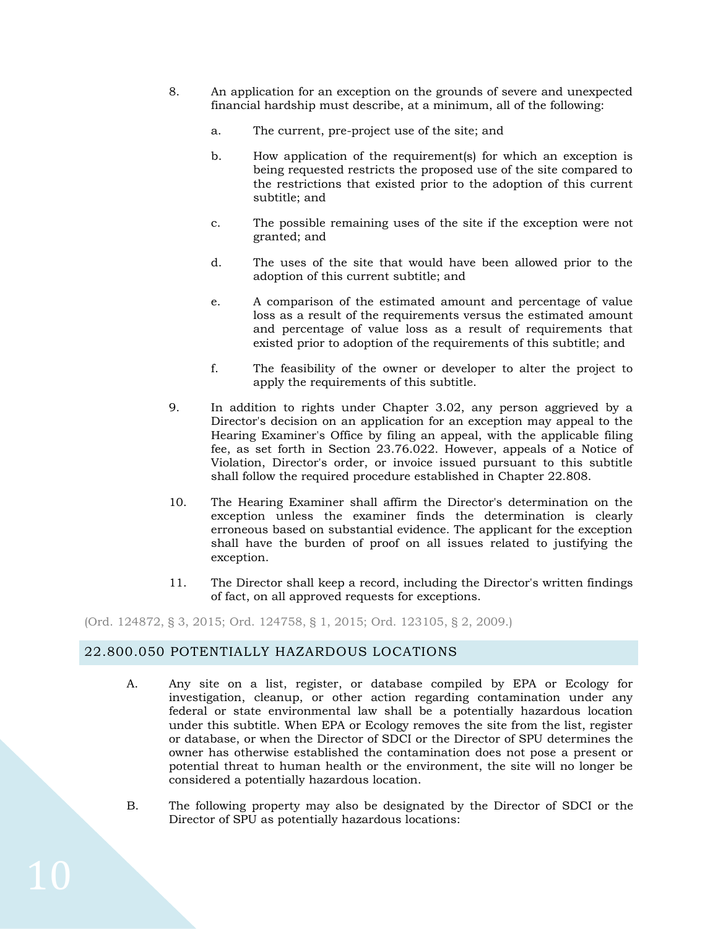- 8. An application for an exception on the grounds of severe and unexpected financial hardship must describe, at a minimum, all of the following:
	- a. The current, pre-project use of the site; and
	- b. How application of the requirement(s) for which an exception is being requested restricts the proposed use of the site compared to the restrictions that existed prior to the adoption of this current subtitle; and
	- c. The possible remaining uses of the site if the exception were not granted; and
	- d. The uses of the site that would have been allowed prior to the adoption of this current subtitle; and
	- e. A comparison of the estimated amount and percentage of value loss as a result of the requirements versus the estimated amount and percentage of value loss as a result of requirements that existed prior to adoption of the requirements of this subtitle; and
	- f. The feasibility of the owner or developer to alter the project to apply the requirements of this subtitle.
- 9. In addition to rights under Chapter 3.02, any person aggrieved by a Director's decision on an application for an exception may appeal to the Hearing Examiner's Office by filing an appeal, with the applicable filing fee, as set forth in Section 23.76.022. However, appeals of a Notice of Violation, Director's order, or invoice issued pursuant to this subtitle shall follow the required procedure established in Chapter 22.808.
- 10. The Hearing Examiner shall affirm the Director's determination on the exception unless the examiner finds the determination is clearly erroneous based on substantial evidence. The applicant for the exception shall have the burden of proof on all issues related to justifying the exception.
- 11. The Director shall keep a record, including the Director's written findings of fact, on all approved requests for exceptions.

(Ord. 124872, § 3, 2015; Ord. [124758,](http://newords.municode.com/readordinance.aspx?ordinanceid=709638&datasource=ordbank) § 1, 2015; Ord. 123105, § 2, 2009.)

## <span id="page-9-0"></span>22.800.050 POTENTIALLY HAZARDOUS LOCATIONS

- A. Any site on a list, register, or database compiled by EPA or Ecology for investigation, cleanup, or other action regarding contamination under any federal or state environmental law shall be a potentially hazardous location under this subtitle. When EPA or Ecology removes the site from the list, register or database, or when the Director of SDCI or the Director of SPU determines the owner has otherwise established the contamination does not pose a present or potential threat to human health or the environment, the site will no longer be considered a potentially hazardous location.
- B. The following property may also be designated by the Director of SDCI or the Director of SPU as potentially hazardous locations: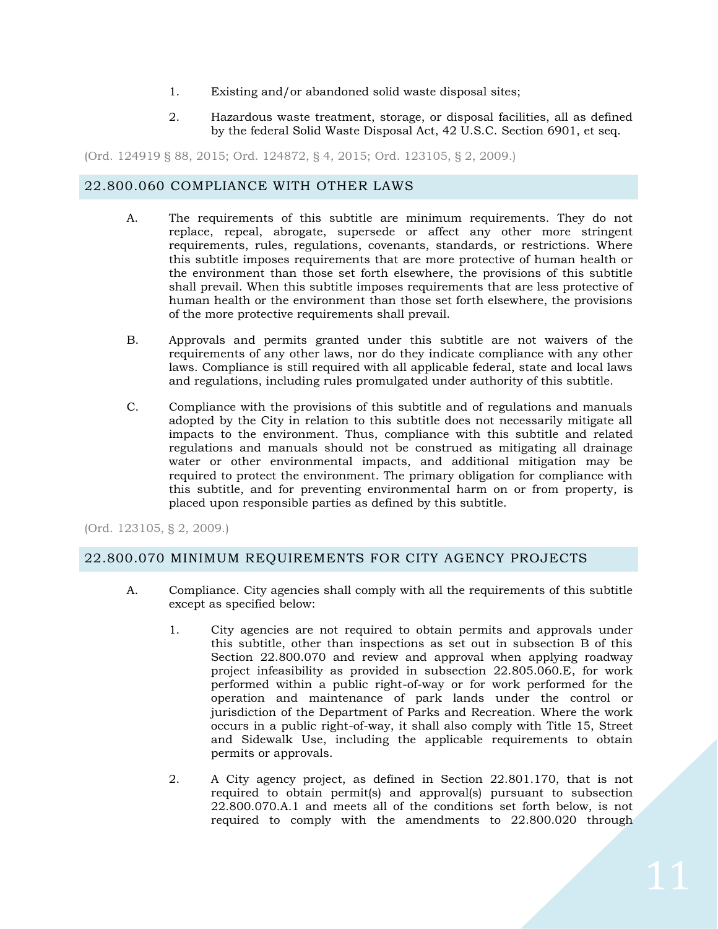- 1. Existing and/or abandoned solid waste disposal sites;
- 2. Hazardous waste treatment, storage, or disposal facilities, all as defined by the federal Solid Waste Disposal Act, 42 U.S.C. Section 6901, et seq.

(Ord. 124919 § 88, 2015; Ord. 124872, § 4, 2015; Ord. 123105, § 2, 2009.)

## <span id="page-10-0"></span>22.800.060 COMPLIANCE WITH OTHER LAWS

- A. The requirements of this subtitle are minimum requirements. They do not replace, repeal, abrogate, supersede or affect any other more stringent requirements, rules, regulations, covenants, standards, or restrictions. Where this subtitle imposes requirements that are more protective of human health or the environment than those set forth elsewhere, the provisions of this subtitle shall prevail. When this subtitle imposes requirements that are less protective of human health or the environment than those set forth elsewhere, the provisions of the more protective requirements shall prevail.
- B. Approvals and permits granted under this subtitle are not waivers of the requirements of any other laws, nor do they indicate compliance with any other laws. Compliance is still required with all applicable federal, state and local laws and regulations, including rules promulgated under authority of this subtitle.
- C. Compliance with the provisions of this subtitle and of regulations and manuals adopted by the City in relation to this subtitle does not necessarily mitigate all impacts to the environment. Thus, compliance with this subtitle and related regulations and manuals should not be construed as mitigating all drainage water or other environmental impacts, and additional mitigation may be required to protect the environment. The primary obligation for compliance with this subtitle, and for preventing environmental harm on or from property, is placed upon responsible parties as defined by this subtitle.

(Ord. 123105, § 2, 2009.)

## <span id="page-10-1"></span>22.800.070 MINIMUM REQUIREMENTS FOR CITY AGENCY PROJECTS

- A. Compliance. City agencies shall comply with all the requirements of this subtitle except as specified below:
	- 1. City agencies are not required to obtain permits and approvals under this subtitle, other than inspections as set out in subsection B of this Section 22.800.070 and review and approval when applying roadway project infeasibility as provided in subsection 22.805.060.E, for work performed within a public right-of-way or for work performed for the operation and maintenance of park lands under the control or jurisdiction of the Department of Parks and Recreation. Where the work occurs in a public right-of-way, it shall also comply with Title 15, Street and Sidewalk Use, including the applicable requirements to obtain permits or approvals.
	- 2. A City agency project, as defined in Section 22.801.170, that is not required to obtain permit(s) and approval(s) pursuant to subsection 22.800.070.A.1 and meets all of the conditions set forth below, is not required to comply with the amendments to 22.800.020 through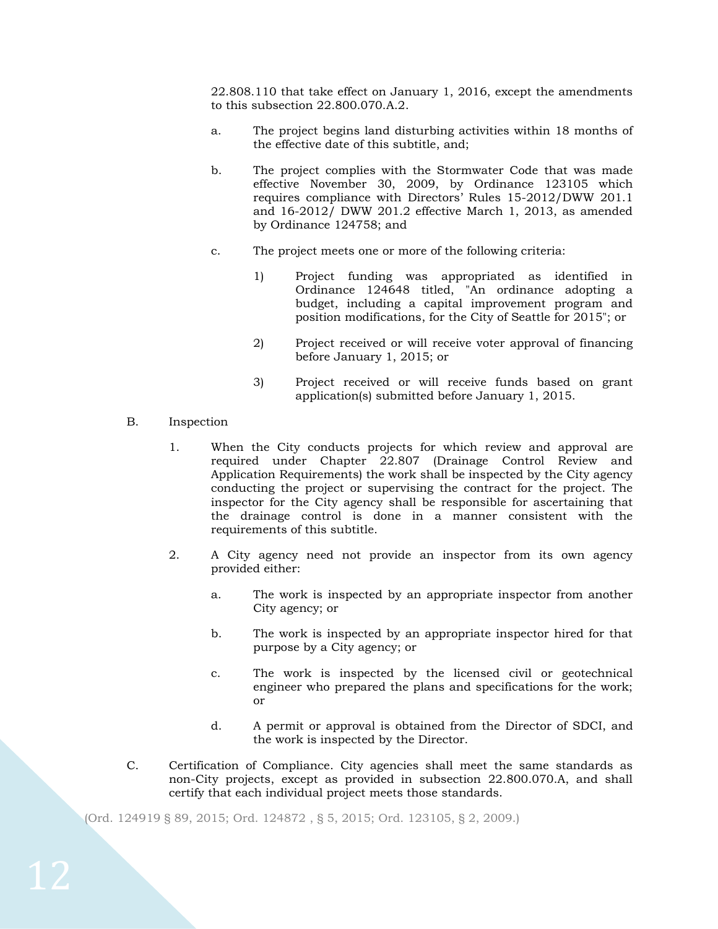22.808.110 that take effect on January 1, 2016, except the amendments to this subsection 22.800.070.A.2.

- a. The project begins land disturbing activities within 18 months of the effective date of this subtitle, and;
- b. The project complies with the Stormwater Code that was made effective November 30, 2009, by Ordinance 123105 which requires compliance with Directors' Rules 15-2012/DWW 201.1 and 16-2012/ DWW 201.2 effective March 1, 2013, as amended by Ordinance 124758; and
- c. The project meets one or more of the following criteria:
	- 1) Project funding was appropriated as identified in Ordinance 124648 titled, "An ordinance adopting a budget, including a capital improvement program and position modifications, for the City of Seattle for 2015"; or
	- 2) Project received or will receive voter approval of financing before January 1, 2015; or
	- 3) Project received or will receive funds based on grant application(s) submitted before January 1, 2015.
- B. Inspection
	- 1. When the City conducts projects for which review and approval are required under Chapter 22.807 (Drainage Control Review and Application Requirements) the work shall be inspected by the City agency conducting the project or supervising the contract for the project. The inspector for the City agency shall be responsible for ascertaining that the drainage control is done in a manner consistent with the requirements of this subtitle.
	- 2. A City agency need not provide an inspector from its own agency provided either:
		- a. The work is inspected by an appropriate inspector from another City agency; or
		- b. The work is inspected by an appropriate inspector hired for that purpose by a City agency; or
		- c. The work is inspected by the licensed civil or geotechnical engineer who prepared the plans and specifications for the work; or
		- d. A permit or approval is obtained from the Director of SDCI, and the work is inspected by the Director.
- C. Certification of Compliance. City agencies shall meet the same standards as non-City projects, except as provided in subsection 22.800.070.A, and shall certify that each individual project meets those standards.

(Ord. 124919 § 89, 2015; Ord. 124872 , § 5, 2015; Ord. 123105, § 2, 2009.)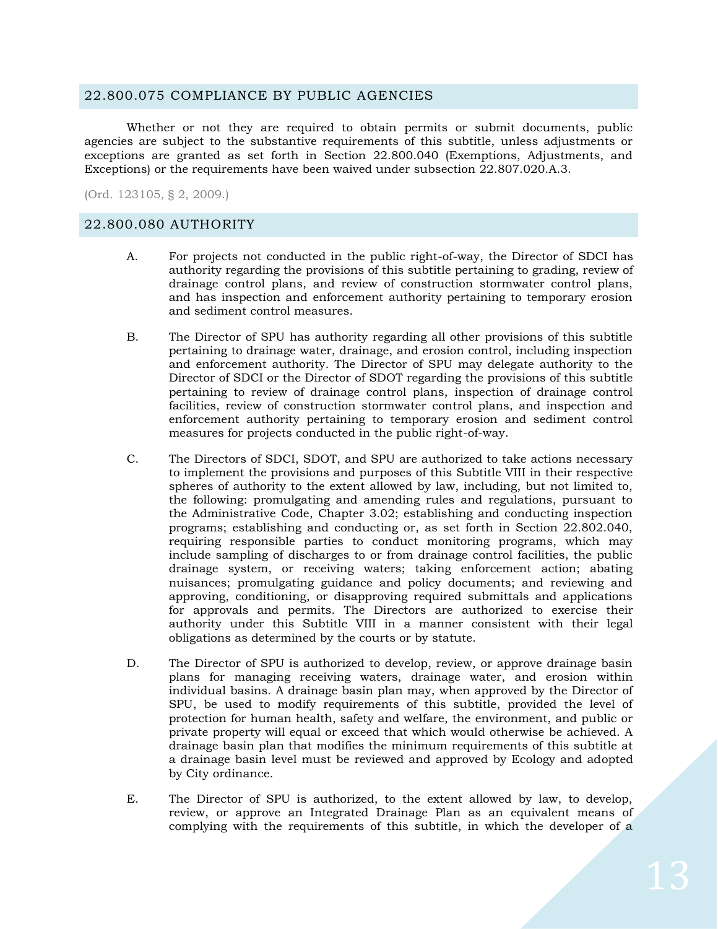#### <span id="page-12-0"></span>22.800.075 COMPLIANCE BY PUBLIC AGENCIES

Whether or not they are required to obtain permits or submit documents, public agencies are subject to the substantive requirements of this subtitle, unless adjustments or exceptions are granted as set forth in Section 22.800.040 (Exemptions, Adjustments, and Exceptions) or the requirements have been waived under subsection 22.807.020.A.3.

(Ord. 123105, § 2, 2009.)

### <span id="page-12-1"></span>22.800.080 AUTHORITY

- A. For projects not conducted in the public right-of-way, the Director of SDCI has authority regarding the provisions of this subtitle pertaining to grading, review of drainage control plans, and review of construction stormwater control plans, and has inspection and enforcement authority pertaining to temporary erosion and sediment control measures.
- B. The Director of SPU has authority regarding all other provisions of this subtitle pertaining to drainage water, drainage, and erosion control, including inspection and enforcement authority. The Director of SPU may delegate authority to the Director of SDCI or the Director of SDOT regarding the provisions of this subtitle pertaining to review of drainage control plans, inspection of drainage control facilities, review of construction stormwater control plans, and inspection and enforcement authority pertaining to temporary erosion and sediment control measures for projects conducted in the public right-of-way.
- C. The Directors of SDCI, SDOT, and SPU are authorized to take actions necessary to implement the provisions and purposes of this Subtitle VIII in their respective spheres of authority to the extent allowed by law, including, but not limited to, the following: promulgating and amending rules and regulations, pursuant to the Administrative Code, Chapter 3.02; establishing and conducting inspection programs; establishing and conducting or, as set forth in Section 22.802.040, requiring responsible parties to conduct monitoring programs, which may include sampling of discharges to or from drainage control facilities, the public drainage system, or receiving waters; taking enforcement action; abating nuisances; promulgating guidance and policy documents; and reviewing and approving, conditioning, or disapproving required submittals and applications for approvals and permits. The Directors are authorized to exercise their authority under this Subtitle VIII in a manner consistent with their legal obligations as determined by the courts or by statute.
- D. The Director of SPU is authorized to develop, review, or approve drainage basin plans for managing receiving waters, drainage water, and erosion within individual basins. A drainage basin plan may, when approved by the Director of SPU, be used to modify requirements of this subtitle, provided the level of protection for human health, safety and welfare, the environment, and public or private property will equal or exceed that which would otherwise be achieved. A drainage basin plan that modifies the minimum requirements of this subtitle at a drainage basin level must be reviewed and approved by Ecology and adopted by City ordinance.
- E. The Director of SPU is authorized, to the extent allowed by law, to develop, review, or approve an Integrated Drainage Plan as an equivalent means of complying with the requirements of this subtitle, in which the developer of a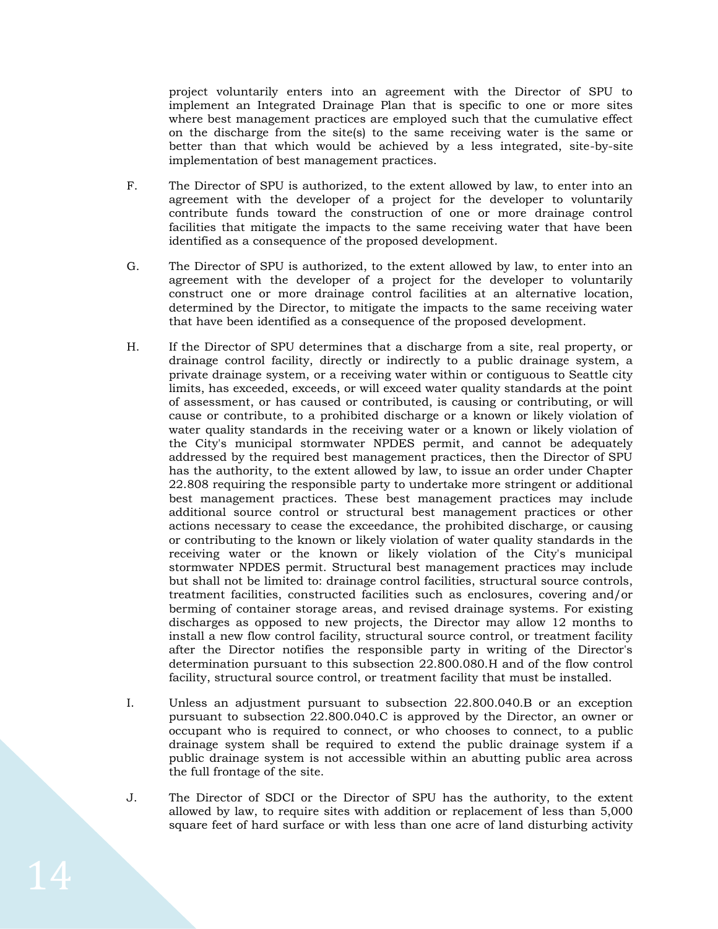project voluntarily enters into an agreement with the Director of SPU to implement an Integrated Drainage Plan that is specific to one or more sites where best management practices are employed such that the cumulative effect on the discharge from the site(s) to the same receiving water is the same or better than that which would be achieved by a less integrated, site-by-site implementation of best management practices.

- F. The Director of SPU is authorized, to the extent allowed by law, to enter into an agreement with the developer of a project for the developer to voluntarily contribute funds toward the construction of one or more drainage control facilities that mitigate the impacts to the same receiving water that have been identified as a consequence of the proposed development.
- G. The Director of SPU is authorized, to the extent allowed by law, to enter into an agreement with the developer of a project for the developer to voluntarily construct one or more drainage control facilities at an alternative location, determined by the Director, to mitigate the impacts to the same receiving water that have been identified as a consequence of the proposed development.
- H. If the Director of SPU determines that a discharge from a site, real property, or drainage control facility, directly or indirectly to a public drainage system, a private drainage system, or a receiving water within or contiguous to Seattle city limits, has exceeded, exceeds, or will exceed water quality standards at the point of assessment, or has caused or contributed, is causing or contributing, or will cause or contribute, to a prohibited discharge or a known or likely violation of water quality standards in the receiving water or a known or likely violation of the City's municipal stormwater NPDES permit, and cannot be adequately addressed by the required best management practices, then the Director of SPU has the authority, to the extent allowed by law, to issue an order under Chapter 22.808 requiring the responsible party to undertake more stringent or additional best management practices. These best management practices may include additional source control or structural best management practices or other actions necessary to cease the exceedance, the prohibited discharge, or causing or contributing to the known or likely violation of water quality standards in the receiving water or the known or likely violation of the City's municipal stormwater NPDES permit. Structural best management practices may include but shall not be limited to: drainage control facilities, structural source controls, treatment facilities, constructed facilities such as enclosures, covering and/or berming of container storage areas, and revised drainage systems. For existing discharges as opposed to new projects, the Director may allow 12 months to install a new flow control facility, structural source control, or treatment facility after the Director notifies the responsible party in writing of the Director's determination pursuant to this subsection 22.800.080.H and of the flow control facility, structural source control, or treatment facility that must be installed.
- I. Unless an adjustment pursuant to subsection 22.800.040.B or an exception pursuant to subsection 22.800.040.C is approved by the Director, an owner or occupant who is required to connect, or who chooses to connect, to a public drainage system shall be required to extend the public drainage system if a public drainage system is not accessible within an abutting public area across the full frontage of the site.
- J. The Director of SDCI or the Director of SPU has the authority, to the extent allowed by law, to require sites with addition or replacement of less than 5,000 square feet of hard surface or with less than one acre of land disturbing activity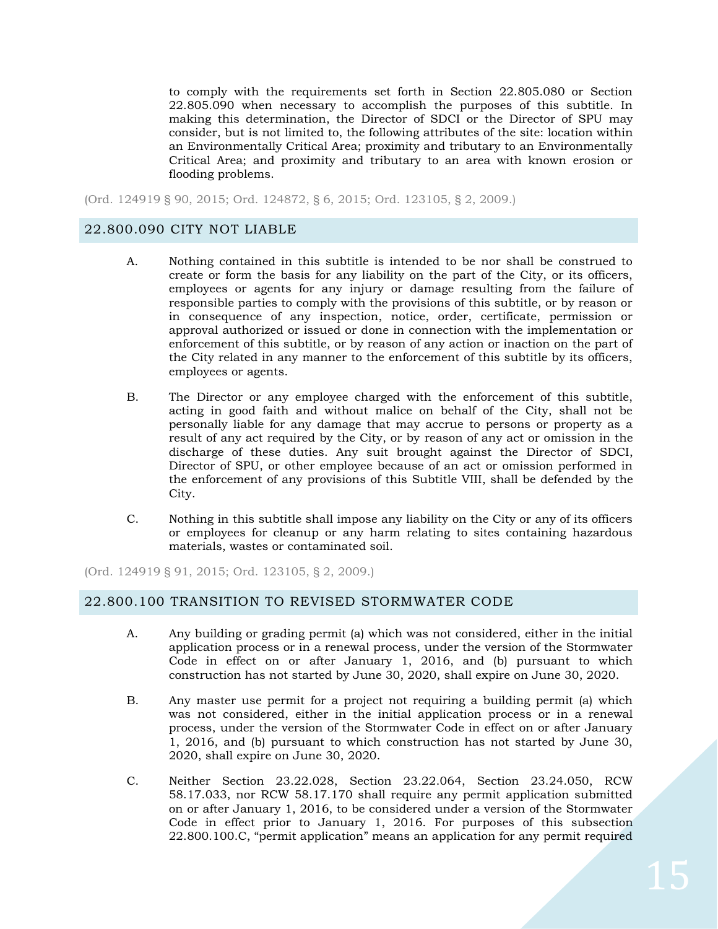to comply with the requirements set forth in Section 22.805.080 or Section 22.805.090 when necessary to accomplish the purposes of this subtitle. In making this determination, the Director of SDCI or the Director of SPU may consider, but is not limited to, the following attributes of the site: location within an Environmentally Critical Area; proximity and tributary to an Environmentally Critical Area; and proximity and tributary to an area with known erosion or flooding problems.

(Ord. 124919 § 90, 2015; Ord. 124872, § 6, 2015; Ord. 123105, § 2, 2009.)

## <span id="page-14-0"></span>22.800.090 CITY NOT LIABLE

- A. Nothing contained in this subtitle is intended to be nor shall be construed to create or form the basis for any liability on the part of the City, or its officers, employees or agents for any injury or damage resulting from the failure of responsible parties to comply with the provisions of this subtitle, or by reason or in consequence of any inspection, notice, order, certificate, permission or approval authorized or issued or done in connection with the implementation or enforcement of this subtitle, or by reason of any action or inaction on the part of the City related in any manner to the enforcement of this subtitle by its officers, employees or agents.
- B. The Director or any employee charged with the enforcement of this subtitle, acting in good faith and without malice on behalf of the City, shall not be personally liable for any damage that may accrue to persons or property as a result of any act required by the City, or by reason of any act or omission in the discharge of these duties. Any suit brought against the Director of SDCI, Director of SPU, or other employee because of an act or omission performed in the enforcement of any provisions of this Subtitle VIII, shall be defended by the City.
- C. Nothing in this subtitle shall impose any liability on the City or any of its officers or employees for cleanup or any harm relating to sites containing hazardous materials, wastes or contaminated soil.

(Ord. 124919 § 91, 2015; Ord. 123105, § 2, 2009.)

### <span id="page-14-1"></span>22.800.100 TRANSITION TO REVISED STORMWATER CODE

- A. Any building or grading permit (a) which was not considered, either in the initial application process or in a renewal process, under the version of the Stormwater Code in effect on or after January 1, 2016, and (b) pursuant to which construction has not started by June 30, 2020, shall expire on June 30, 2020.
- B. Any master use permit for a project not requiring a building permit (a) which was not considered, either in the initial application process or in a renewal process, under the version of the Stormwater Code in effect on or after January 1, 2016, and (b) pursuant to which construction has not started by June 30, 2020, shall expire on June 30, 2020.
- C. Neither Section 23.22.028, Section 23.22.064, Section 23.24.050, RCW 58.17.033, nor RCW 58.17.170 shall require any permit application submitted on or after January 1, 2016, to be considered under a version of the Stormwater Code in effect prior to January 1, 2016. For purposes of this subsection 22.800.100.C, "permit application" means an application for any permit required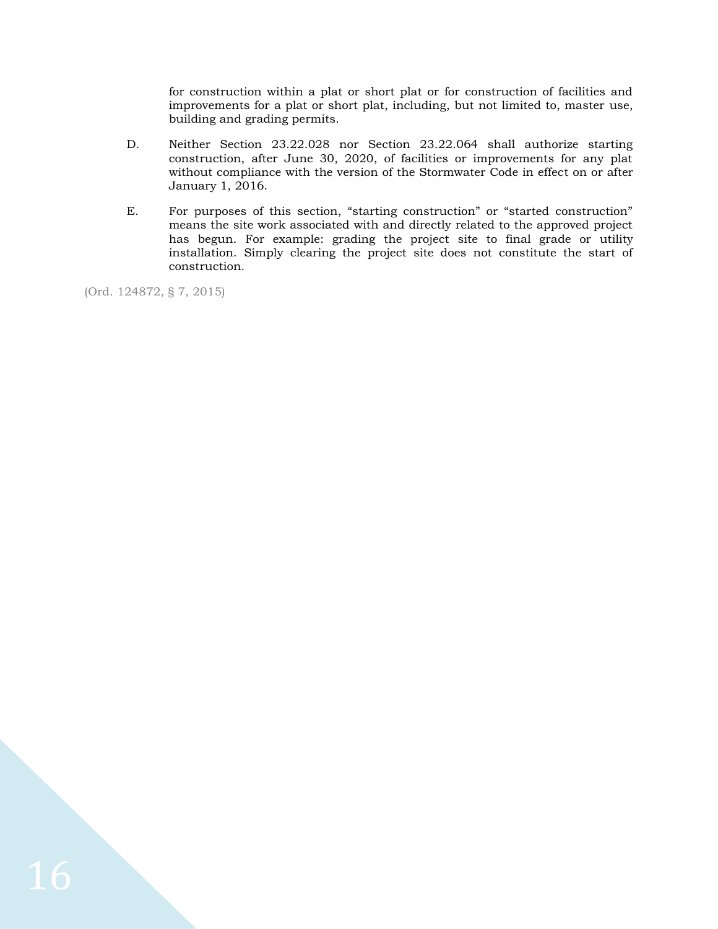for construction within a plat or short plat or for construction of facilities and improvements for a plat or short plat, including, but not limited to, master use, building and grading permits.

- D. Neither Section 23.22.028 nor Section 23.22.064 shall authorize starting construction, after June 30, 2020, of facilities or improvements for any plat without compliance with the version of the Stormwater Code in effect on or after January 1, 2016.
- E. For purposes of this section, "starting construction" or "started construction" means the site work associated with and directly related to the approved project has begun. For example: grading the project site to final grade or utility installation. Simply clearing the project site does not constitute the start of construction.

(Ord. 124872, § 7, 2015)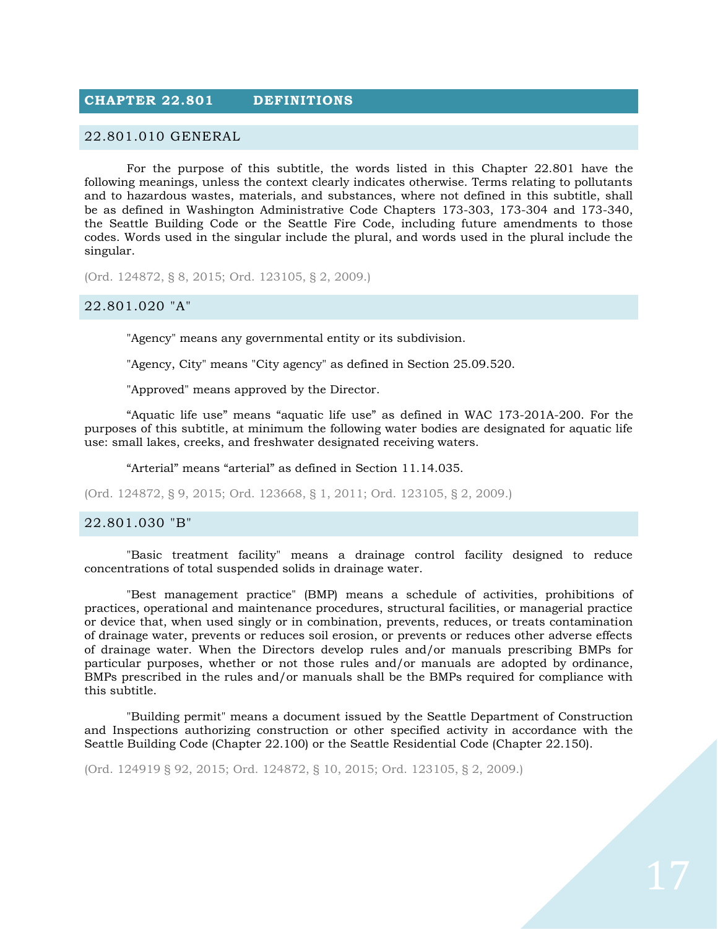## <span id="page-16-0"></span>**CHAPTER 22.801 DEFINITIONS**

#### <span id="page-16-1"></span>22.801.010 GENERAL

For the purpose of this subtitle, the words listed in this Chapter 22.801 have the following meanings, unless the context clearly indicates otherwise. Terms relating to pollutants and to hazardous wastes, materials, and substances, where not defined in this subtitle, shall be as defined in Washington Administrative Code Chapters 173-303, 173-304 and 173-340, the Seattle Building Code or the Seattle Fire Code, including future amendments to those codes. Words used in the singular include the plural, and words used in the plural include the singular.

(Ord. 124872, § 8, 2015; Ord. 123105, § 2, 2009.)

#### <span id="page-16-2"></span>22.801.020 "A"

"Agency" means any governmental entity or its subdivision.

"Agency, City" means "City agency" as defined in Section 25.09.520.

"Approved" means approved by the Director.

"Aquatic life use" means "aquatic life use" as defined in WAC 173-201A-200. For the purposes of this subtitle, at minimum the following water bodies are designated for aquatic life use: small lakes, creeks, and freshwater designated receiving waters.

"Arterial" means "arterial" as defined in Section 11.14.035.

(Ord. 124872, § 9, 2015; Ord. 123668, § 1, 2011; Ord. 123105, § 2, 2009.)

#### <span id="page-16-3"></span>22.801.030 "B"

"Basic treatment facility" means a drainage control facility designed to reduce concentrations of total suspended solids in drainage water.

"Best management practice" (BMP) means a schedule of activities, prohibitions of practices, operational and maintenance procedures, structural facilities, or managerial practice or device that, when used singly or in combination, prevents, reduces, or treats contamination of drainage water, prevents or reduces soil erosion, or prevents or reduces other adverse effects of drainage water. When the Directors develop rules and/or manuals prescribing BMPs for particular purposes, whether or not those rules and/or manuals are adopted by ordinance, BMPs prescribed in the rules and/or manuals shall be the BMPs required for compliance with this subtitle.

"Building permit" means a document issued by the Seattle Department of Construction and Inspections authorizing construction or other specified activity in accordance with the Seattle Building Code (Chapter 22.100) or the Seattle Residential Code (Chapter 22.150).

(Ord. 124919 § 92, 2015; Ord. 124872, § 10, 2015; Ord. 123105, § 2, 2009.)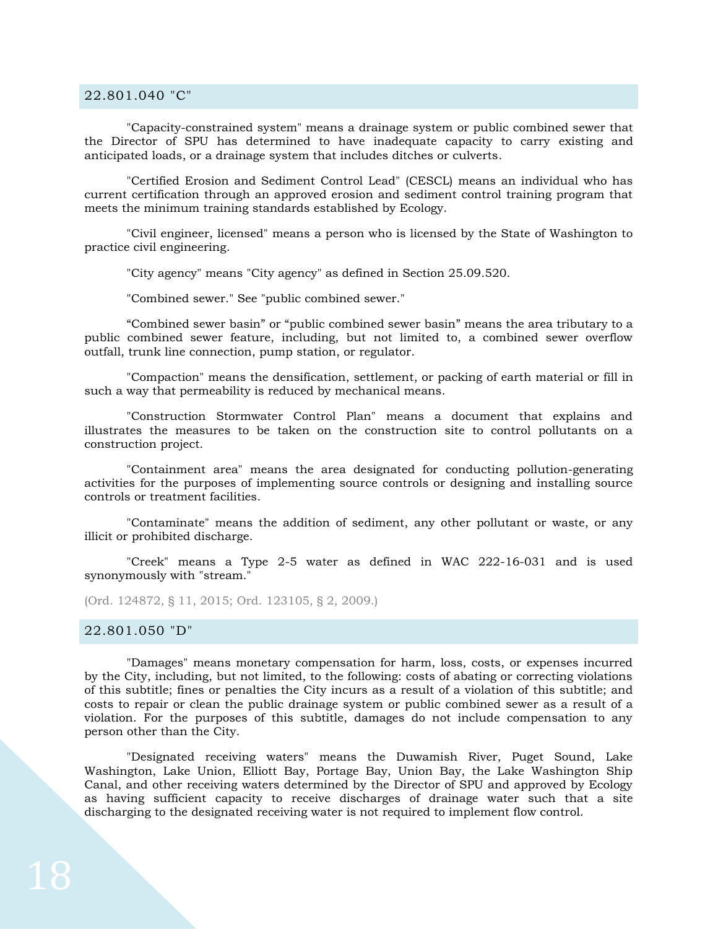#### <span id="page-17-0"></span>22.801.040 "C"

"Capacity-constrained system" means a drainage system or public combined sewer that the Director of SPU has determined to have inadequate capacity to carry existing and anticipated loads, or a drainage system that includes ditches or culverts.

"Certified Erosion and Sediment Control Lead" (CESCL) means an individual who has current certification through an approved erosion and sediment control training program that meets the minimum training standards established by Ecology.

"Civil engineer, licensed" means a person who is licensed by the State of Washington to practice civil engineering.

"City agency" means "City agency" as defined in Section 25.09.520.

"Combined sewer." See "public combined sewer."

"Combined sewer basin" or "public combined sewer basin" means the area tributary to a public combined sewer feature, including, but not limited to, a combined sewer overflow outfall, trunk line connection, pump station, or regulator.

"Compaction" means the densification, settlement, or packing of earth material or fill in such a way that permeability is reduced by mechanical means.

"Construction Stormwater Control Plan" means a document that explains and illustrates the measures to be taken on the construction site to control pollutants on a construction project.

"Containment area" means the area designated for conducting pollution-generating activities for the purposes of implementing source controls or designing and installing source controls or treatment facilities.

"Contaminate" means the addition of sediment, any other pollutant or waste, or any illicit or prohibited discharge.

"Creek" means a Type 2-5 water as defined in WAC 222-16-031 and is used synonymously with "stream."

(Ord. 124872, § 11, 2015; Ord. 123105, § 2, 2009.)

<span id="page-17-1"></span>22.801.050 "D"

"Damages" means monetary compensation for harm, loss, costs, or expenses incurred by the City, including, but not limited, to the following: costs of abating or correcting violations of this subtitle; fines or penalties the City incurs as a result of a violation of this subtitle; and costs to repair or clean the public drainage system or public combined sewer as a result of a violation. For the purposes of this subtitle, damages do not include compensation to any person other than the City.

"Designated receiving waters" means the Duwamish River, Puget Sound, Lake Washington, Lake Union, Elliott Bay, Portage Bay, Union Bay, the Lake Washington Ship Canal, and other receiving waters determined by the Director of SPU and approved by Ecology as having sufficient capacity to receive discharges of drainage water such that a site discharging to the designated receiving water is not required to implement flow control.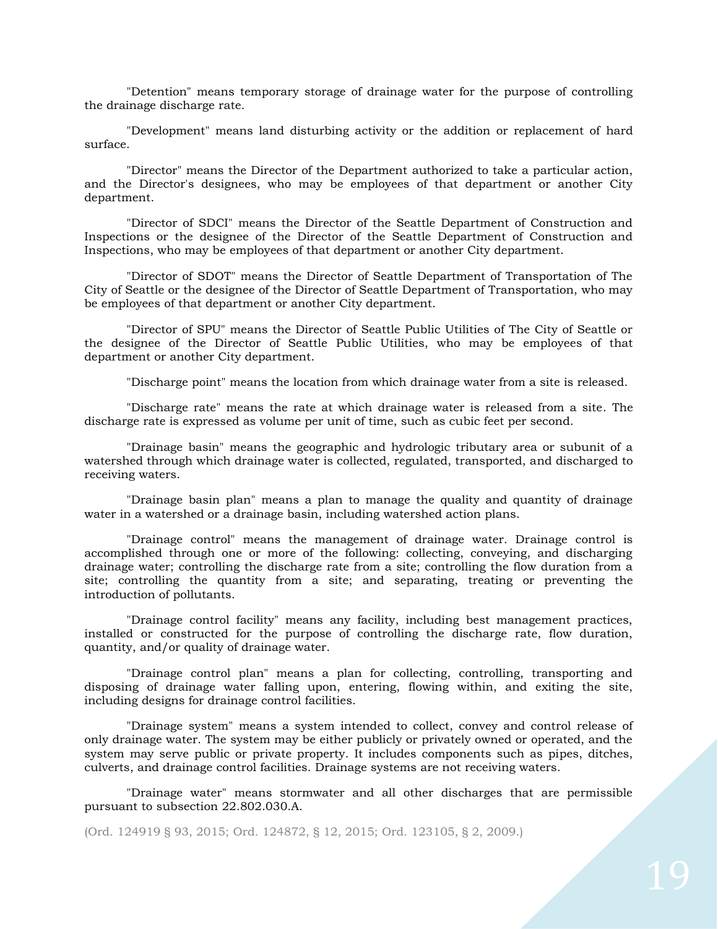"Detention" means temporary storage of drainage water for the purpose of controlling the drainage discharge rate.

"Development" means land disturbing activity or the addition or replacement of hard surface.

"Director" means the Director of the Department authorized to take a particular action, and the Director's designees, who may be employees of that department or another City department.

"Director of SDCI" means the Director of the Seattle Department of Construction and Inspections or the designee of the Director of the Seattle Department of Construction and Inspections, who may be employees of that department or another City department.

"Director of SDOT" means the Director of Seattle Department of Transportation of The City of Seattle or the designee of the Director of Seattle Department of Transportation, who may be employees of that department or another City department.

"Director of SPU" means the Director of Seattle Public Utilities of The City of Seattle or the designee of the Director of Seattle Public Utilities, who may be employees of that department or another City department.

"Discharge point" means the location from which drainage water from a site is released.

"Discharge rate" means the rate at which drainage water is released from a site. The discharge rate is expressed as volume per unit of time, such as cubic feet per second.

"Drainage basin" means the geographic and hydrologic tributary area or subunit of a watershed through which drainage water is collected, regulated, transported, and discharged to receiving waters.

"Drainage basin plan" means a plan to manage the quality and quantity of drainage water in a watershed or a drainage basin, including watershed action plans.

"Drainage control" means the management of drainage water. Drainage control is accomplished through one or more of the following: collecting, conveying, and discharging drainage water; controlling the discharge rate from a site; controlling the flow duration from a site; controlling the quantity from a site; and separating, treating or preventing the introduction of pollutants.

"Drainage control facility" means any facility, including best management practices, installed or constructed for the purpose of controlling the discharge rate, flow duration, quantity, and/or quality of drainage water.

"Drainage control plan" means a plan for collecting, controlling, transporting and disposing of drainage water falling upon, entering, flowing within, and exiting the site, including designs for drainage control facilities.

"Drainage system" means a system intended to collect, convey and control release of only drainage water. The system may be either publicly or privately owned or operated, and the system may serve public or private property. It includes components such as pipes, ditches, culverts, and drainage control facilities. Drainage systems are not receiving waters.

"Drainage water" means stormwater and all other discharges that are permissible pursuant to subsection 22.802.030.A.

(Ord. 124919 § 93, 2015; Ord. 124872, § 12, 2015; Ord. 123105, § 2, 2009.)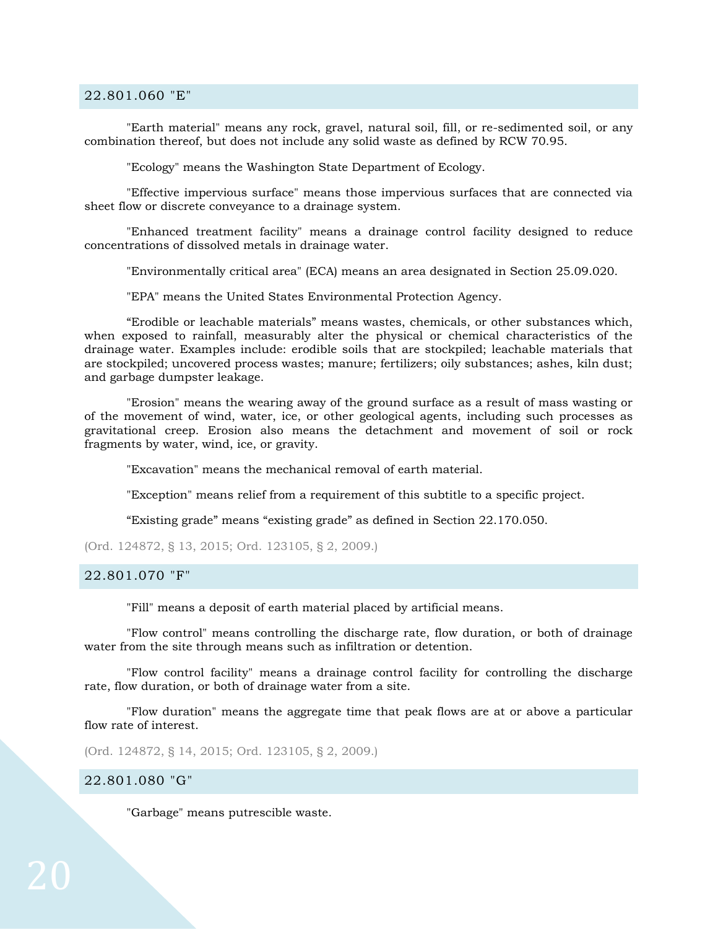#### <span id="page-19-0"></span>22.801.060 "E"

"Earth material" means any rock, gravel, natural soil, fill, or re-sedimented soil, or any combination thereof, but does not include any solid waste as defined by RCW 70.95.

"Ecology" means the Washington State Department of Ecology.

"Effective impervious surface" means those impervious surfaces that are connected via sheet flow or discrete conveyance to a drainage system.

"Enhanced treatment facility" means a drainage control facility designed to reduce concentrations of dissolved metals in drainage water.

"Environmentally critical area" (ECA) means an area designated in Section 25.09.020.

"EPA" means the United States Environmental Protection Agency.

"Erodible or leachable materials" means wastes, chemicals, or other substances which, when exposed to rainfall, measurably alter the physical or chemical characteristics of the drainage water. Examples include: erodible soils that are stockpiled; leachable materials that are stockpiled; uncovered process wastes; manure; fertilizers; oily substances; ashes, kiln dust; and garbage dumpster leakage.

"Erosion" means the wearing away of the ground surface as a result of mass wasting or of the movement of wind, water, ice, or other geological agents, including such processes as gravitational creep. Erosion also means the detachment and movement of soil or rock fragments by water, wind, ice, or gravity.

"Excavation" means the mechanical removal of earth material.

"Exception" means relief from a requirement of this subtitle to a specific project.

"Existing grade" means "existing grade" as defined in Section 22.170.050.

(Ord. 124872, § 13, 2015; Ord. 123105, § 2, 2009.)

#### <span id="page-19-1"></span>22.801.070 "F"

"Fill" means a deposit of earth material placed by artificial means.

"Flow control" means controlling the discharge rate, flow duration, or both of drainage water from the site through means such as infiltration or detention.

"Flow control facility" means a drainage control facility for controlling the discharge rate, flow duration, or both of drainage water from a site.

"Flow duration" means the aggregate time that peak flows are at or above a particular flow rate of interest.

(Ord. 124872, § 14, 2015; Ord. 123105, § 2, 2009.)

#### <span id="page-19-2"></span>22.801.080 "G"

"Garbage" means putrescible waste.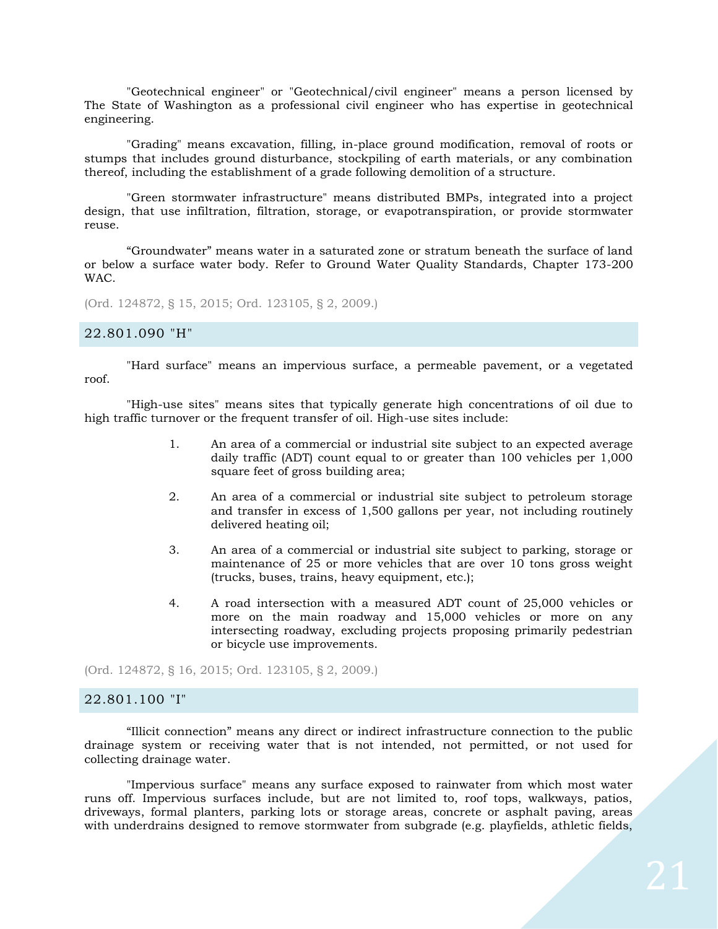"Geotechnical engineer" or "Geotechnical/civil engineer" means a person licensed by The State of Washington as a professional civil engineer who has expertise in geotechnical engineering.

"Grading" means excavation, filling, in-place ground modification, removal of roots or stumps that includes ground disturbance, stockpiling of earth materials, or any combination thereof, including the establishment of a grade following demolition of a structure.

"Green stormwater infrastructure" means distributed BMPs, integrated into a project design, that use infiltration, filtration, storage, or evapotranspiration, or provide stormwater reuse.

"Groundwater" means water in a saturated zone or stratum beneath the surface of land or below a surface water body. Refer to Ground Water Quality Standards, Chapter 173-200 WAC.

(Ord. 124872, § 15, 2015; Ord. 123105, § 2, 2009.)

#### <span id="page-20-0"></span>22.801.090 "H"

"Hard surface" means an impervious surface, a permeable pavement, or a vegetated roof.

"High-use sites" means sites that typically generate high concentrations of oil due to high traffic turnover or the frequent transfer of oil. High-use sites include:

- 1. An area of a commercial or industrial site subject to an expected average daily traffic (ADT) count equal to or greater than 100 vehicles per 1,000 square feet of gross building area;
- 2. An area of a commercial or industrial site subject to petroleum storage and transfer in excess of 1,500 gallons per year, not including routinely delivered heating oil;
- 3. An area of a commercial or industrial site subject to parking, storage or maintenance of 25 or more vehicles that are over 10 tons gross weight (trucks, buses, trains, heavy equipment, etc.);
- 4. A road intersection with a measured ADT count of 25,000 vehicles or more on the main roadway and 15,000 vehicles or more on any intersecting roadway, excluding projects proposing primarily pedestrian or bicycle use improvements.

(Ord. 124872, § 16, 2015; Ord. 123105, § 2, 2009.)

#### <span id="page-20-1"></span>22.801.100 "I"

"Illicit connection" means any direct or indirect infrastructure connection to the public drainage system or receiving water that is not intended, not permitted, or not used for collecting drainage water.

"Impervious surface" means any surface exposed to rainwater from which most water runs off. Impervious surfaces include, but are not limited to, roof tops, walkways, patios, driveways, formal planters, parking lots or storage areas, concrete or asphalt paving, areas with underdrains designed to remove stormwater from subgrade (e.g. playfields, athletic fields,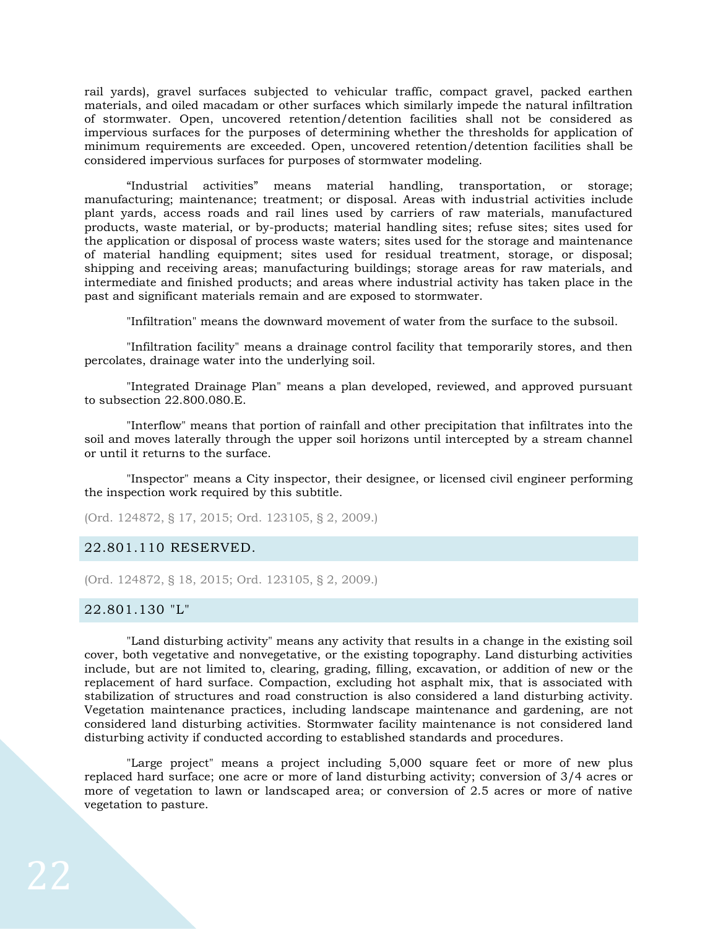rail yards), gravel surfaces subjected to vehicular traffic, compact gravel, packed earthen materials, and oiled macadam or other surfaces which similarly impede the natural infiltration of stormwater. Open, uncovered retention/detention facilities shall not be considered as impervious surfaces for the purposes of determining whether the thresholds for application of minimum requirements are exceeded. Open, uncovered retention/detention facilities shall be considered impervious surfaces for purposes of stormwater modeling.

"Industrial activities" means material handling, transportation, or storage; manufacturing; maintenance; treatment; or disposal. Areas with industrial activities include plant yards, access roads and rail lines used by carriers of raw materials, manufactured products, waste material, or by-products; material handling sites; refuse sites; sites used for the application or disposal of process waste waters; sites used for the storage and maintenance of material handling equipment; sites used for residual treatment, storage, or disposal; shipping and receiving areas; manufacturing buildings; storage areas for raw materials, and intermediate and finished products; and areas where industrial activity has taken place in the past and significant materials remain and are exposed to stormwater.

"Infiltration" means the downward movement of water from the surface to the subsoil.

"Infiltration facility" means a drainage control facility that temporarily stores, and then percolates, drainage water into the underlying soil.

"Integrated Drainage Plan" means a plan developed, reviewed, and approved pursuant to subsection 22.800.080.E.

"Interflow" means that portion of rainfall and other precipitation that infiltrates into the soil and moves laterally through the upper soil horizons until intercepted by a stream channel or until it returns to the surface.

"Inspector" means a City inspector, their designee, or licensed civil engineer performing the inspection work required by this subtitle.

(Ord. 124872, § 17, 2015; Ord. 123105, § 2, 2009.)

#### <span id="page-21-0"></span>22.801.110 RESERVED.

(Ord. 124872, § 18, 2015; Ord. 123105, § 2, 2009.)

#### <span id="page-21-1"></span>22.801.130 "L"

"Land disturbing activity" means any activity that results in a change in the existing soil cover, both vegetative and nonvegetative, or the existing topography. Land disturbing activities include, but are not limited to, clearing, grading, filling, excavation, or addition of new or the replacement of hard surface. Compaction, excluding hot asphalt mix, that is associated with stabilization of structures and road construction is also considered a land disturbing activity. Vegetation maintenance practices, including landscape maintenance and gardening, are not considered land disturbing activities. Stormwater facility maintenance is not considered land disturbing activity if conducted according to established standards and procedures.

"Large project" means a project including 5,000 square feet or more of new plus replaced hard surface; one acre or more of land disturbing activity; conversion of 3/4 acres or more of vegetation to lawn or landscaped area; or conversion of 2.5 acres or more of native vegetation to pasture.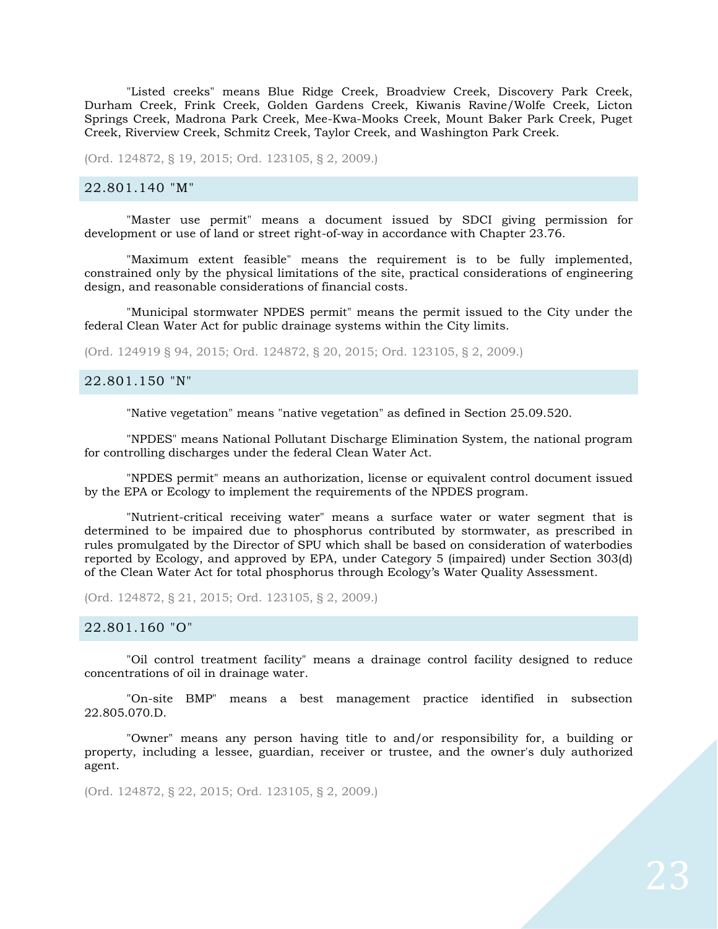"Listed creeks" means Blue Ridge Creek, Broadview Creek, Discovery Park Creek, Durham Creek, Frink Creek, Golden Gardens Creek, Kiwanis Ravine/Wolfe Creek, Licton Springs Creek, Madrona Park Creek, Mee-Kwa-Mooks Creek, Mount Baker Park Creek, Puget Creek, Riverview Creek, Schmitz Creek, Taylor Creek, and Washington Park Creek.

(Ord. 124872, § 19, 2015; Ord. 123105, § 2, 2009.)

#### <span id="page-22-0"></span>22.801.140 "M"

"Master use permit" means a document issued by SDCI giving permission for development or use of land or street right-of-way in accordance with Chapter 23.76.

"Maximum extent feasible" means the requirement is to be fully implemented, constrained only by the physical limitations of the site, practical considerations of engineering design, and reasonable considerations of financial costs.

"Municipal stormwater NPDES permit" means the permit issued to the City under the federal Clean Water Act for public drainage systems within the City limits.

(Ord. 124919 § 94, 2015; Ord. 124872, § 20, 2015; Ord. 123105, § 2, 2009.)

#### <span id="page-22-1"></span>22.801.150 "N"

"Native vegetation" means "native vegetation" as defined in Section 25.09.520.

"NPDES" means National Pollutant Discharge Elimination System, the national program for controlling discharges under the federal Clean Water Act.

"NPDES permit" means an authorization, license or equivalent control document issued by the EPA or Ecology to implement the requirements of the NPDES program.

"Nutrient-critical receiving water" means a surface water or water segment that is determined to be impaired due to phosphorus contributed by stormwater, as prescribed in rules promulgated by the Director of SPU which shall be based on consideration of waterbodies reported by Ecology, and approved by EPA, under Category 5 (impaired) under Section 303(d) of the Clean Water Act for total phosphorus through Ecology's Water Quality Assessment.

(Ord. 124872, § 21, 2015; Ord. 123105, § 2, 2009.)

#### <span id="page-22-2"></span>22.801.160 "O"

"Oil control treatment facility" means a drainage control facility designed to reduce concentrations of oil in drainage water.

"On-site BMP" means a best management practice identified in subsection 22.805.070.D.

"Owner" means any person having title to and/or responsibility for, a building or property, including a lessee, guardian, receiver or trustee, and the owner's duly authorized agent.

(Ord. 124872, § 22, 2015; Ord. 123105, § 2, 2009.)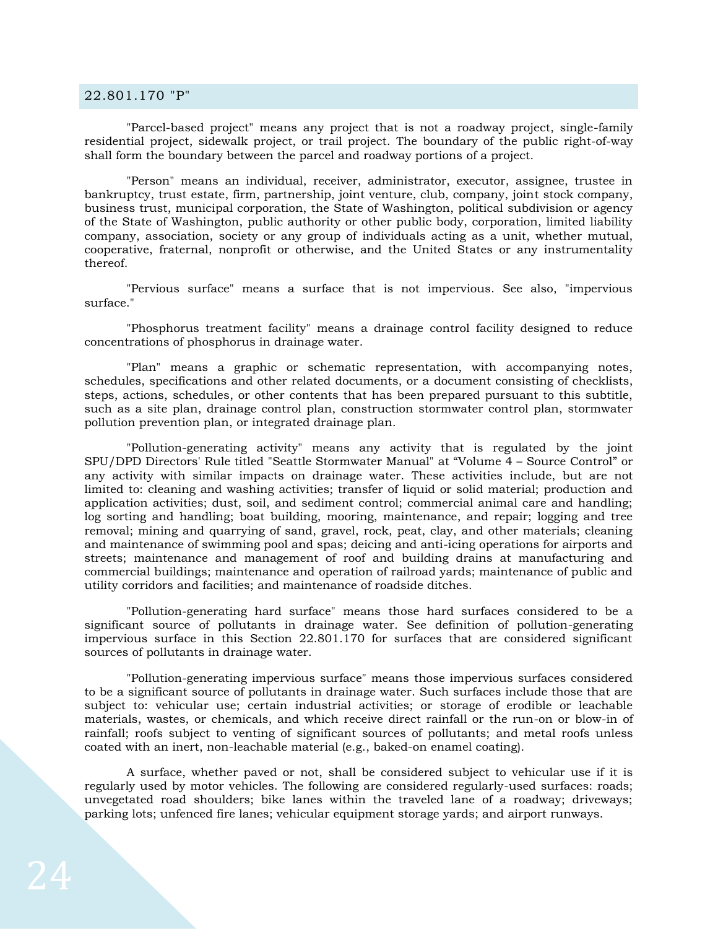#### <span id="page-23-0"></span>22.801.170 "P"

"Parcel-based project" means any project that is not a roadway project, single-family residential project, sidewalk project, or trail project. The boundary of the public right-of-way shall form the boundary between the parcel and roadway portions of a project.

"Person" means an individual, receiver, administrator, executor, assignee, trustee in bankruptcy, trust estate, firm, partnership, joint venture, club, company, joint stock company, business trust, municipal corporation, the State of Washington, political subdivision or agency of the State of Washington, public authority or other public body, corporation, limited liability company, association, society or any group of individuals acting as a unit, whether mutual, cooperative, fraternal, nonprofit or otherwise, and the United States or any instrumentality thereof.

"Pervious surface" means a surface that is not impervious. See also, "impervious surface."

"Phosphorus treatment facility" means a drainage control facility designed to reduce concentrations of phosphorus in drainage water.

"Plan" means a graphic or schematic representation, with accompanying notes, schedules, specifications and other related documents, or a document consisting of checklists, steps, actions, schedules, or other contents that has been prepared pursuant to this subtitle, such as a site plan, drainage control plan, construction stormwater control plan, stormwater pollution prevention plan, or integrated drainage plan.

"Pollution-generating activity" means any activity that is regulated by the joint SPU/DPD Directors' Rule titled "Seattle Stormwater Manual" at "Volume 4 – Source Control" or any activity with similar impacts on drainage water. These activities include, but are not limited to: cleaning and washing activities; transfer of liquid or solid material; production and application activities; dust, soil, and sediment control; commercial animal care and handling; log sorting and handling; boat building, mooring, maintenance, and repair; logging and tree removal; mining and quarrying of sand, gravel, rock, peat, clay, and other materials; cleaning and maintenance of swimming pool and spas; deicing and anti-icing operations for airports and streets; maintenance and management of roof and building drains at manufacturing and commercial buildings; maintenance and operation of railroad yards; maintenance of public and utility corridors and facilities; and maintenance of roadside ditches.

"Pollution-generating hard surface" means those hard surfaces considered to be a significant source of pollutants in drainage water. See definition of pollution-generating impervious surface in this Section 22.801.170 for surfaces that are considered significant sources of pollutants in drainage water.

"Pollution-generating impervious surface" means those impervious surfaces considered to be a significant source of pollutants in drainage water. Such surfaces include those that are subject to: vehicular use; certain industrial activities; or storage of erodible or leachable materials, wastes, or chemicals, and which receive direct rainfall or the run-on or blow-in of rainfall; roofs subject to venting of significant sources of pollutants; and metal roofs unless coated with an inert, non-leachable material (e.g., baked-on enamel coating).

A surface, whether paved or not, shall be considered subject to vehicular use if it is regularly used by motor vehicles. The following are considered regularly-used surfaces: roads; unvegetated road shoulders; bike lanes within the traveled lane of a roadway; driveways; parking lots; unfenced fire lanes; vehicular equipment storage yards; and airport runways.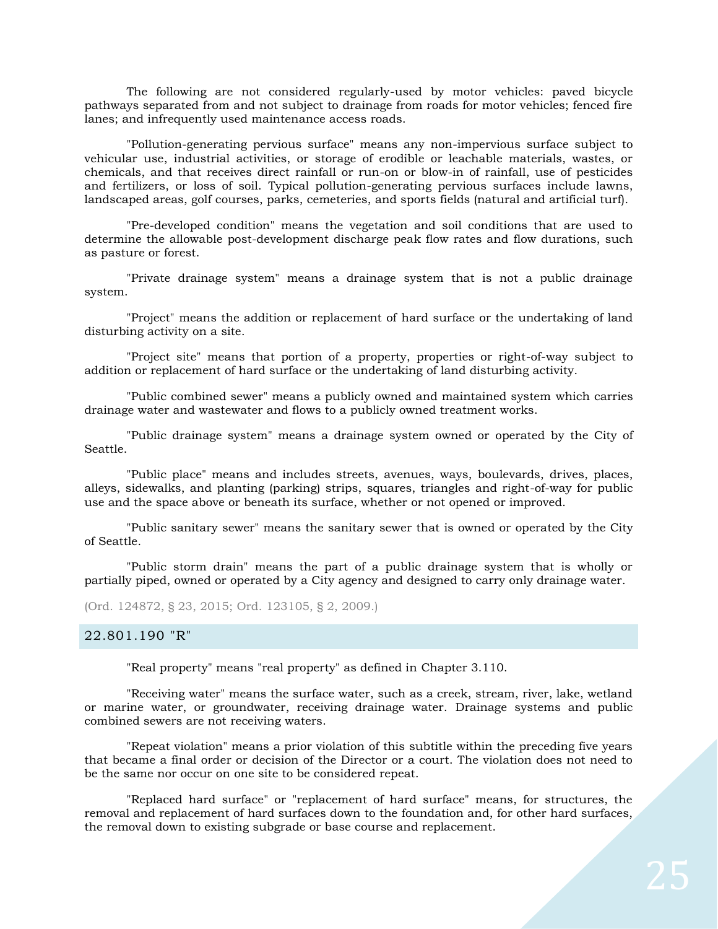The following are not considered regularly-used by motor vehicles: paved bicycle pathways separated from and not subject to drainage from roads for motor vehicles; fenced fire lanes; and infrequently used maintenance access roads.

"Pollution-generating pervious surface" means any non-impervious surface subject to vehicular use, industrial activities, or storage of erodible or leachable materials, wastes, or chemicals, and that receives direct rainfall or run-on or blow-in of rainfall, use of pesticides and fertilizers, or loss of soil. Typical pollution-generating pervious surfaces include lawns, landscaped areas, golf courses, parks, cemeteries, and sports fields (natural and artificial turf).

"Pre-developed condition" means the vegetation and soil conditions that are used to determine the allowable post-development discharge peak flow rates and flow durations, such as pasture or forest.

"Private drainage system" means a drainage system that is not a public drainage system.

"Project" means the addition or replacement of hard surface or the undertaking of land disturbing activity on a site.

"Project site" means that portion of a property, properties or right-of-way subject to addition or replacement of hard surface or the undertaking of land disturbing activity.

"Public combined sewer" means a publicly owned and maintained system which carries drainage water and wastewater and flows to a publicly owned treatment works.

"Public drainage system" means a drainage system owned or operated by the City of Seattle.

"Public place" means and includes streets, avenues, ways, boulevards, drives, places, alleys, sidewalks, and planting (parking) strips, squares, triangles and right-of-way for public use and the space above or beneath its surface, whether or not opened or improved.

"Public sanitary sewer" means the sanitary sewer that is owned or operated by the City of Seattle.

"Public storm drain" means the part of a public drainage system that is wholly or partially piped, owned or operated by a City agency and designed to carry only drainage water.

(Ord. 124872, § 23, 2015; Ord. 123105, § 2, 2009.)

## <span id="page-24-0"></span>22.801.190 "R"

"Real property" means "real property" as defined in Chapter 3.110.

"Receiving water" means the surface water, such as a creek, stream, river, lake, wetland or marine water, or groundwater, receiving drainage water. Drainage systems and public combined sewers are not receiving waters.

"Repeat violation" means a prior violation of this subtitle within the preceding five years that became a final order or decision of the Director or a court. The violation does not need to be the same nor occur on one site to be considered repeat.

"Replaced hard surface" or "replacement of hard surface" means, for structures, the removal and replacement of hard surfaces down to the foundation and, for other hard surfaces, the removal down to existing subgrade or base course and replacement.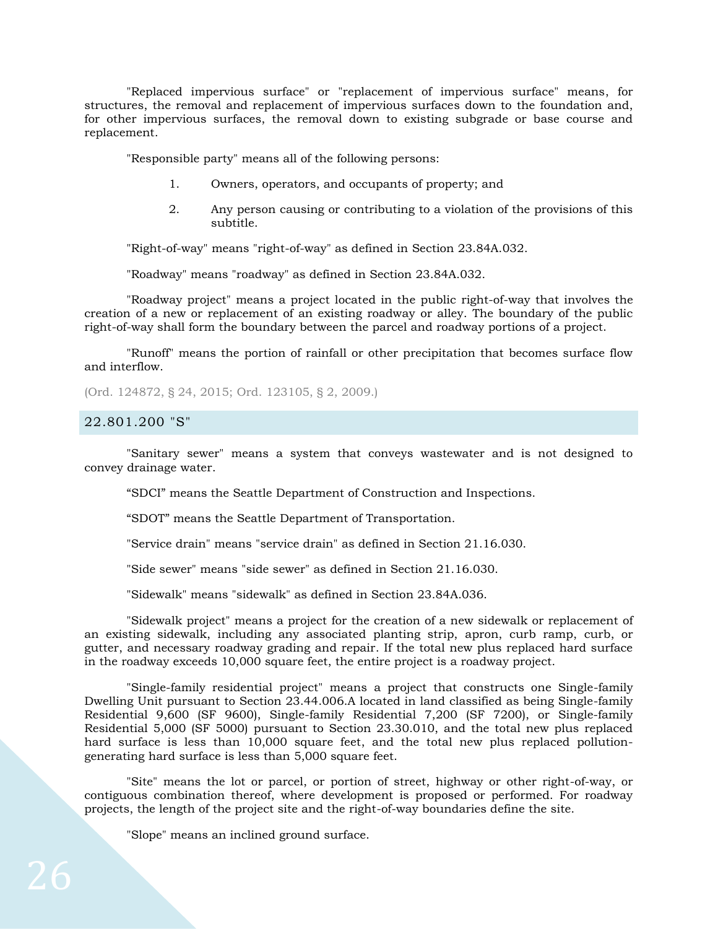"Replaced impervious surface" or "replacement of impervious surface" means, for structures, the removal and replacement of impervious surfaces down to the foundation and, for other impervious surfaces, the removal down to existing subgrade or base course and replacement.

"Responsible party" means all of the following persons:

- 1. Owners, operators, and occupants of property; and
- 2. Any person causing or contributing to a violation of the provisions of this subtitle.

"Right-of-way" means "right-of-way" as defined in Section 23.84A.032.

"Roadway" means "roadway" as defined in Section 23.84A.032.

"Roadway project" means a project located in the public right-of-way that involves the creation of a new or replacement of an existing roadway or alley. The boundary of the public right-of-way shall form the boundary between the parcel and roadway portions of a project.

"Runoff" means the portion of rainfall or other precipitation that becomes surface flow and interflow.

(Ord. 124872, § 24, 2015; Ord. 123105, § 2, 2009.)

#### <span id="page-25-0"></span>22.801.200 "S"

"Sanitary sewer" means a system that conveys wastewater and is not designed to convey drainage water.

"SDCI" means the Seattle Department of Construction and Inspections.

"SDOT" means the Seattle Department of Transportation.

"Service drain" means "service drain" as defined in Section 21.16.030.

"Side sewer" means "side sewer" as defined in Section 21.16.030.

"Sidewalk" means "sidewalk" as defined in Section 23.84A.036.

"Sidewalk project" means a project for the creation of a new sidewalk or replacement of an existing sidewalk, including any associated planting strip, apron, curb ramp, curb, or gutter, and necessary roadway grading and repair. If the total new plus replaced hard surface in the roadway exceeds 10,000 square feet, the entire project is a roadway project.

"Single-family residential project" means a project that constructs one Single-family Dwelling Unit pursuant to Section 23.44.006.A located in land classified as being Single-family Residential 9,600 (SF 9600), Single-family Residential 7,200 (SF 7200), or Single-family Residential 5,000 (SF 5000) pursuant to Section 23.30.010, and the total new plus replaced hard surface is less than 10,000 square feet, and the total new plus replaced pollutiongenerating hard surface is less than 5,000 square feet.

"Site" means the lot or parcel, or portion of street, highway or other right-of-way, or contiguous combination thereof, where development is proposed or performed. For roadway projects, the length of the project site and the right-of-way boundaries define the site.

"Slope" means an inclined ground surface.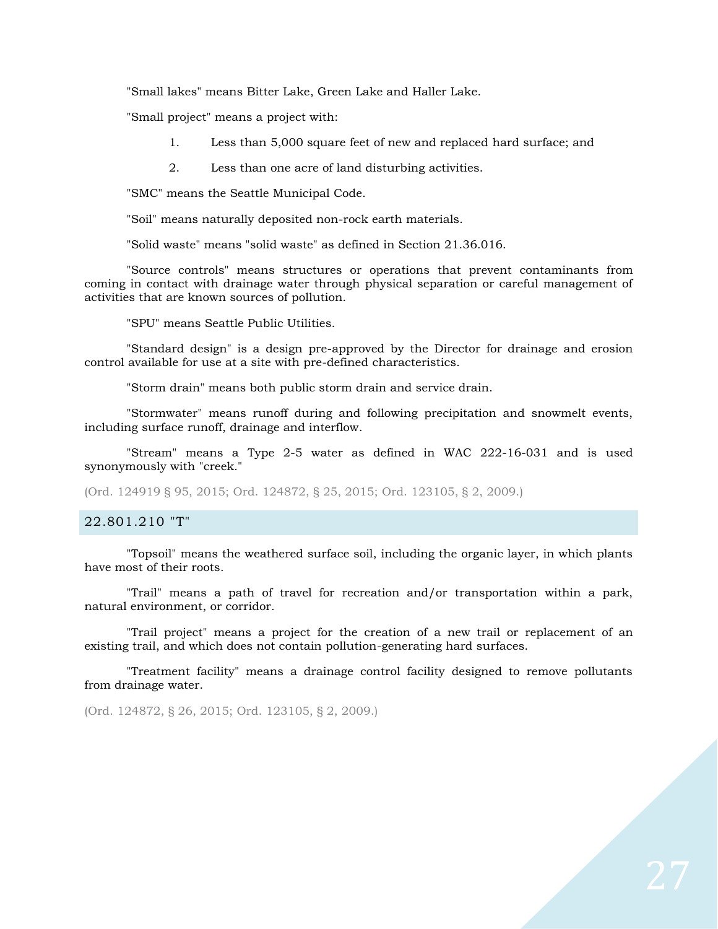"Small lakes" means Bitter Lake, Green Lake and Haller Lake.

"Small project" means a project with:

- 1. Less than 5,000 square feet of new and replaced hard surface; and
- 2. Less than one acre of land disturbing activities.

"SMC" means the Seattle Municipal Code.

"Soil" means naturally deposited non-rock earth materials.

"Solid waste" means "solid waste" as defined in Section 21.36.016.

"Source controls" means structures or operations that prevent contaminants from coming in contact with drainage water through physical separation or careful management of activities that are known sources of pollution.

"SPU" means Seattle Public Utilities.

"Standard design" is a design pre-approved by the Director for drainage and erosion control available for use at a site with pre-defined characteristics.

"Storm drain" means both public storm drain and service drain.

"Stormwater" means runoff during and following precipitation and snowmelt events, including surface runoff, drainage and interflow.

"Stream" means a Type 2-5 water as defined in WAC 222-16-031 and is used synonymously with "creek."

(Ord. 124919 § 95, 2015; Ord. 124872, § 25, 2015; Ord. 123105, § 2, 2009.)

#### <span id="page-26-0"></span>22.801.210 "T"

"Topsoil" means the weathered surface soil, including the organic layer, in which plants have most of their roots.

"Trail" means a path of travel for recreation and/or transportation within a park, natural environment, or corridor.

"Trail project" means a project for the creation of a new trail or replacement of an existing trail, and which does not contain pollution-generating hard surfaces.

"Treatment facility" means a drainage control facility designed to remove pollutants from drainage water.

(Ord. 124872, § 26, 2015; Ord. 123105, § 2, 2009.)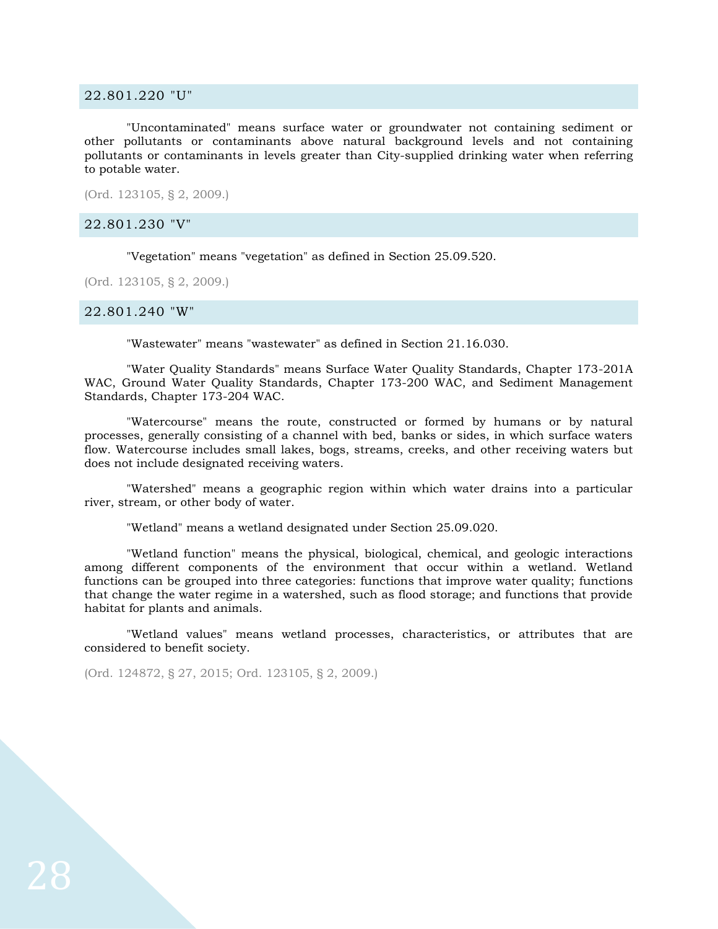#### <span id="page-27-0"></span>22.801.220 "U"

"Uncontaminated" means surface water or groundwater not containing sediment or other pollutants or contaminants above natural background levels and not containing pollutants or contaminants in levels greater than City-supplied drinking water when referring to potable water.

(Ord. 123105, § 2, 2009.)

#### <span id="page-27-1"></span>22.801.230 "V"

"Vegetation" means "vegetation" as defined in Section 25.09.520.

(Ord. 123105, § 2, 2009.)

#### <span id="page-27-2"></span>22.801.240 "W"

"Wastewater" means "wastewater" as defined in Section 21.16.030.

"Water Quality Standards" means Surface Water Quality Standards, Chapter 173-201A WAC, Ground Water Quality Standards, Chapter 173-200 WAC, and Sediment Management Standards, Chapter 173-204 WAC.

"Watercourse" means the route, constructed or formed by humans or by natural processes, generally consisting of a channel with bed, banks or sides, in which surface waters flow. Watercourse includes small lakes, bogs, streams, creeks, and other receiving waters but does not include designated receiving waters.

"Watershed" means a geographic region within which water drains into a particular river, stream, or other body of water.

"Wetland" means a wetland designated under Section 25.09.020.

"Wetland function" means the physical, biological, chemical, and geologic interactions among different components of the environment that occur within a wetland. Wetland functions can be grouped into three categories: functions that improve water quality; functions that change the water regime in a watershed, such as flood storage; and functions that provide habitat for plants and animals.

"Wetland values" means wetland processes, characteristics, or attributes that are considered to benefit society.

(Ord. 124872, § 27, 2015; Ord. 123105, § 2, 2009.)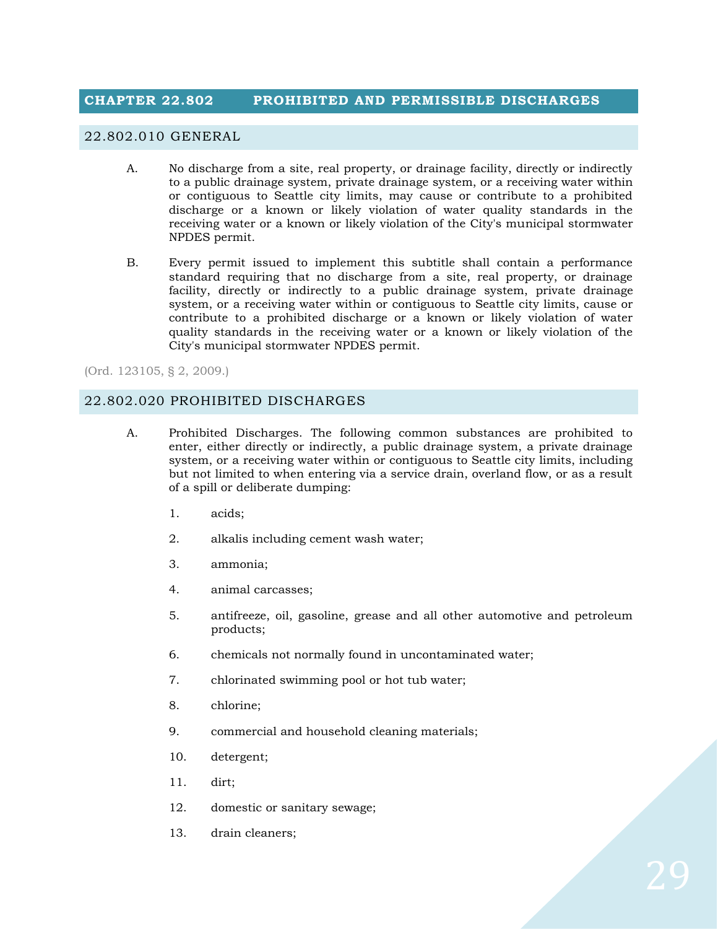## <span id="page-28-0"></span>**CHAPTER 22.802 PROHIBITED AND PERMISSIBLE DISCHARGES**

## <span id="page-28-1"></span>22.802.010 GENERAL

- A. No discharge from a site, real property, or drainage facility, directly or indirectly to a public drainage system, private drainage system, or a receiving water within or contiguous to Seattle city limits, may cause or contribute to a prohibited discharge or a known or likely violation of water quality standards in the receiving water or a known or likely violation of the City's municipal stormwater NPDES permit.
- B. Every permit issued to implement this subtitle shall contain a performance standard requiring that no discharge from a site, real property, or drainage facility, directly or indirectly to a public drainage system, private drainage system, or a receiving water within or contiguous to Seattle city limits, cause or contribute to a prohibited discharge or a known or likely violation of water quality standards in the receiving water or a known or likely violation of the City's municipal stormwater NPDES permit.

(Ord. 123105, § 2, 2009.)

#### <span id="page-28-2"></span>22.802.020 PROHIBITED DISCHARGES

- A. Prohibited Discharges. The following common substances are prohibited to enter, either directly or indirectly, a public drainage system, a private drainage system, or a receiving water within or contiguous to Seattle city limits, including but not limited to when entering via a service drain, overland flow, or as a result of a spill or deliberate dumping:
	- 1. acids;
	- 2. alkalis including cement wash water;
	- 3. ammonia;
	- 4. animal carcasses;
	- 5. antifreeze, oil, gasoline, grease and all other automotive and petroleum products;
	- 6. chemicals not normally found in uncontaminated water;
	- 7. chlorinated swimming pool or hot tub water;
	- 8. chlorine;
	- 9. commercial and household cleaning materials;
	- 10. detergent;
	- 11. dirt;
	- 12. domestic or sanitary sewage;
	- 13. drain cleaners;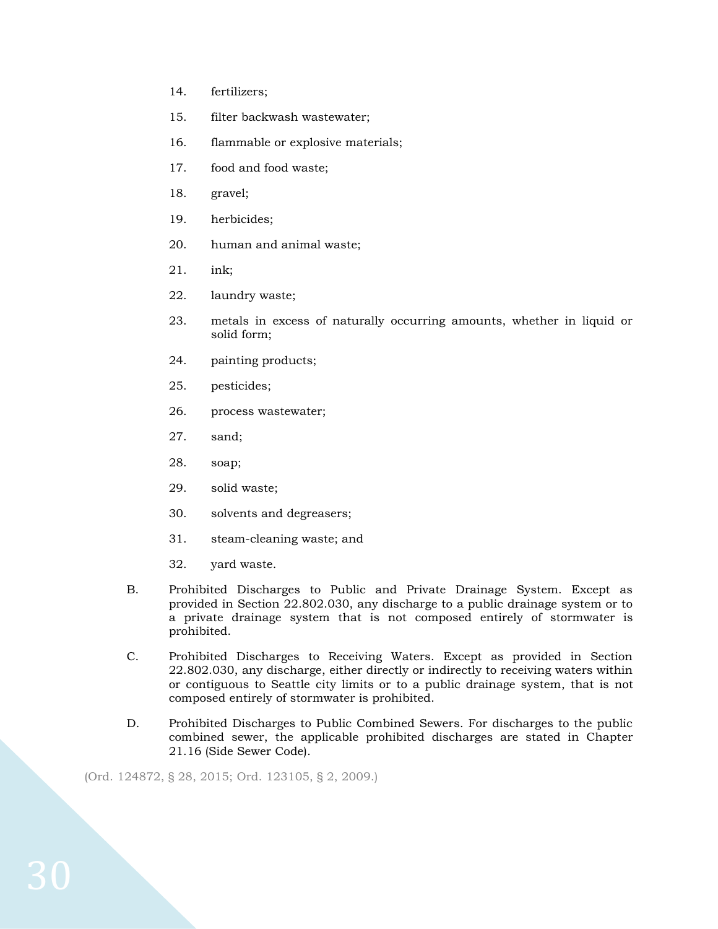- 14. fertilizers;
- 15. filter backwash wastewater;
- 16. flammable or explosive materials;
- 17. food and food waste;
- 18. gravel;
- 19. herbicides;
- 20. human and animal waste;
- 21. ink;
- 22. laundry waste;
- 23. metals in excess of naturally occurring amounts, whether in liquid or solid form;
- 24. painting products;
- 25. pesticides;
- 26. process wastewater;
- 27. sand;
- 28. soap;
- 29. solid waste;
- 30. solvents and degreasers;
- 31. steam-cleaning waste; and
- 32. yard waste.
- B. Prohibited Discharges to Public and Private Drainage System. Except as provided in Section 22.802.030, any discharge to a public drainage system or to a private drainage system that is not composed entirely of stormwater is prohibited.
- C. Prohibited Discharges to Receiving Waters. Except as provided in Section 22.802.030, any discharge, either directly or indirectly to receiving waters within or contiguous to Seattle city limits or to a public drainage system, that is not composed entirely of stormwater is prohibited.
- D. Prohibited Discharges to Public Combined Sewers. For discharges to the public combined sewer, the applicable prohibited discharges are stated in Chapter 21.16 (Side Sewer Code).

(Ord. 124872, § 28, 2015; Ord. 123105, § 2, 2009.)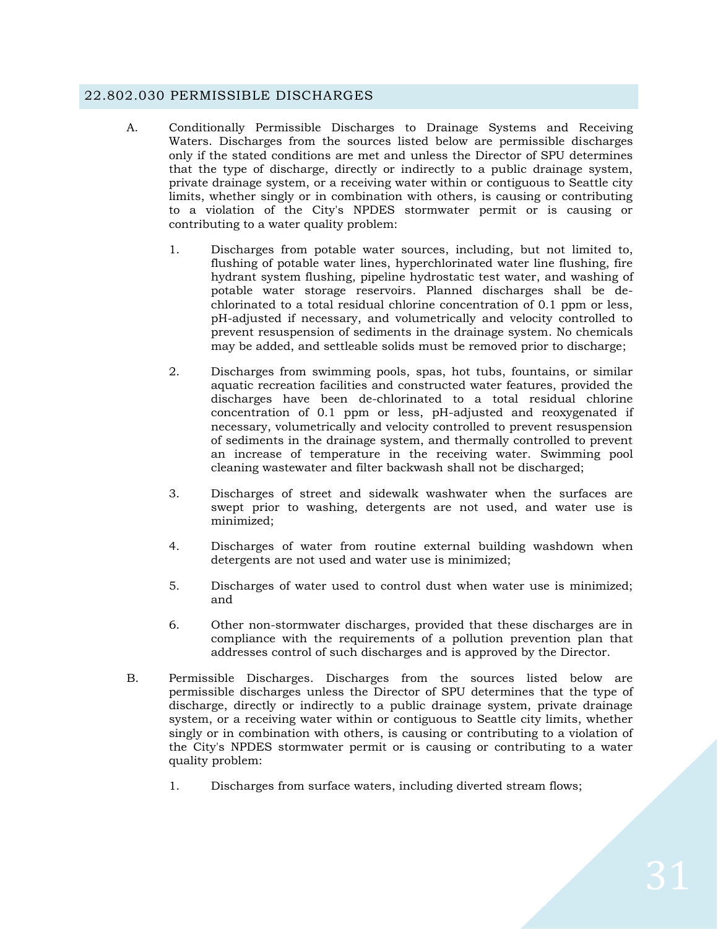### <span id="page-30-0"></span>22.802.030 PERMISSIBLE DISCHARGES

- A. Conditionally Permissible Discharges to Drainage Systems and Receiving Waters. Discharges from the sources listed below are permissible discharges only if the stated conditions are met and unless the Director of SPU determines that the type of discharge, directly or indirectly to a public drainage system, private drainage system, or a receiving water within or contiguous to Seattle city limits, whether singly or in combination with others, is causing or contributing to a violation of the City's NPDES stormwater permit or is causing or contributing to a water quality problem:
	- 1. Discharges from potable water sources, including, but not limited to, flushing of potable water lines, hyperchlorinated water line flushing, fire hydrant system flushing, pipeline hydrostatic test water, and washing of potable water storage reservoirs. Planned discharges shall be dechlorinated to a total residual chlorine concentration of 0.1 ppm or less, pH-adjusted if necessary, and volumetrically and velocity controlled to prevent resuspension of sediments in the drainage system. No chemicals may be added, and settleable solids must be removed prior to discharge;
	- 2. Discharges from swimming pools, spas, hot tubs, fountains, or similar aquatic recreation facilities and constructed water features, provided the discharges have been de-chlorinated to a total residual chlorine concentration of 0.1 ppm or less, pH-adjusted and reoxygenated if necessary, volumetrically and velocity controlled to prevent resuspension of sediments in the drainage system, and thermally controlled to prevent an increase of temperature in the receiving water. Swimming pool cleaning wastewater and filter backwash shall not be discharged;
	- 3. Discharges of street and sidewalk washwater when the surfaces are swept prior to washing, detergents are not used, and water use is minimized;
	- 4. Discharges of water from routine external building washdown when detergents are not used and water use is minimized;
	- 5. Discharges of water used to control dust when water use is minimized; and
	- 6. Other non-stormwater discharges, provided that these discharges are in compliance with the requirements of a pollution prevention plan that addresses control of such discharges and is approved by the Director.
- B. Permissible Discharges. Discharges from the sources listed below are permissible discharges unless the Director of SPU determines that the type of discharge, directly or indirectly to a public drainage system, private drainage system, or a receiving water within or contiguous to Seattle city limits, whether singly or in combination with others, is causing or contributing to a violation of the City's NPDES stormwater permit or is causing or contributing to a water quality problem:
	- 1. Discharges from surface waters, including diverted stream flows;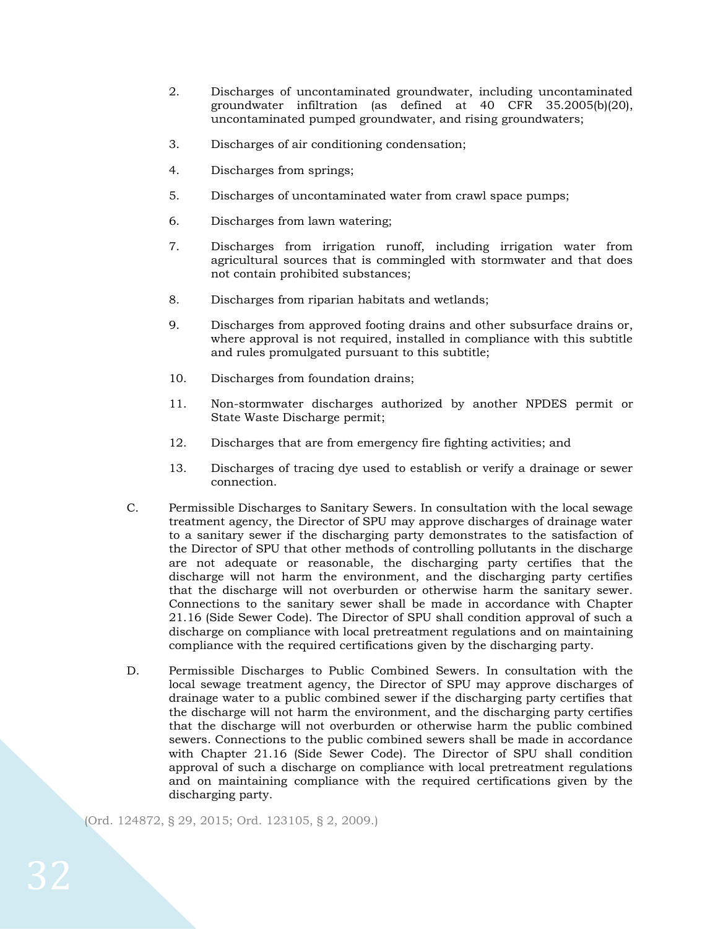- 2. Discharges of uncontaminated groundwater, including uncontaminated groundwater infiltration (as defined at 40 CFR 35.2005(b)(20), uncontaminated pumped groundwater, and rising groundwaters;
- 3. Discharges of air conditioning condensation;
- 4. Discharges from springs;
- 5. Discharges of uncontaminated water from crawl space pumps;
- 6. Discharges from lawn watering;
- 7. Discharges from irrigation runoff, including irrigation water from agricultural sources that is commingled with stormwater and that does not contain prohibited substances;
- 8. Discharges from riparian habitats and wetlands;
- 9. Discharges from approved footing drains and other subsurface drains or, where approval is not required, installed in compliance with this subtitle and rules promulgated pursuant to this subtitle;
- 10. Discharges from foundation drains;
- 11. Non-stormwater discharges authorized by another NPDES permit or State Waste Discharge permit;
- 12. Discharges that are from emergency fire fighting activities; and
- 13. Discharges of tracing dye used to establish or verify a drainage or sewer connection.
- C. Permissible Discharges to Sanitary Sewers. In consultation with the local sewage treatment agency, the Director of SPU may approve discharges of drainage water to a sanitary sewer if the discharging party demonstrates to the satisfaction of the Director of SPU that other methods of controlling pollutants in the discharge are not adequate or reasonable, the discharging party certifies that the discharge will not harm the environment, and the discharging party certifies that the discharge will not overburden or otherwise harm the sanitary sewer. Connections to the sanitary sewer shall be made in accordance with Chapter 21.16 (Side Sewer Code). The Director of SPU shall condition approval of such a discharge on compliance with local pretreatment regulations and on maintaining compliance with the required certifications given by the discharging party.
- D. Permissible Discharges to Public Combined Sewers. In consultation with the local sewage treatment agency, the Director of SPU may approve discharges of drainage water to a public combined sewer if the discharging party certifies that the discharge will not harm the environment, and the discharging party certifies that the discharge will not overburden or otherwise harm the public combined sewers. Connections to the public combined sewers shall be made in accordance with Chapter 21.16 (Side Sewer Code). The Director of SPU shall condition approval of such a discharge on compliance with local pretreatment regulations and on maintaining compliance with the required certifications given by the discharging party.

(Ord. 124872, § 29, 2015; Ord. 123105, § 2, 2009.)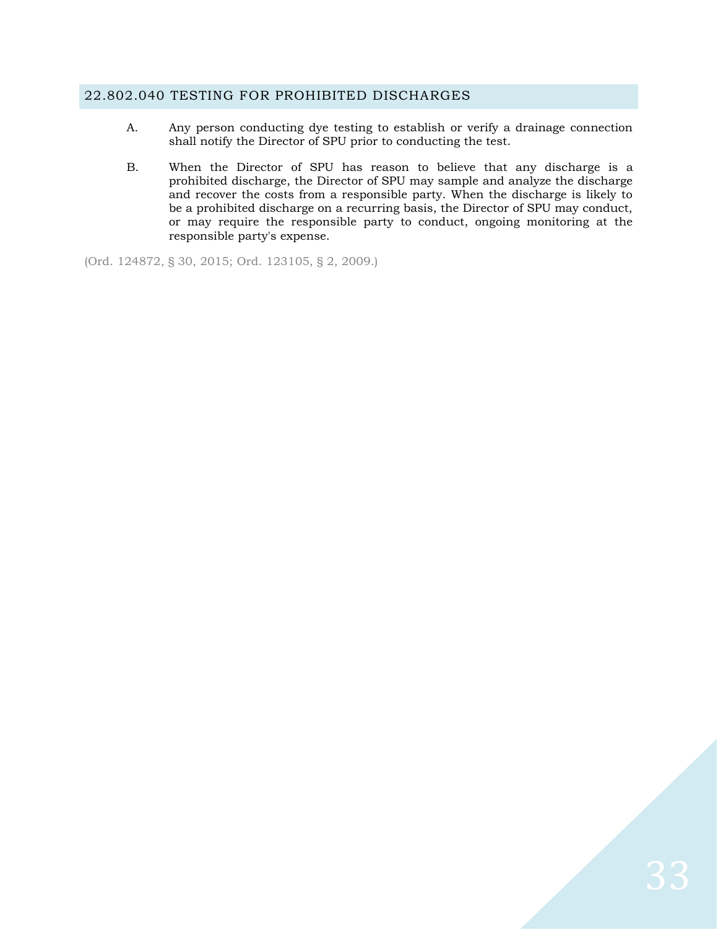### <span id="page-32-0"></span>22.802.040 TESTING FOR PROHIBITED DISCHARGES

- A. Any person conducting dye testing to establish or verify a drainage connection shall notify the Director of SPU prior to conducting the test.
- B. When the Director of SPU has reason to believe that any discharge is a prohibited discharge, the Director of SPU may sample and analyze the discharge and recover the costs from a responsible party. When the discharge is likely to be a prohibited discharge on a recurring basis, the Director of SPU may conduct, or may require the responsible party to conduct, ongoing monitoring at the responsible party's expense.

(Ord. 124872, § 30, 2015; Ord. 123105, § 2, 2009.)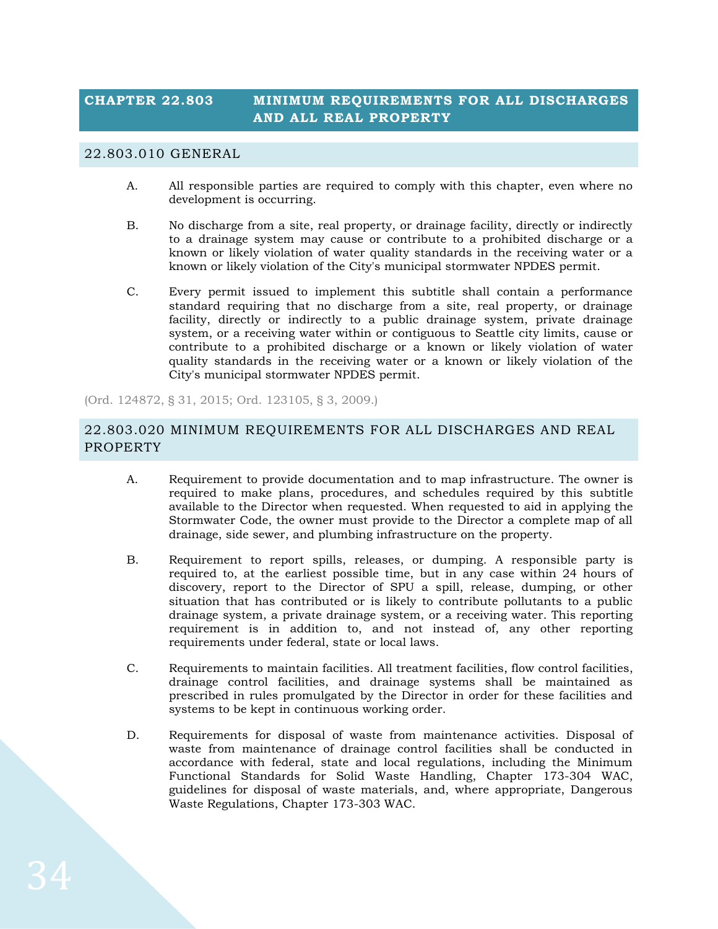## <span id="page-33-0"></span>**CHAPTER 22.803 MINIMUM REQUIREMENTS FOR ALL DISCHARGES AND ALL REAL PROPERTY**

#### <span id="page-33-1"></span>22.803.010 GENERAL

- A. All responsible parties are required to comply with this chapter, even where no development is occurring.
- B. No discharge from a site, real property, or drainage facility, directly or indirectly to a drainage system may cause or contribute to a prohibited discharge or a known or likely violation of water quality standards in the receiving water or a known or likely violation of the City's municipal stormwater NPDES permit.
- C. Every permit issued to implement this subtitle shall contain a performance standard requiring that no discharge from a site, real property, or drainage facility, directly or indirectly to a public drainage system, private drainage system, or a receiving water within or contiguous to Seattle city limits, cause or contribute to a prohibited discharge or a known or likely violation of water quality standards in the receiving water or a known or likely violation of the City's municipal stormwater NPDES permit.

(Ord. 124872, § 31, 2015; Ord. 123105, § 3, 2009.)

## <span id="page-33-2"></span>22.803.020 MINIMUM REQUIREMENTS FOR ALL DISCHARGES AND REAL PROPERTY

- A. Requirement to provide documentation and to map infrastructure. The owner is required to make plans, procedures, and schedules required by this subtitle available to the Director when requested. When requested to aid in applying the Stormwater Code, the owner must provide to the Director a complete map of all drainage, side sewer, and plumbing infrastructure on the property.
- B. Requirement to report spills, releases, or dumping. A responsible party is required to, at the earliest possible time, but in any case within 24 hours of discovery, report to the Director of SPU a spill, release, dumping, or other situation that has contributed or is likely to contribute pollutants to a public drainage system, a private drainage system, or a receiving water. This reporting requirement is in addition to, and not instead of, any other reporting requirements under federal, state or local laws.
- C. Requirements to maintain facilities. All treatment facilities, flow control facilities, drainage control facilities, and drainage systems shall be maintained as prescribed in rules promulgated by the Director in order for these facilities and systems to be kept in continuous working order.
- D. Requirements for disposal of waste from maintenance activities. Disposal of waste from maintenance of drainage control facilities shall be conducted in accordance with federal, state and local regulations, including the Minimum Functional Standards for Solid Waste Handling, Chapter 173-304 WAC, guidelines for disposal of waste materials, and, where appropriate, Dangerous Waste Regulations, Chapter 173-303 WAC.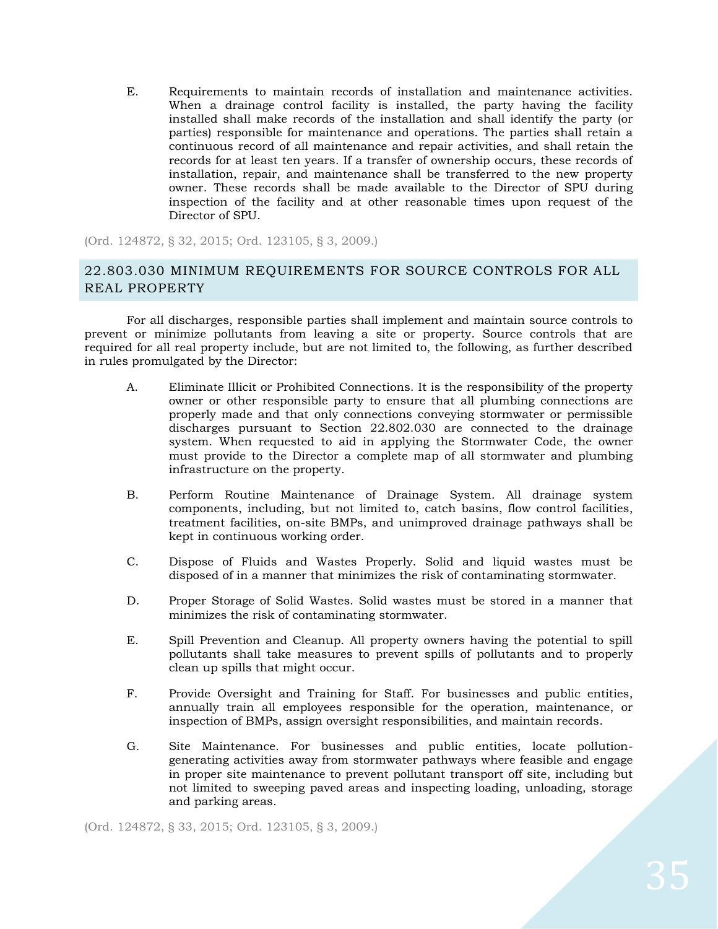E. Requirements to maintain records of installation and maintenance activities. When a drainage control facility is installed, the party having the facility installed shall make records of the installation and shall identify the party (or parties) responsible for maintenance and operations. The parties shall retain a continuous record of all maintenance and repair activities, and shall retain the records for at least ten years. If a transfer of ownership occurs, these records of installation, repair, and maintenance shall be transferred to the new property owner. These records shall be made available to the Director of SPU during inspection of the facility and at other reasonable times upon request of the Director of SPU.

(Ord. 124872, § 32, 2015; Ord. 123105, § 3, 2009.)

## <span id="page-34-0"></span>22.803.030 MINIMUM REQUIREMENTS FOR SOURCE CONTROLS FOR ALL REAL PROPERTY

For all discharges, responsible parties shall implement and maintain source controls to prevent or minimize pollutants from leaving a site or property. Source controls that are required for all real property include, but are not limited to, the following, as further described in rules promulgated by the Director:

- A. Eliminate Illicit or Prohibited Connections. It is the responsibility of the property owner or other responsible party to ensure that all plumbing connections are properly made and that only connections conveying stormwater or permissible discharges pursuant to Section 22.802.030 are connected to the drainage system. When requested to aid in applying the Stormwater Code, the owner must provide to the Director a complete map of all stormwater and plumbing infrastructure on the property.
- B. Perform Routine Maintenance of Drainage System. All drainage system components, including, but not limited to, catch basins, flow control facilities, treatment facilities, on-site BMPs, and unimproved drainage pathways shall be kept in continuous working order.
- C. Dispose of Fluids and Wastes Properly. Solid and liquid wastes must be disposed of in a manner that minimizes the risk of contaminating stormwater.
- D. Proper Storage of Solid Wastes. Solid wastes must be stored in a manner that minimizes the risk of contaminating stormwater.
- E. Spill Prevention and Cleanup. All property owners having the potential to spill pollutants shall take measures to prevent spills of pollutants and to properly clean up spills that might occur.
- F. Provide Oversight and Training for Staff. For businesses and public entities, annually train all employees responsible for the operation, maintenance, or inspection of BMPs, assign oversight responsibilities, and maintain records.
- G. Site Maintenance. For businesses and public entities, locate pollutiongenerating activities away from stormwater pathways where feasible and engage in proper site maintenance to prevent pollutant transport off site, including but not limited to sweeping paved areas and inspecting loading, unloading, storage and parking areas.

(Ord. 124872, § 33, 2015; Ord. 123105, § 3, 2009.)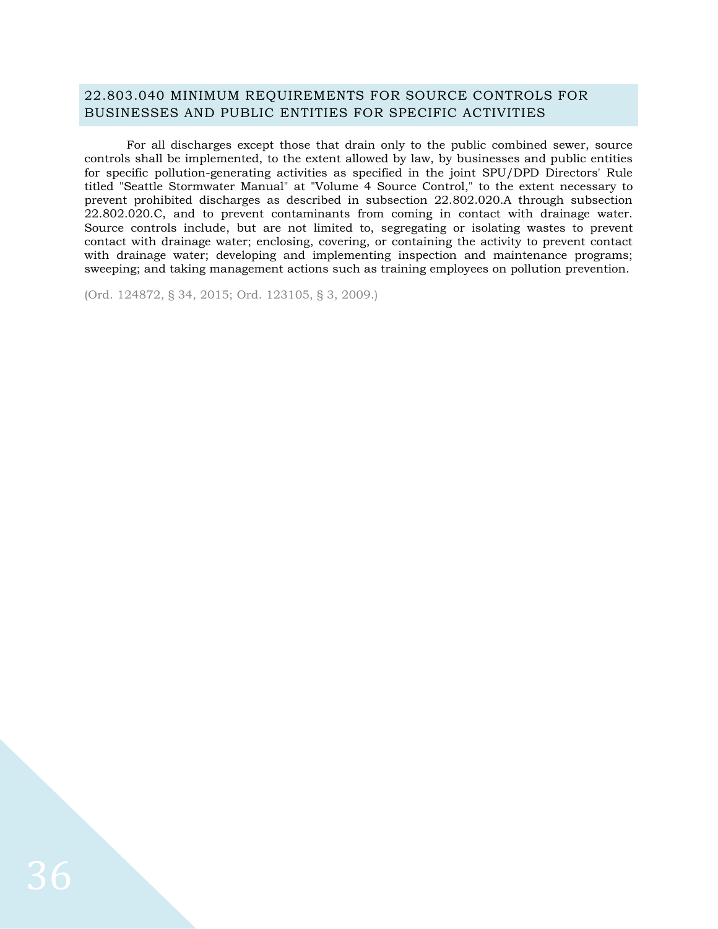## <span id="page-35-0"></span>22.803.040 MINIMUM REQUIREMENTS FOR SOURCE CONTROLS FOR BUSINESSES AND PUBLIC ENTITIES FOR SPECIFIC ACTIVITIES

For all discharges except those that drain only to the public combined sewer, source controls shall be implemented, to the extent allowed by law, by businesses and public entities for specific pollution-generating activities as specified in the joint SPU/DPD Directors' Rule titled "Seattle Stormwater Manual" at "Volume 4 Source Control," to the extent necessary to prevent prohibited discharges as described in subsection 22.802.020.A through subsection 22.802.020.C, and to prevent contaminants from coming in contact with drainage water. Source controls include, but are not limited to, segregating or isolating wastes to prevent contact with drainage water; enclosing, covering, or containing the activity to prevent contact with drainage water; developing and implementing inspection and maintenance programs; sweeping; and taking management actions such as training employees on pollution prevention.

(Ord. 124872, § 34, 2015; Ord. 123105, § 3, 2009.)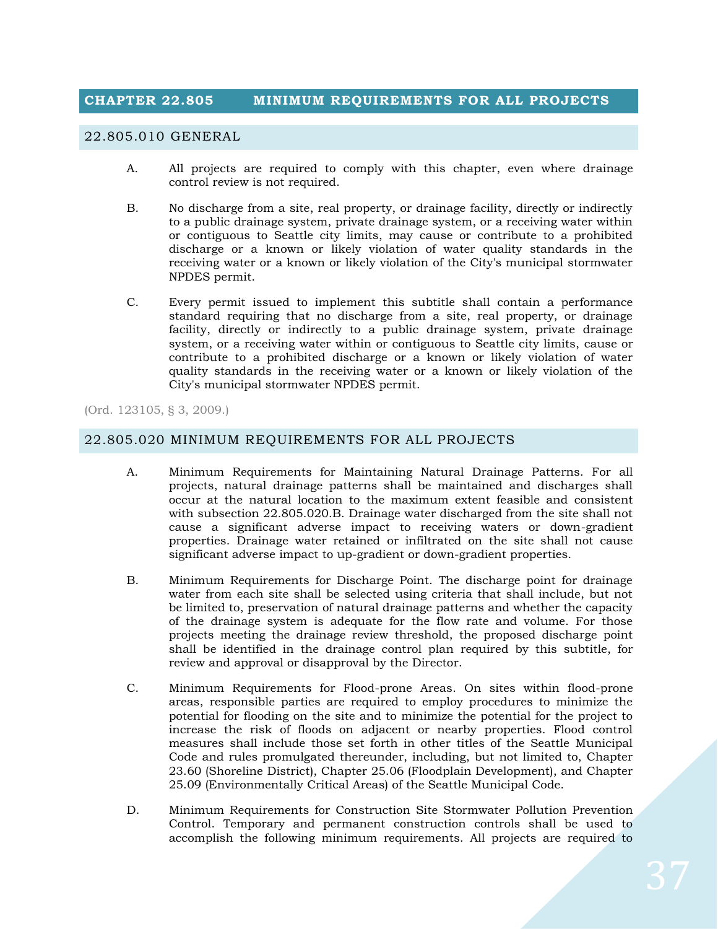# **CHAPTER 22.805 MINIMUM REQUIREMENTS FOR ALL PROJECTS**

#### 22.805.010 GENERAL

- A. All projects are required to comply with this chapter, even where drainage control review is not required.
- B. No discharge from a site, real property, or drainage facility, directly or indirectly to a public drainage system, private drainage system, or a receiving water within or contiguous to Seattle city limits, may cause or contribute to a prohibited discharge or a known or likely violation of water quality standards in the receiving water or a known or likely violation of the City's municipal stormwater NPDES permit.
- C. Every permit issued to implement this subtitle shall contain a performance standard requiring that no discharge from a site, real property, or drainage facility, directly or indirectly to a public drainage system, private drainage system, or a receiving water within or contiguous to Seattle city limits, cause or contribute to a prohibited discharge or a known or likely violation of water quality standards in the receiving water or a known or likely violation of the City's municipal stormwater NPDES permit.

(Ord. 123105, § 3, 2009.)

#### 22.805.020 MINIMUM REQUIREMENTS FOR ALL PROJECTS

- A. Minimum Requirements for Maintaining Natural Drainage Patterns. For all projects, natural drainage patterns shall be maintained and discharges shall occur at the natural location to the maximum extent feasible and consistent with subsection 22.805.020.B. Drainage water discharged from the site shall not cause a significant adverse impact to receiving waters or down-gradient properties. Drainage water retained or infiltrated on the site shall not cause significant adverse impact to up-gradient or down-gradient properties.
- B. Minimum Requirements for Discharge Point. The discharge point for drainage water from each site shall be selected using criteria that shall include, but not be limited to, preservation of natural drainage patterns and whether the capacity of the drainage system is adequate for the flow rate and volume. For those projects meeting the drainage review threshold, the proposed discharge point shall be identified in the drainage control plan required by this subtitle, for review and approval or disapproval by the Director.
- C. Minimum Requirements for Flood-prone Areas. On sites within flood-prone areas, responsible parties are required to employ procedures to minimize the potential for flooding on the site and to minimize the potential for the project to increase the risk of floods on adjacent or nearby properties. Flood control measures shall include those set forth in other titles of the Seattle Municipal Code and rules promulgated thereunder, including, but not limited to, Chapter 23.60 (Shoreline District), Chapter 25.06 (Floodplain Development), and Chapter 25.09 (Environmentally Critical Areas) of the Seattle Municipal Code.
- D. Minimum Requirements for Construction Site Stormwater Pollution Prevention Control. Temporary and permanent construction controls shall be used to accomplish the following minimum requirements. All projects are required to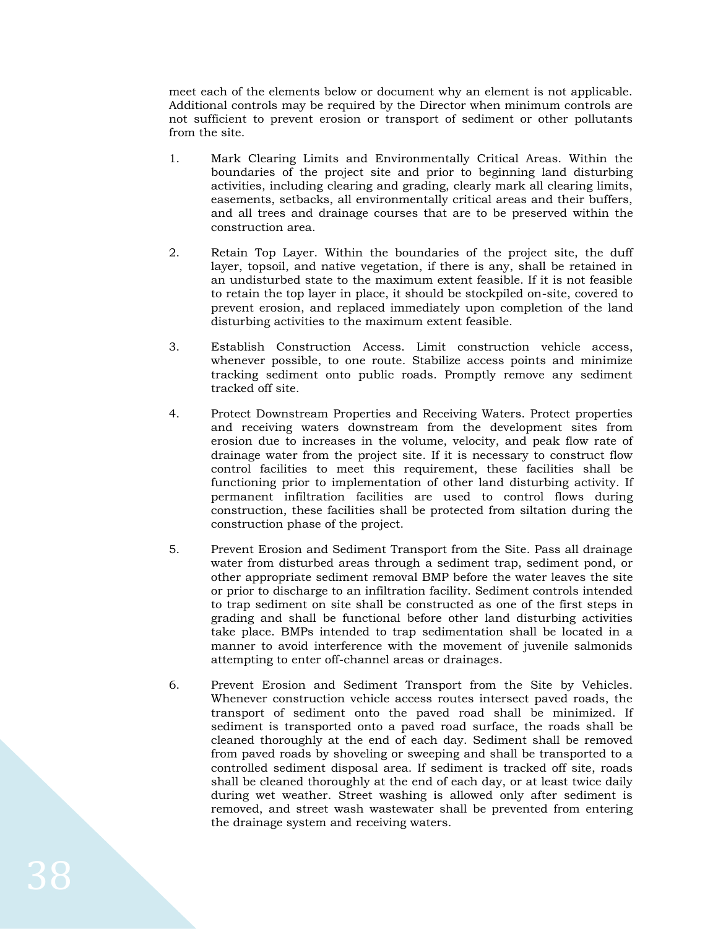meet each of the elements below or document why an element is not applicable. Additional controls may be required by the Director when minimum controls are not sufficient to prevent erosion or transport of sediment or other pollutants from the site.

- 1. Mark Clearing Limits and Environmentally Critical Areas. Within the boundaries of the project site and prior to beginning land disturbing activities, including clearing and grading, clearly mark all clearing limits, easements, setbacks, all environmentally critical areas and their buffers, and all trees and drainage courses that are to be preserved within the construction area.
- 2. Retain Top Layer. Within the boundaries of the project site, the duff layer, topsoil, and native vegetation, if there is any, shall be retained in an undisturbed state to the maximum extent feasible. If it is not feasible to retain the top layer in place, it should be stockpiled on-site, covered to prevent erosion, and replaced immediately upon completion of the land disturbing activities to the maximum extent feasible.
- 3. Establish Construction Access. Limit construction vehicle access, whenever possible, to one route. Stabilize access points and minimize tracking sediment onto public roads. Promptly remove any sediment tracked off site.
- 4. Protect Downstream Properties and Receiving Waters. Protect properties and receiving waters downstream from the development sites from erosion due to increases in the volume, velocity, and peak flow rate of drainage water from the project site. If it is necessary to construct flow control facilities to meet this requirement, these facilities shall be functioning prior to implementation of other land disturbing activity. If permanent infiltration facilities are used to control flows during construction, these facilities shall be protected from siltation during the construction phase of the project.
- 5. Prevent Erosion and Sediment Transport from the Site. Pass all drainage water from disturbed areas through a sediment trap, sediment pond, or other appropriate sediment removal BMP before the water leaves the site or prior to discharge to an infiltration facility. Sediment controls intended to trap sediment on site shall be constructed as one of the first steps in grading and shall be functional before other land disturbing activities take place. BMPs intended to trap sedimentation shall be located in a manner to avoid interference with the movement of juvenile salmonids attempting to enter off-channel areas or drainages.
- 6. Prevent Erosion and Sediment Transport from the Site by Vehicles. Whenever construction vehicle access routes intersect paved roads, the transport of sediment onto the paved road shall be minimized. If sediment is transported onto a paved road surface, the roads shall be cleaned thoroughly at the end of each day. Sediment shall be removed from paved roads by shoveling or sweeping and shall be transported to a controlled sediment disposal area. If sediment is tracked off site, roads shall be cleaned thoroughly at the end of each day, or at least twice daily during wet weather. Street washing is allowed only after sediment is removed, and street wash wastewater shall be prevented from entering the drainage system and receiving waters.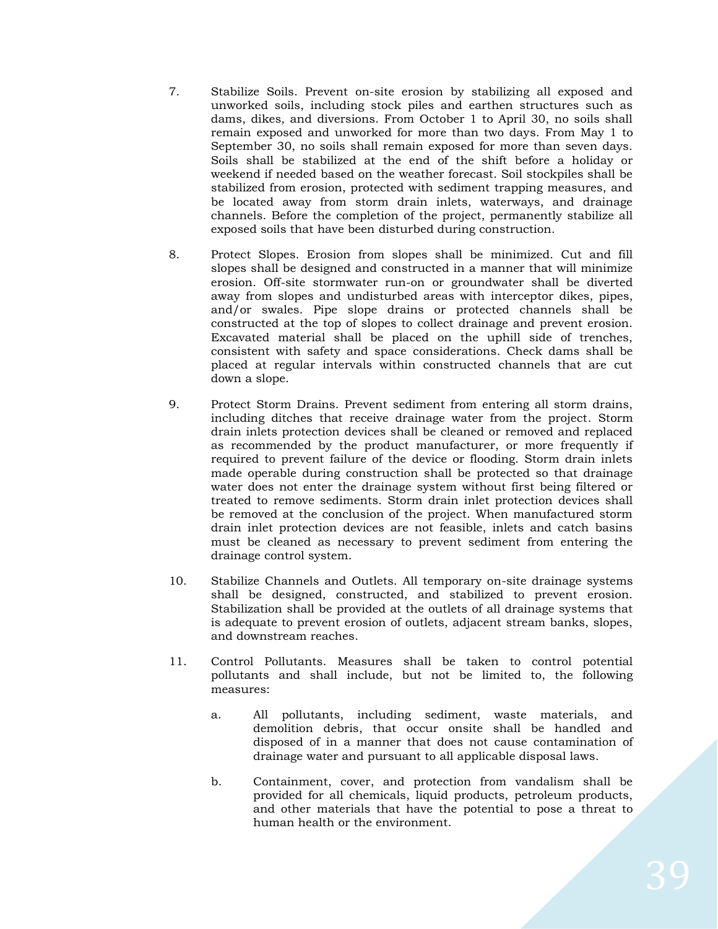- 7. Stabilize Soils. Prevent on-site erosion by stabilizing all exposed and unworked soils, including stock piles and earthen structures such as dams, dikes, and diversions. From October 1 to April 30, no soils shall remain exposed and unworked for more than two days. From May 1 to September 30, no soils shall remain exposed for more than seven days. Soils shall be stabilized at the end of the shift before a holiday or weekend if needed based on the weather forecast. Soil stockpiles shall be stabilized from erosion, protected with sediment trapping measures, and be located away from storm drain inlets, waterways, and drainage channels. Before the completion of the project, permanently stabilize all exposed soils that have been disturbed during construction.
- 8. Protect Slopes. Erosion from slopes shall be minimized. Cut and fill slopes shall be designed and constructed in a manner that will minimize erosion. Off-site stormwater run-on or groundwater shall be diverted away from slopes and undisturbed areas with interceptor dikes, pipes, and/or swales. Pipe slope drains or protected channels shall be constructed at the top of slopes to collect drainage and prevent erosion. Excavated material shall be placed on the uphill side of trenches, consistent with safety and space considerations. Check dams shall be placed at regular intervals within constructed channels that are cut down a slope.
- 9. Protect Storm Drains. Prevent sediment from entering all storm drains, including ditches that receive drainage water from the project. Storm drain inlets protection devices shall be cleaned or removed and replaced as recommended by the product manufacturer, or more frequently if required to prevent failure of the device or flooding. Storm drain inlets made operable during construction shall be protected so that drainage water does not enter the drainage system without first being filtered or treated to remove sediments. Storm drain inlet protection devices shall be removed at the conclusion of the project. When manufactured storm drain inlet protection devices are not feasible, inlets and catch basins must be cleaned as necessary to prevent sediment from entering the drainage control system.
- 10. Stabilize Channels and Outlets. All temporary on-site drainage systems shall be designed, constructed, and stabilized to prevent erosion. Stabilization shall be provided at the outlets of all drainage systems that is adequate to prevent erosion of outlets, adjacent stream banks, slopes, and downstream reaches.
- 11. Control Pollutants. Measures shall be taken to control potential pollutants and shall include, but not be limited to, the following measures:
	- a. All pollutants, including sediment, waste materials, and demolition debris, that occur onsite shall be handled and disposed of in a manner that does not cause contamination of drainage water and pursuant to all applicable disposal laws.
	- b. Containment, cover, and protection from vandalism shall be provided for all chemicals, liquid products, petroleum products, and other materials that have the potential to pose a threat to human health or the environment.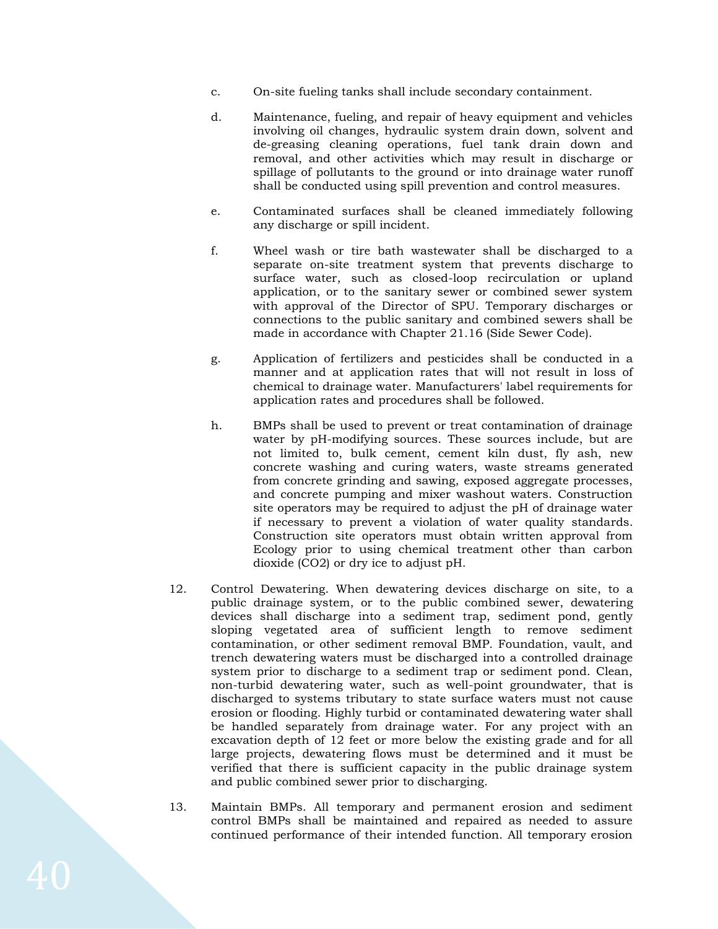- c. On-site fueling tanks shall include secondary containment.
- d. Maintenance, fueling, and repair of heavy equipment and vehicles involving oil changes, hydraulic system drain down, solvent and de-greasing cleaning operations, fuel tank drain down and removal, and other activities which may result in discharge or spillage of pollutants to the ground or into drainage water runoff shall be conducted using spill prevention and control measures.
- e. Contaminated surfaces shall be cleaned immediately following any discharge or spill incident.
- f. Wheel wash or tire bath wastewater shall be discharged to a separate on-site treatment system that prevents discharge to surface water, such as closed-loop recirculation or upland application, or to the sanitary sewer or combined sewer system with approval of the Director of SPU. Temporary discharges or connections to the public sanitary and combined sewers shall be made in accordance with Chapter 21.16 (Side Sewer Code).
- g. Application of fertilizers and pesticides shall be conducted in a manner and at application rates that will not result in loss of chemical to drainage water. Manufacturers' label requirements for application rates and procedures shall be followed.
- h. BMPs shall be used to prevent or treat contamination of drainage water by pH-modifying sources. These sources include, but are not limited to, bulk cement, cement kiln dust, fly ash, new concrete washing and curing waters, waste streams generated from concrete grinding and sawing, exposed aggregate processes, and concrete pumping and mixer washout waters. Construction site operators may be required to adjust the pH of drainage water if necessary to prevent a violation of water quality standards. Construction site operators must obtain written approval from Ecology prior to using chemical treatment other than carbon dioxide (CO2) or dry ice to adjust pH.
- 12. Control Dewatering. When dewatering devices discharge on site, to a public drainage system, or to the public combined sewer, dewatering devices shall discharge into a sediment trap, sediment pond, gently sloping vegetated area of sufficient length to remove sediment contamination, or other sediment removal BMP. Foundation, vault, and trench dewatering waters must be discharged into a controlled drainage system prior to discharge to a sediment trap or sediment pond. Clean, non-turbid dewatering water, such as well-point groundwater, that is discharged to systems tributary to state surface waters must not cause erosion or flooding. Highly turbid or contaminated dewatering water shall be handled separately from drainage water. For any project with an excavation depth of 12 feet or more below the existing grade and for all large projects, dewatering flows must be determined and it must be verified that there is sufficient capacity in the public drainage system and public combined sewer prior to discharging.
- 13. Maintain BMPs. All temporary and permanent erosion and sediment control BMPs shall be maintained and repaired as needed to assure continued performance of their intended function. All temporary erosion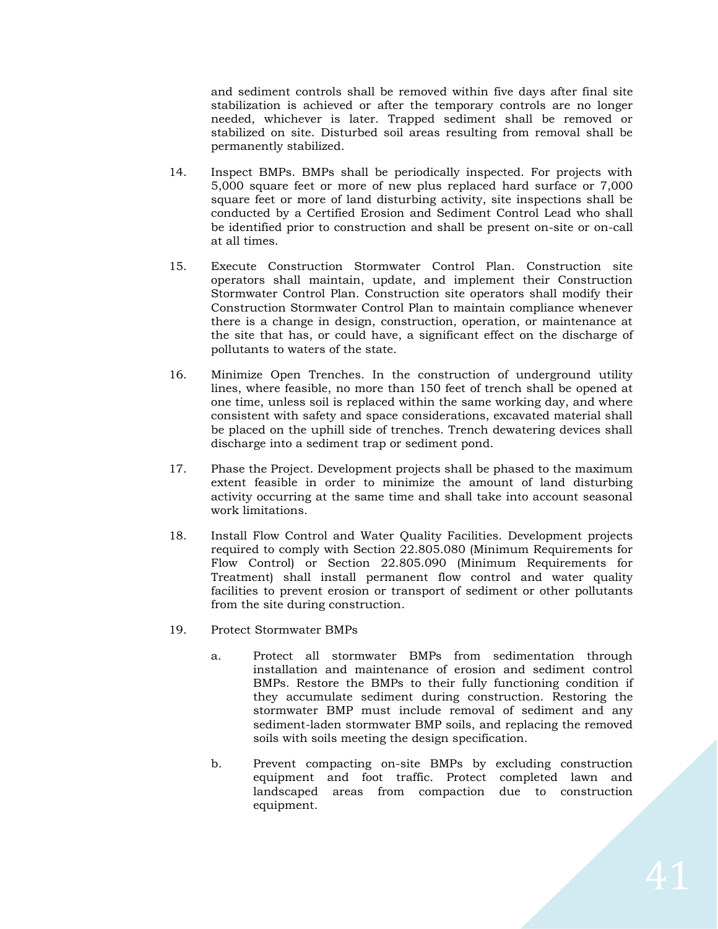and sediment controls shall be removed within five days after final site stabilization is achieved or after the temporary controls are no longer needed, whichever is later. Trapped sediment shall be removed or stabilized on site. Disturbed soil areas resulting from removal shall be permanently stabilized.

- 14. Inspect BMPs. BMPs shall be periodically inspected. For projects with 5,000 square feet or more of new plus replaced hard surface or 7,000 square feet or more of land disturbing activity, site inspections shall be conducted by a Certified Erosion and Sediment Control Lead who shall be identified prior to construction and shall be present on-site or on-call at all times.
- 15. Execute Construction Stormwater Control Plan. Construction site operators shall maintain, update, and implement their Construction Stormwater Control Plan. Construction site operators shall modify their Construction Stormwater Control Plan to maintain compliance whenever there is a change in design, construction, operation, or maintenance at the site that has, or could have, a significant effect on the discharge of pollutants to waters of the state.
- 16. Minimize Open Trenches. In the construction of underground utility lines, where feasible, no more than 150 feet of trench shall be opened at one time, unless soil is replaced within the same working day, and where consistent with safety and space considerations, excavated material shall be placed on the uphill side of trenches. Trench dewatering devices shall discharge into a sediment trap or sediment pond.
- 17. Phase the Project. Development projects shall be phased to the maximum extent feasible in order to minimize the amount of land disturbing activity occurring at the same time and shall take into account seasonal work limitations.
- 18. Install Flow Control and Water Quality Facilities. Development projects required to comply with Section 22.805.080 (Minimum Requirements for Flow Control) or Section 22.805.090 (Minimum Requirements for Treatment) shall install permanent flow control and water quality facilities to prevent erosion or transport of sediment or other pollutants from the site during construction.
- 19. Protect Stormwater BMPs
	- a. Protect all stormwater BMPs from sedimentation through installation and maintenance of erosion and sediment control BMPs. Restore the BMPs to their fully functioning condition if they accumulate sediment during construction. Restoring the stormwater BMP must include removal of sediment and any sediment-laden stormwater BMP soils, and replacing the removed soils with soils meeting the design specification.
	- b. Prevent compacting on-site BMPs by excluding construction equipment and foot traffic. Protect completed lawn and landscaped areas from compaction due to construction equipment.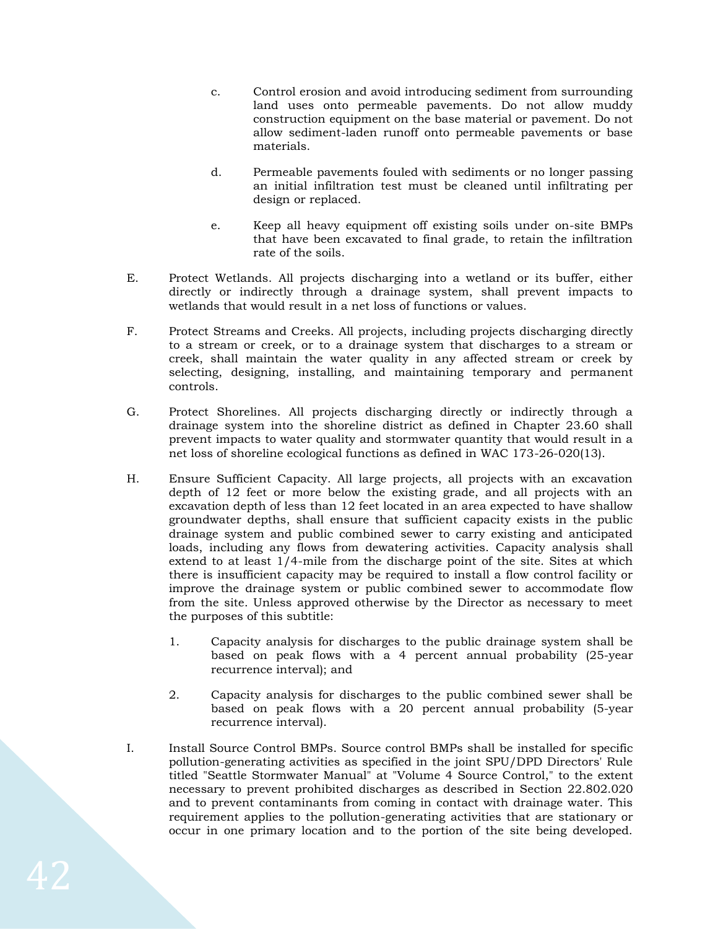- c. Control erosion and avoid introducing sediment from surrounding land uses onto permeable pavements. Do not allow muddy construction equipment on the base material or pavement. Do not allow sediment-laden runoff onto permeable pavements or base materials.
- d. Permeable pavements fouled with sediments or no longer passing an initial infiltration test must be cleaned until infiltrating per design or replaced.
- e. Keep all heavy equipment off existing soils under on-site BMPs that have been excavated to final grade, to retain the infiltration rate of the soils.
- E. Protect Wetlands. All projects discharging into a wetland or its buffer, either directly or indirectly through a drainage system, shall prevent impacts to wetlands that would result in a net loss of functions or values.
- F. Protect Streams and Creeks. All projects, including projects discharging directly to a stream or creek, or to a drainage system that discharges to a stream or creek, shall maintain the water quality in any affected stream or creek by selecting, designing, installing, and maintaining temporary and permanent controls.
- G. Protect Shorelines. All projects discharging directly or indirectly through a drainage system into the shoreline district as defined in Chapter 23.60 shall prevent impacts to water quality and stormwater quantity that would result in a net loss of shoreline ecological functions as defined in WAC 173-26-020(13).
- H. Ensure Sufficient Capacity. All large projects, all projects with an excavation depth of 12 feet or more below the existing grade, and all projects with an excavation depth of less than 12 feet located in an area expected to have shallow groundwater depths, shall ensure that sufficient capacity exists in the public drainage system and public combined sewer to carry existing and anticipated loads, including any flows from dewatering activities. Capacity analysis shall extend to at least 1/4-mile from the discharge point of the site. Sites at which there is insufficient capacity may be required to install a flow control facility or improve the drainage system or public combined sewer to accommodate flow from the site. Unless approved otherwise by the Director as necessary to meet the purposes of this subtitle:
	- 1. Capacity analysis for discharges to the public drainage system shall be based on peak flows with a 4 percent annual probability (25-year recurrence interval); and
	- 2. Capacity analysis for discharges to the public combined sewer shall be based on peak flows with a 20 percent annual probability (5-year recurrence interval).
- I. Install Source Control BMPs. Source control BMPs shall be installed for specific pollution-generating activities as specified in the joint SPU/DPD Directors' Rule titled "Seattle Stormwater Manual" at "Volume 4 Source Control," to the extent necessary to prevent prohibited discharges as described in Section 22.802.020 and to prevent contaminants from coming in contact with drainage water. This requirement applies to the pollution-generating activities that are stationary or occur in one primary location and to the portion of the site being developed.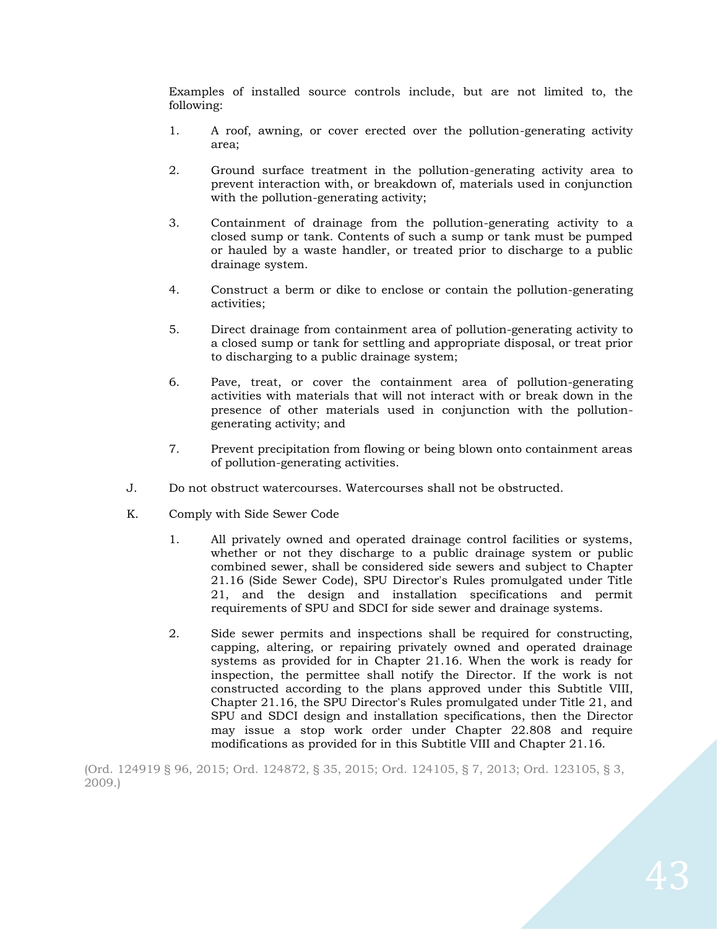Examples of installed source controls include, but are not limited to, the following:

- 1. A roof, awning, or cover erected over the pollution-generating activity area;
- 2. Ground surface treatment in the pollution-generating activity area to prevent interaction with, or breakdown of, materials used in conjunction with the pollution-generating activity;
- 3. Containment of drainage from the pollution-generating activity to a closed sump or tank. Contents of such a sump or tank must be pumped or hauled by a waste handler, or treated prior to discharge to a public drainage system.
- 4. Construct a berm or dike to enclose or contain the pollution-generating activities;
- 5. Direct drainage from containment area of pollution-generating activity to a closed sump or tank for settling and appropriate disposal, or treat prior to discharging to a public drainage system;
- 6. Pave, treat, or cover the containment area of pollution-generating activities with materials that will not interact with or break down in the presence of other materials used in conjunction with the pollutiongenerating activity; and
- 7. Prevent precipitation from flowing or being blown onto containment areas of pollution-generating activities.
- J. Do not obstruct watercourses. Watercourses shall not be obstructed.
- K. Comply with Side Sewer Code
	- 1. All privately owned and operated drainage control facilities or systems, whether or not they discharge to a public drainage system or public combined sewer, shall be considered side sewers and subject to Chapter 21.16 (Side Sewer Code), SPU Director's Rules promulgated under Title 21, and the design and installation specifications and permit requirements of SPU and SDCI for side sewer and drainage systems.
	- 2. Side sewer permits and inspections shall be required for constructing, capping, altering, or repairing privately owned and operated drainage systems as provided for in Chapter 21.16. When the work is ready for inspection, the permittee shall notify the Director. If the work is not constructed according to the plans approved under this Subtitle VIII, Chapter 21.16, the SPU Director's Rules promulgated under Title 21, and SPU and SDCI design and installation specifications, then the Director may issue a stop work order under Chapter 22.808 and require modifications as provided for in this Subtitle VIII and Chapter 21.16.

(Ord. 124919 § 96, 2015; Ord. 124872, § 35, 2015; Ord. [124105,](http://newords.municode.com/readordinance.aspx?ordinanceid=581980&datasource=ordbank) § 7, 2013; Ord. 123105, § 3, 2009.)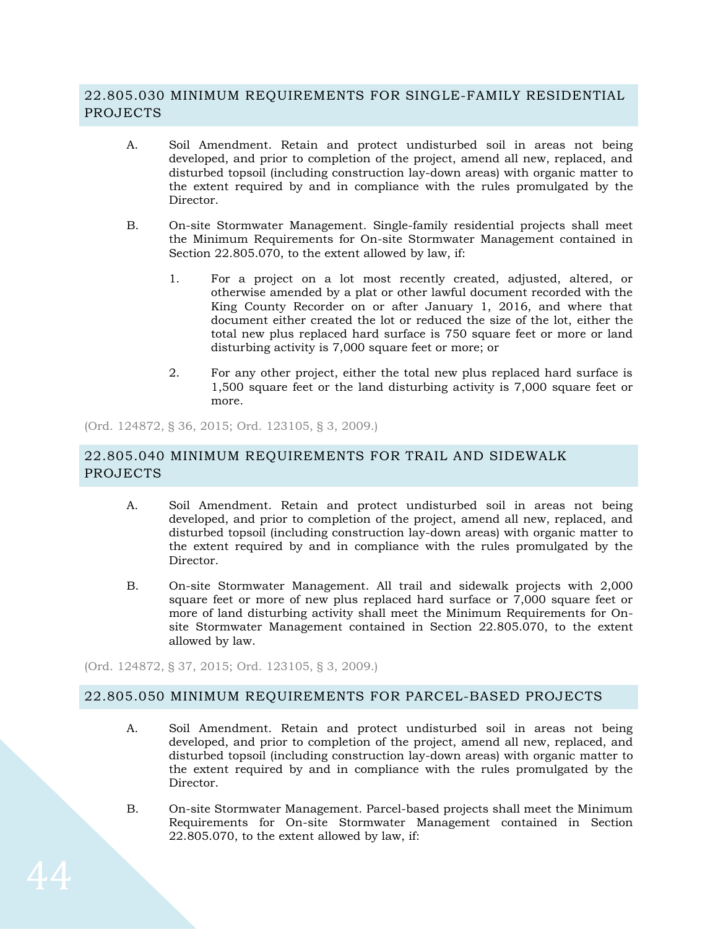# 22.805.030 MINIMUM REQUIREMENTS FOR SINGLE-FAMILY RESIDENTIAL PROJECTS

- A. Soil Amendment. Retain and protect undisturbed soil in areas not being developed, and prior to completion of the project, amend all new, replaced, and disturbed topsoil (including construction lay-down areas) with organic matter to the extent required by and in compliance with the rules promulgated by the Director.
- B. On-site Stormwater Management. Single-family residential projects shall meet the Minimum Requirements for On-site Stormwater Management contained in Section 22.805.070, to the extent allowed by law, if:
	- 1. For a project on a lot most recently created, adjusted, altered, or otherwise amended by a plat or other lawful document recorded with the King County Recorder on or after January 1, 2016, and where that document either created the lot or reduced the size of the lot, either the total new plus replaced hard surface is 750 square feet or more or land disturbing activity is 7,000 square feet or more; or
	- 2. For any other project, either the total new plus replaced hard surface is 1,500 square feet or the land disturbing activity is 7,000 square feet or more.

(Ord. 124872, § 36, 2015; Ord. 123105, § 3, 2009.)

# 22.805.040 MINIMUM REQUIREMENTS FOR TRAIL AND SIDEWALK PROJECTS

- A. Soil Amendment. Retain and protect undisturbed soil in areas not being developed, and prior to completion of the project, amend all new, replaced, and disturbed topsoil (including construction lay-down areas) with organic matter to the extent required by and in compliance with the rules promulgated by the Director.
- B. On-site Stormwater Management. All trail and sidewalk projects with 2,000 square feet or more of new plus replaced hard surface or  $7,000$  square feet or more of land disturbing activity shall meet the Minimum Requirements for Onsite Stormwater Management contained in Section 22.805.070, to the extent allowed by law.

(Ord. 124872, § 37, 2015; Ord. 123105, § 3, 2009.)

#### 22.805.050 MINIMUM REQUIREMENTS FOR PARCEL-BASED PROJECTS

- A. Soil Amendment. Retain and protect undisturbed soil in areas not being developed, and prior to completion of the project, amend all new, replaced, and disturbed topsoil (including construction lay-down areas) with organic matter to the extent required by and in compliance with the rules promulgated by the Director.
- B. On-site Stormwater Management. Parcel-based projects shall meet the Minimum Requirements for On-site Stormwater Management contained in Section 22.805.070, to the extent allowed by law, if: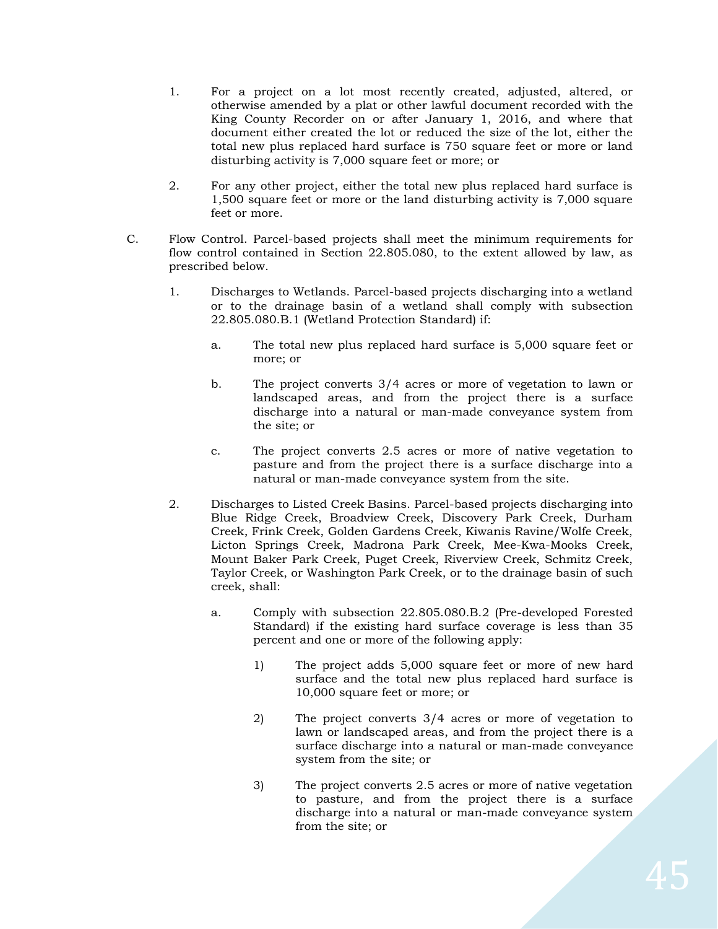- 1. For a project on a lot most recently created, adjusted, altered, or otherwise amended by a plat or other lawful document recorded with the King County Recorder on or after January 1, 2016, and where that document either created the lot or reduced the size of the lot, either the total new plus replaced hard surface is 750 square feet or more or land disturbing activity is 7,000 square feet or more; or
- 2. For any other project, either the total new plus replaced hard surface is 1,500 square feet or more or the land disturbing activity is 7,000 square feet or more.
- C. Flow Control. Parcel-based projects shall meet the minimum requirements for flow control contained in Section 22.805.080, to the extent allowed by law, as prescribed below.
	- 1. Discharges to Wetlands. Parcel-based projects discharging into a wetland or to the drainage basin of a wetland shall comply with subsection 22.805.080.B.1 (Wetland Protection Standard) if:
		- a. The total new plus replaced hard surface is 5,000 square feet or more; or
		- b. The project converts 3/4 acres or more of vegetation to lawn or landscaped areas, and from the project there is a surface discharge into a natural or man-made conveyance system from the site; or
		- c. The project converts 2.5 acres or more of native vegetation to pasture and from the project there is a surface discharge into a natural or man-made conveyance system from the site.
	- 2. Discharges to Listed Creek Basins. Parcel-based projects discharging into Blue Ridge Creek, Broadview Creek, Discovery Park Creek, Durham Creek, Frink Creek, Golden Gardens Creek, Kiwanis Ravine/Wolfe Creek, Licton Springs Creek, Madrona Park Creek, Mee-Kwa-Mooks Creek, Mount Baker Park Creek, Puget Creek, Riverview Creek, Schmitz Creek, Taylor Creek, or Washington Park Creek, or to the drainage basin of such creek, shall:
		- a. Comply with subsection 22.805.080.B.2 (Pre-developed Forested Standard) if the existing hard surface coverage is less than 35 percent and one or more of the following apply:
			- 1) The project adds 5,000 square feet or more of new hard surface and the total new plus replaced hard surface is 10,000 square feet or more; or
			- 2) The project converts 3/4 acres or more of vegetation to lawn or landscaped areas, and from the project there is a surface discharge into a natural or man-made conveyance system from the site; or
			- 3) The project converts 2.5 acres or more of native vegetation to pasture, and from the project there is a surface discharge into a natural or man-made conveyance system from the site; or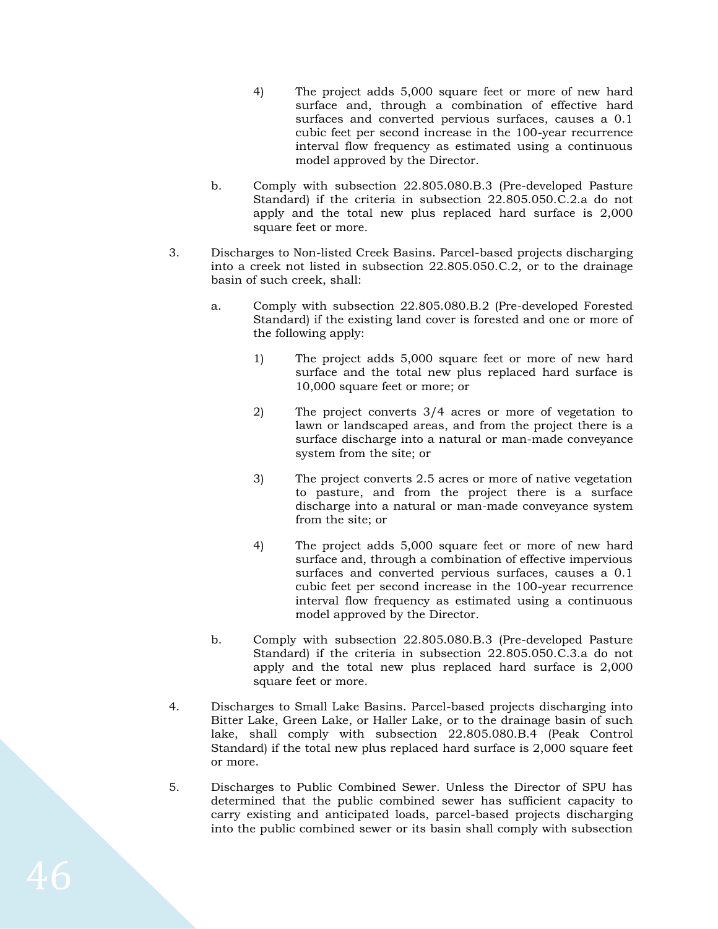- 4) The project adds 5,000 square feet or more of new hard surface and, through a combination of effective hard surfaces and converted pervious surfaces, causes a 0.1 cubic feet per second increase in the 100-year recurrence interval flow frequency as estimated using a continuous model approved by the Director.
- b. Comply with subsection 22.805.080.B.3 (Pre-developed Pasture Standard) if the criteria in subsection 22.805.050.C.2.a do not apply and the total new plus replaced hard surface is 2,000 square feet or more.
- 3. Discharges to Non-listed Creek Basins. Parcel-based projects discharging into a creek not listed in subsection 22.805.050.C.2, or to the drainage basin of such creek, shall:
	- a. Comply with subsection 22.805.080.B.2 (Pre-developed Forested Standard) if the existing land cover is forested and one or more of the following apply:
		- 1) The project adds 5,000 square feet or more of new hard surface and the total new plus replaced hard surface is 10,000 square feet or more; or
		- 2) The project converts 3/4 acres or more of vegetation to lawn or landscaped areas, and from the project there is a surface discharge into a natural or man-made conveyance system from the site; or
		- 3) The project converts 2.5 acres or more of native vegetation to pasture, and from the project there is a surface discharge into a natural or man-made conveyance system from the site; or
		- 4) The project adds 5,000 square feet or more of new hard surface and, through a combination of effective impervious surfaces and converted pervious surfaces, causes a 0.1 cubic feet per second increase in the 100-year recurrence interval flow frequency as estimated using a continuous model approved by the Director.
	- b. Comply with subsection 22.805.080.B.3 (Pre-developed Pasture Standard) if the criteria in subsection 22.805.050.C.3.a do not apply and the total new plus replaced hard surface is 2,000 square feet or more.
- 4. Discharges to Small Lake Basins. Parcel-based projects discharging into Bitter Lake, Green Lake, or Haller Lake, or to the drainage basin of such lake, shall comply with subsection 22.805.080.B.4 (Peak Control Standard) if the total new plus replaced hard surface is 2,000 square feet or more.
- 5. Discharges to Public Combined Sewer. Unless the Director of SPU has determined that the public combined sewer has sufficient capacity to carry existing and anticipated loads, parcel-based projects discharging into the public combined sewer or its basin shall comply with subsection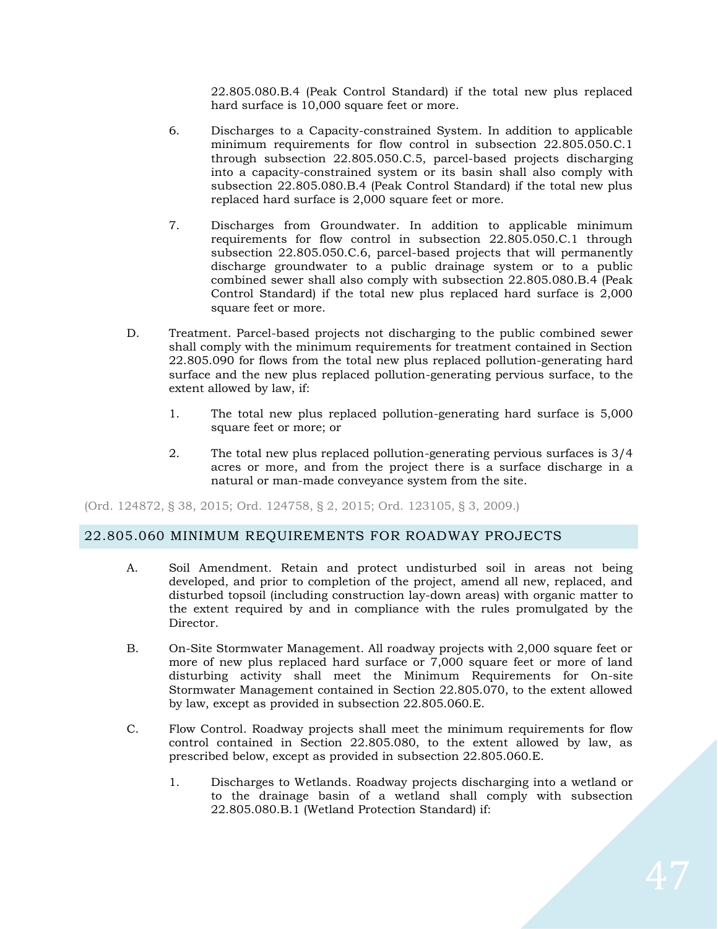22.805.080.B.4 (Peak Control Standard) if the total new plus replaced hard surface is 10,000 square feet or more.

- 6. Discharges to a Capacity-constrained System. In addition to applicable minimum requirements for flow control in subsection 22.805.050.C.1 through subsection 22.805.050.C.5, parcel-based projects discharging into a capacity-constrained system or its basin shall also comply with subsection 22.805.080.B.4 (Peak Control Standard) if the total new plus replaced hard surface is 2,000 square feet or more.
- 7. Discharges from Groundwater. In addition to applicable minimum requirements for flow control in subsection 22.805.050.C.1 through subsection 22.805.050.C.6, parcel-based projects that will permanently discharge groundwater to a public drainage system or to a public combined sewer shall also comply with subsection 22.805.080.B.4 (Peak Control Standard) if the total new plus replaced hard surface is 2,000 square feet or more.
- D. Treatment. Parcel-based projects not discharging to the public combined sewer shall comply with the minimum requirements for treatment contained in Section 22.805.090 for flows from the total new plus replaced pollution-generating hard surface and the new plus replaced pollution-generating pervious surface, to the extent allowed by law, if:
	- 1. The total new plus replaced pollution-generating hard surface is 5,000 square feet or more; or
	- 2. The total new plus replaced pollution-generating pervious surfaces is 3/4 acres or more, and from the project there is a surface discharge in a natural or man-made conveyance system from the site.

(Ord. 124872, § 38, 2015; Ord. [124758,](http://newords.municode.com/readordinance.aspx?ordinanceid=709638&datasource=ordbank) § 2, 2015; Ord. 123105, § 3, 2009.)

# 22.805.060 MINIMUM REQUIREMENTS FOR ROADWAY PROJECTS

- A. Soil Amendment. Retain and protect undisturbed soil in areas not being developed, and prior to completion of the project, amend all new, replaced, and disturbed topsoil (including construction lay-down areas) with organic matter to the extent required by and in compliance with the rules promulgated by the Director.
- B. On-Site Stormwater Management. All roadway projects with 2,000 square feet or more of new plus replaced hard surface or 7,000 square feet or more of land disturbing activity shall meet the Minimum Requirements for On-site Stormwater Management contained in Section 22.805.070, to the extent allowed by law, except as provided in subsection 22.805.060.E.
- C. Flow Control. Roadway projects shall meet the minimum requirements for flow control contained in Section 22.805.080, to the extent allowed by law, as prescribed below, except as provided in subsection 22.805.060.E.
	- 1. Discharges to Wetlands. Roadway projects discharging into a wetland or to the drainage basin of a wetland shall comply with subsection 22.805.080.B.1 (Wetland Protection Standard) if: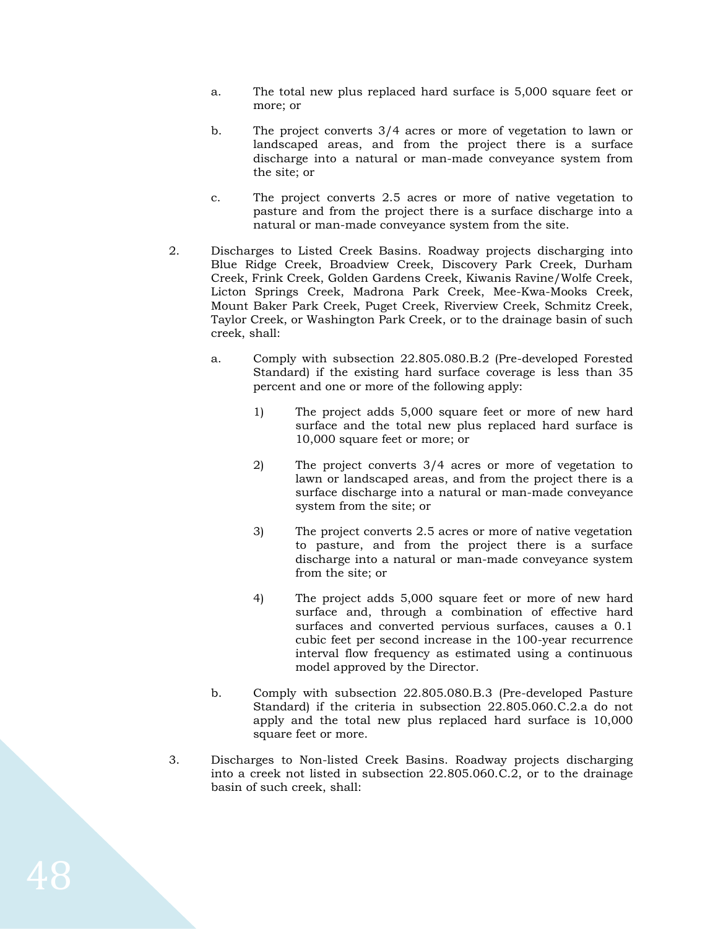- a. The total new plus replaced hard surface is 5,000 square feet or more; or
- b. The project converts 3/4 acres or more of vegetation to lawn or landscaped areas, and from the project there is a surface discharge into a natural or man-made conveyance system from the site; or
- c. The project converts 2.5 acres or more of native vegetation to pasture and from the project there is a surface discharge into a natural or man-made conveyance system from the site.
- 2. Discharges to Listed Creek Basins. Roadway projects discharging into Blue Ridge Creek, Broadview Creek, Discovery Park Creek, Durham Creek, Frink Creek, Golden Gardens Creek, Kiwanis Ravine/Wolfe Creek, Licton Springs Creek, Madrona Park Creek, Mee-Kwa-Mooks Creek, Mount Baker Park Creek, Puget Creek, Riverview Creek, Schmitz Creek, Taylor Creek, or Washington Park Creek, or to the drainage basin of such creek, shall:
	- a. Comply with subsection 22.805.080.B.2 (Pre-developed Forested Standard) if the existing hard surface coverage is less than 35 percent and one or more of the following apply:
		- 1) The project adds 5,000 square feet or more of new hard surface and the total new plus replaced hard surface is 10,000 square feet or more; or
		- 2) The project converts 3/4 acres or more of vegetation to lawn or landscaped areas, and from the project there is a surface discharge into a natural or man-made conveyance system from the site; or
		- 3) The project converts 2.5 acres or more of native vegetation to pasture, and from the project there is a surface discharge into a natural or man-made conveyance system from the site; or
		- 4) The project adds 5,000 square feet or more of new hard surface and, through a combination of effective hard surfaces and converted pervious surfaces, causes a 0.1 cubic feet per second increase in the 100-year recurrence interval flow frequency as estimated using a continuous model approved by the Director.
	- b. Comply with subsection 22.805.080.B.3 (Pre-developed Pasture Standard) if the criteria in subsection 22.805.060.C.2.a do not apply and the total new plus replaced hard surface is 10,000 square feet or more.
- 3. Discharges to Non-listed Creek Basins. Roadway projects discharging into a creek not listed in subsection 22.805.060.C.2, or to the drainage basin of such creek, shall: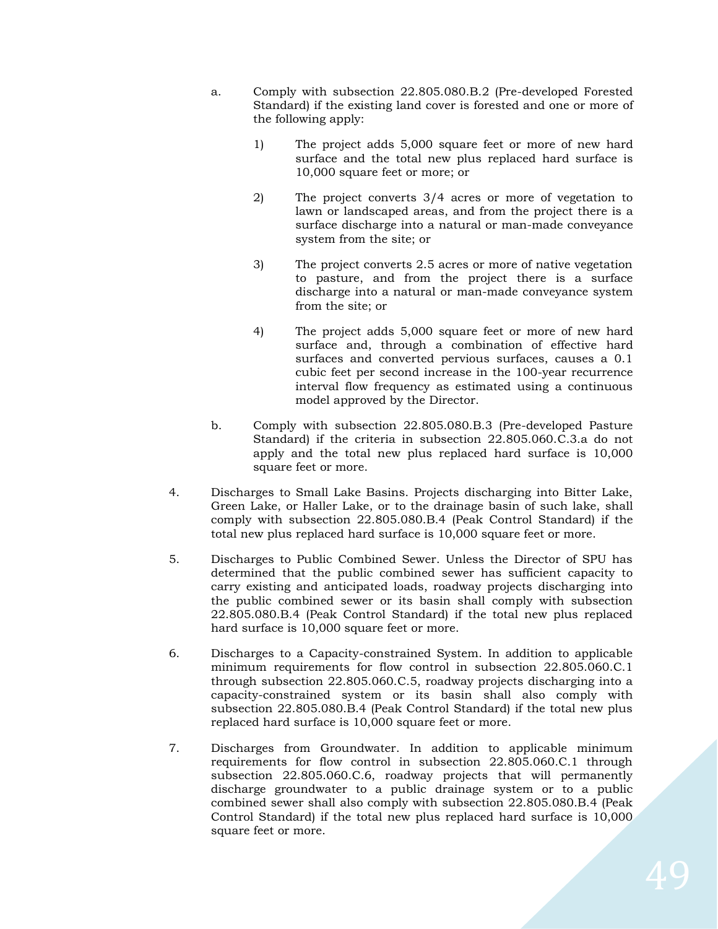- a. Comply with subsection 22.805.080.B.2 (Pre-developed Forested Standard) if the existing land cover is forested and one or more of the following apply:
	- 1) The project adds 5,000 square feet or more of new hard surface and the total new plus replaced hard surface is 10,000 square feet or more; or
	- 2) The project converts 3/4 acres or more of vegetation to lawn or landscaped areas, and from the project there is a surface discharge into a natural or man-made conveyance system from the site; or
	- 3) The project converts 2.5 acres or more of native vegetation to pasture, and from the project there is a surface discharge into a natural or man-made conveyance system from the site; or
	- 4) The project adds 5,000 square feet or more of new hard surface and, through a combination of effective hard surfaces and converted pervious surfaces, causes a 0.1 cubic feet per second increase in the 100-year recurrence interval flow frequency as estimated using a continuous model approved by the Director.
- b. Comply with subsection 22.805.080.B.3 (Pre-developed Pasture Standard) if the criteria in subsection 22.805.060.C.3.a do not apply and the total new plus replaced hard surface is 10,000 square feet or more.
- 4. Discharges to Small Lake Basins. Projects discharging into Bitter Lake, Green Lake, or Haller Lake, or to the drainage basin of such lake, shall comply with subsection 22.805.080.B.4 (Peak Control Standard) if the total new plus replaced hard surface is 10,000 square feet or more.
- 5. Discharges to Public Combined Sewer. Unless the Director of SPU has determined that the public combined sewer has sufficient capacity to carry existing and anticipated loads, roadway projects discharging into the public combined sewer or its basin shall comply with subsection 22.805.080.B.4 (Peak Control Standard) if the total new plus replaced hard surface is 10,000 square feet or more.
- 6. Discharges to a Capacity-constrained System. In addition to applicable minimum requirements for flow control in subsection 22.805.060.C.1 through subsection 22.805.060.C.5, roadway projects discharging into a capacity-constrained system or its basin shall also comply with subsection 22.805.080.B.4 (Peak Control Standard) if the total new plus replaced hard surface is 10,000 square feet or more.
- 7. Discharges from Groundwater. In addition to applicable minimum requirements for flow control in subsection 22.805.060.C.1 through subsection 22.805.060.C.6, roadway projects that will permanently discharge groundwater to a public drainage system or to a public combined sewer shall also comply with subsection 22.805.080.B.4 (Peak Control Standard) if the total new plus replaced hard surface is 10,000 square feet or more.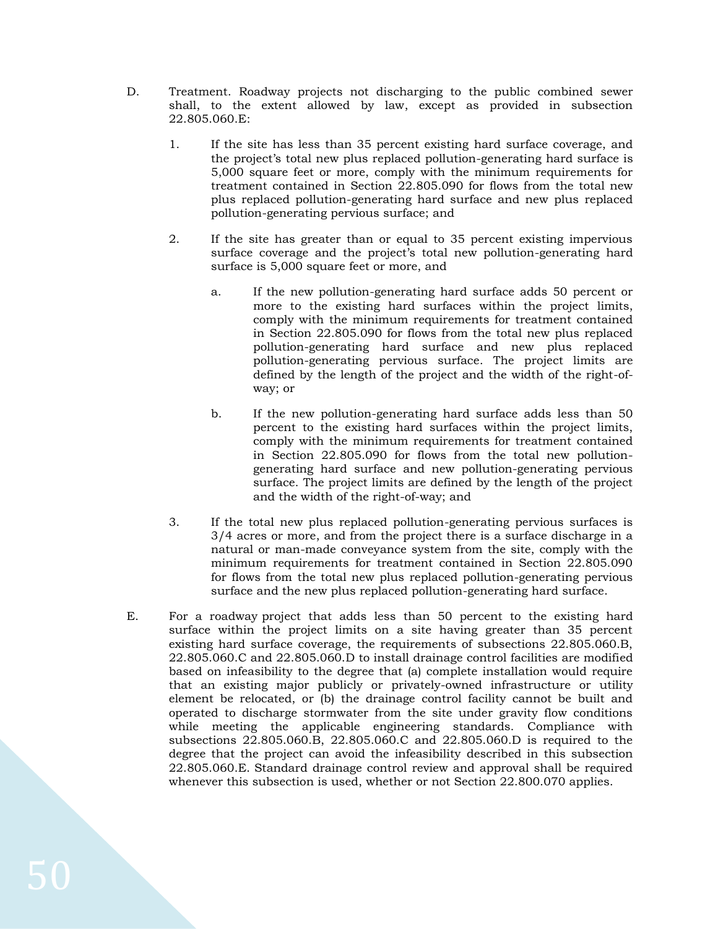- D. Treatment. Roadway projects not discharging to the public combined sewer shall, to the extent allowed by law, except as provided in subsection 22.805.060.E:
	- 1. If the site has less than 35 percent existing hard surface coverage, and the project's total new plus replaced pollution-generating hard surface is 5,000 square feet or more, comply with the minimum requirements for treatment contained in Section 22.805.090 for flows from the total new plus replaced pollution-generating hard surface and new plus replaced pollution-generating pervious surface; and
	- 2. If the site has greater than or equal to 35 percent existing impervious surface coverage and the project's total new pollution-generating hard surface is 5,000 square feet or more, and
		- a. If the new pollution-generating hard surface adds 50 percent or more to the existing hard surfaces within the project limits, comply with the minimum requirements for treatment contained in Section 22.805.090 for flows from the total new plus replaced pollution-generating hard surface and new plus replaced pollution-generating pervious surface. The project limits are defined by the length of the project and the width of the right-ofway; or
		- b. If the new pollution-generating hard surface adds less than 50 percent to the existing hard surfaces within the project limits, comply with the minimum requirements for treatment contained in Section 22.805.090 for flows from the total new pollutiongenerating hard surface and new pollution-generating pervious surface. The project limits are defined by the length of the project and the width of the right-of-way; and
	- 3. If the total new plus replaced pollution-generating pervious surfaces is 3/4 acres or more, and from the project there is a surface discharge in a natural or man-made conveyance system from the site, comply with the minimum requirements for treatment contained in Section 22.805.090 for flows from the total new plus replaced pollution-generating pervious surface and the new plus replaced pollution-generating hard surface.
- E. For a roadway project that adds less than 50 percent to the existing hard surface within the project limits on a site having greater than 35 percent existing hard surface coverage, the requirements of subsections 22.805.060.B, 22.805.060.C and 22.805.060.D to install drainage control facilities are modified based on infeasibility to the degree that (a) complete installation would require that an existing major publicly or privately-owned infrastructure or utility element be relocated, or (b) the drainage control facility cannot be built and operated to discharge stormwater from the site under gravity flow conditions while meeting the applicable engineering standards. Compliance with subsections 22.805.060.B, 22.805.060.C and 22.805.060.D is required to the degree that the project can avoid the infeasibility described in this subsection 22.805.060.E. Standard drainage control review and approval shall be required whenever this subsection is used, whether or not Section 22.800.070 applies.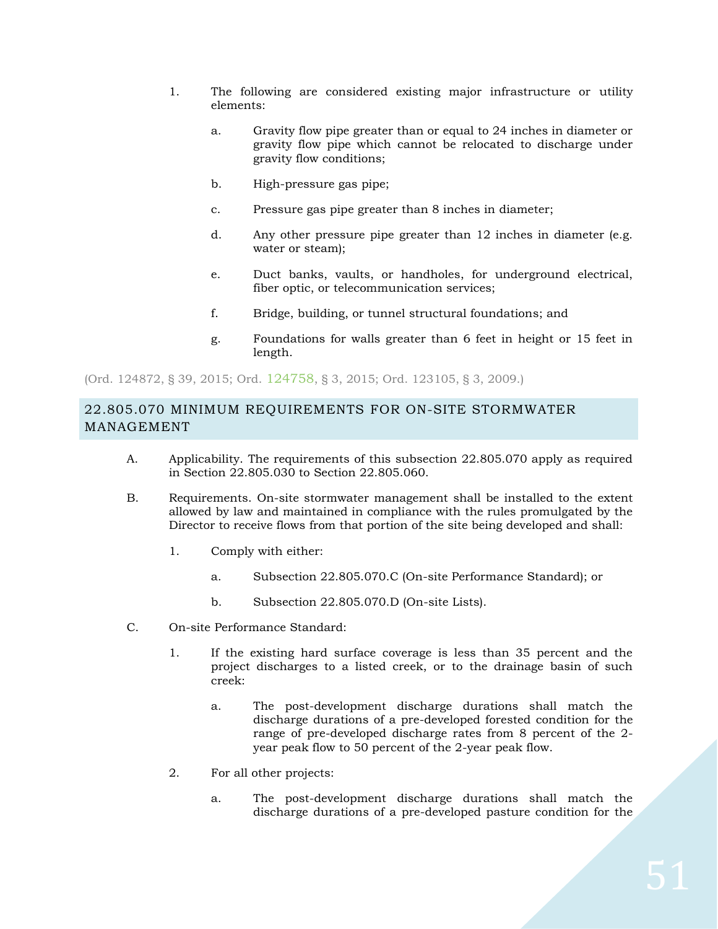- 1. The following are considered existing major infrastructure or utility elements:
	- a. Gravity flow pipe greater than or equal to 24 inches in diameter or gravity flow pipe which cannot be relocated to discharge under gravity flow conditions;
	- b. High-pressure gas pipe;
	- c. Pressure gas pipe greater than 8 inches in diameter;
	- d. Any other pressure pipe greater than 12 inches in diameter (e.g. water or steam);
	- e. Duct banks, vaults, or handholes, for underground electrical, fiber optic, or telecommunication services;
	- f. Bridge, building, or tunnel structural foundations; and
	- g. Foundations for walls greater than 6 feet in height or 15 feet in length.

(Ord. 124872, § 39, 2015; Ord. [124758](http://newords.municode.com/readordinance.aspx?ordinanceid=709638&datasource=ordbank), § 3, 2015; Ord. 123105, § 3, 2009.)

# 22.805.070 MINIMUM REQUIREMENTS FOR ON-SITE STORMWATER MANAGEMENT

- A. Applicability. The requirements of this subsection 22.805.070 apply as required in Section 22.805.030 to Section 22.805.060.
- B. Requirements. On-site stormwater management shall be installed to the extent allowed by law and maintained in compliance with the rules promulgated by the Director to receive flows from that portion of the site being developed and shall:
	- 1. Comply with either:
		- a. Subsection 22.805.070.C (On-site Performance Standard); or
		- b. Subsection 22.805.070.D (On-site Lists).
- C. On-site Performance Standard:
	- 1. If the existing hard surface coverage is less than 35 percent and the project discharges to a listed creek, or to the drainage basin of such creek:
		- a. The post-development discharge durations shall match the discharge durations of a pre-developed forested condition for the range of pre-developed discharge rates from 8 percent of the 2 year peak flow to 50 percent of the 2-year peak flow.
	- 2. For all other projects:
		- a. The post-development discharge durations shall match the discharge durations of a pre-developed pasture condition for the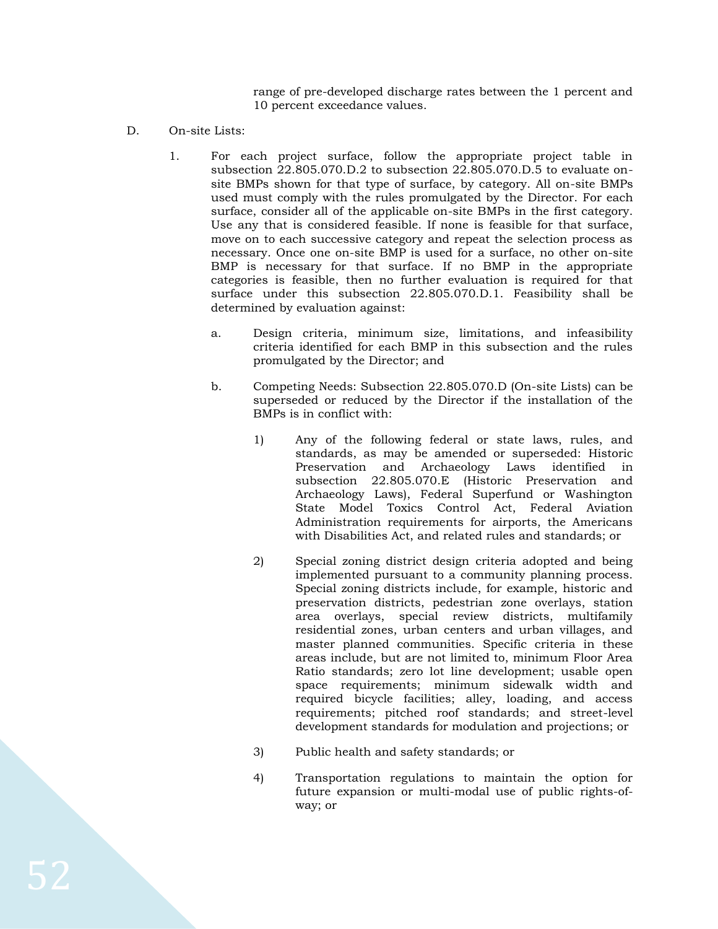range of pre-developed discharge rates between the 1 percent and 10 percent exceedance values.

- D. On-site Lists:
	- 1. For each project surface, follow the appropriate project table in subsection 22.805.070.D.2 to subsection 22.805.070.D.5 to evaluate onsite BMPs shown for that type of surface, by category. All on-site BMPs used must comply with the rules promulgated by the Director. For each surface, consider all of the applicable on-site BMPs in the first category. Use any that is considered feasible. If none is feasible for that surface, move on to each successive category and repeat the selection process as necessary. Once one on-site BMP is used for a surface, no other on-site BMP is necessary for that surface. If no BMP in the appropriate categories is feasible, then no further evaluation is required for that surface under this subsection 22.805.070.D.1. Feasibility shall be determined by evaluation against:
		- a. Design criteria, minimum size, limitations, and infeasibility criteria identified for each BMP in this subsection and the rules promulgated by the Director; and
		- b. Competing Needs: Subsection 22.805.070.D (On-site Lists) can be superseded or reduced by the Director if the installation of the BMPs is in conflict with:
			- 1) Any of the following federal or state laws, rules, and standards, as may be amended or superseded: Historic Preservation and Archaeology Laws identified in subsection 22.805.070.E (Historic Preservation and Archaeology Laws), Federal Superfund or Washington State Model Toxics Control Act, Federal Aviation Administration requirements for airports, the Americans with Disabilities Act, and related rules and standards; or
			- 2) Special zoning district design criteria adopted and being implemented pursuant to a community planning process. Special zoning districts include, for example, historic and preservation districts, pedestrian zone overlays, station area overlays, special review districts, multifamily residential zones, urban centers and urban villages, and master planned communities. Specific criteria in these areas include, but are not limited to, minimum Floor Area Ratio standards; zero lot line development; usable open space requirements; minimum sidewalk width and required bicycle facilities; alley, loading, and access requirements; pitched roof standards; and street-level development standards for modulation and projections; or
			- 3) Public health and safety standards; or
			- 4) Transportation regulations to maintain the option for future expansion or multi-modal use of public rights-ofway; or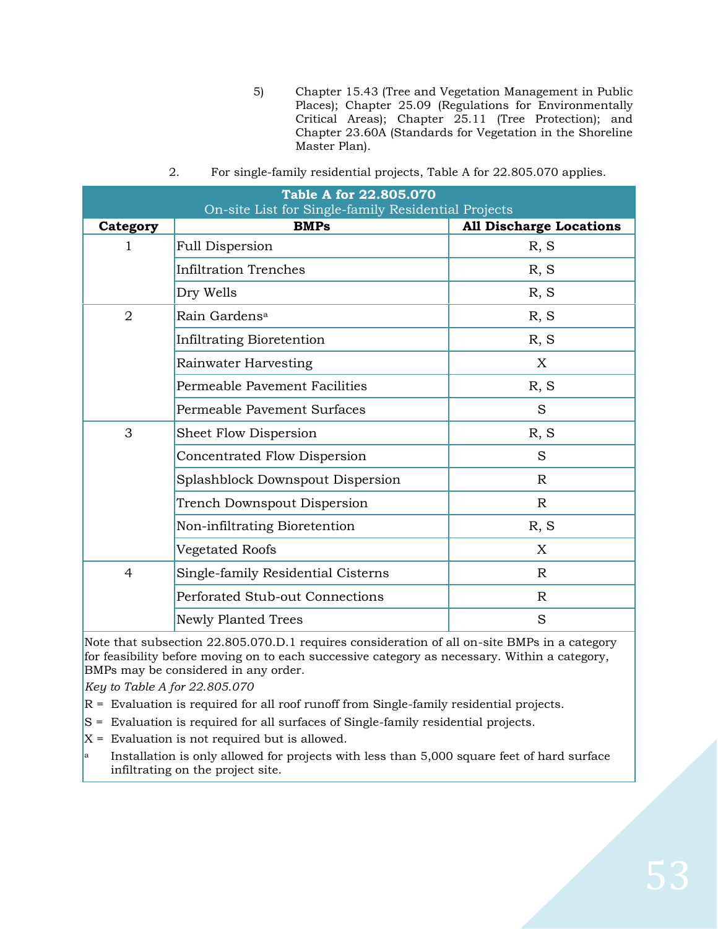5) Chapter 15.43 (Tree and Vegetation Management in Public Places); Chapter 25.09 (Regulations for Environmentally Critical Areas); Chapter 25.11 (Tree Protection); and Chapter 23.60A (Standards for Vegetation in the Shoreline Master Plan).

| <b>Table A for 22.805.070</b><br>On-site List for Single-family Residential Projects |                                    |                                |  |
|--------------------------------------------------------------------------------------|------------------------------------|--------------------------------|--|
| Category                                                                             | <b>BMPs</b>                        | <b>All Discharge Locations</b> |  |
| 1                                                                                    | <b>Full Dispersion</b>             | R, S                           |  |
|                                                                                      | <b>Infiltration Trenches</b>       | R, S                           |  |
|                                                                                      | Dry Wells                          | R, S                           |  |
| $\overline{2}$                                                                       | Rain Gardens <sup>a</sup>          | R, S                           |  |
|                                                                                      | Infiltrating Bioretention          | R, S                           |  |
|                                                                                      | Rainwater Harvesting               | X                              |  |
|                                                                                      | Permeable Pavement Facilities      | R, S                           |  |
|                                                                                      | Permeable Pavement Surfaces        | S                              |  |
| 3                                                                                    | Sheet Flow Dispersion              | R, S                           |  |
|                                                                                      | Concentrated Flow Dispersion       | S                              |  |
|                                                                                      | Splashblock Downspout Dispersion   | $\mathbb{R}$                   |  |
|                                                                                      | Trench Downspout Dispersion        | $\mathbb R$                    |  |
|                                                                                      | Non-infiltrating Bioretention      | R, S                           |  |
|                                                                                      | Vegetated Roofs                    | X                              |  |
| $\overline{4}$                                                                       | Single-family Residential Cisterns | R                              |  |
|                                                                                      | Perforated Stub-out Connections    | $\mathbb{R}$                   |  |
|                                                                                      | <b>Newly Planted Trees</b>         | S                              |  |

2. For single-family residential projects, Table A for 22.805.070 applies.

Note that subsection 22.805.070.D.1 requires consideration of all on-site BMPs in a category for feasibility before moving on to each successive category as necessary. Within a category, BMPs may be considered in any order.

*Key to Table A for 22.805.070*

- $R =$  Evaluation is required for all roof runoff from Single-family residential projects.
- S = Evaluation is required for all surfaces of Single-family residential projects.
- $X =$  Evaluation is not required but is allowed.
- Installation is only allowed for projects with less than 5,000 square feet of hard surface infiltrating on the project site.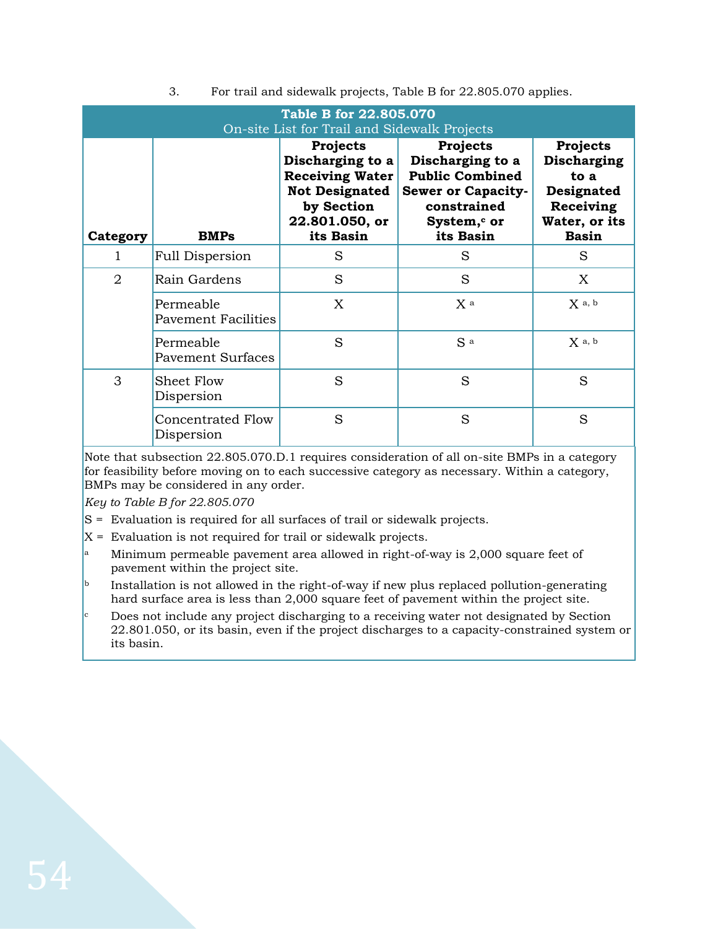| Table B for 22.805.070<br>On-site List for Trail and Sidewalk Projects |                                         |                                                                                                                                     |                                                                                                                                            |                                                                                                    |
|------------------------------------------------------------------------|-----------------------------------------|-------------------------------------------------------------------------------------------------------------------------------------|--------------------------------------------------------------------------------------------------------------------------------------------|----------------------------------------------------------------------------------------------------|
| Category                                                               | <b>BMPs</b>                             | <b>Projects</b><br>Discharging to a<br><b>Receiving Water</b><br><b>Not Designated</b><br>by Section<br>22.801.050, or<br>its Basin | Projects<br>Discharging to a<br><b>Public Combined</b><br><b>Sewer or Capacity-</b><br>constrained<br>System, <sup>c</sup> or<br>its Basin | <b>Projects</b><br>Discharging<br>to a<br>Designated<br>Receiving<br>Water, or its<br><b>Basin</b> |
| 1                                                                      | <b>Full Dispersion</b>                  | S                                                                                                                                   | S                                                                                                                                          | S                                                                                                  |
| 2                                                                      | Rain Gardens                            | S                                                                                                                                   | S                                                                                                                                          | X                                                                                                  |
|                                                                        | Permeable<br><b>Pavement Facilities</b> | X                                                                                                                                   | X a                                                                                                                                        | $X$ a, b                                                                                           |
|                                                                        | Permeable<br><b>Pavement Surfaces</b>   | S                                                                                                                                   | S a                                                                                                                                        | $X$ a, b                                                                                           |
| 3                                                                      | <b>Sheet Flow</b><br>Dispersion         | S                                                                                                                                   | S                                                                                                                                          | S                                                                                                  |
|                                                                        | <b>Concentrated Flow</b><br>Dispersion  | S                                                                                                                                   | S                                                                                                                                          | S                                                                                                  |

3. For trail and sidewalk projects, Table B for 22.805.070 applies.

Note that subsection 22.805.070.D.1 requires consideration of all on-site BMPs in a category for feasibility before moving on to each successive category as necessary. Within a category, BMPs may be considered in any order.

*Key to Table B for 22.805.070*

- S = Evaluation is required for all surfaces of trail or sidewalk projects.
- $X =$  Evaluation is not required for trail or sidewalk projects.
- <sup>a</sup> Minimum permeable pavement area allowed in right-of-way is 2,000 square feet of pavement within the project site.
- **b** Installation is not allowed in the right-of-way if new plus replaced pollution-generating hard surface area is less than 2,000 square feet of pavement within the project site.
- Does not include any project discharging to a receiving water not designated by Section 22.801.050, or its basin, even if the project discharges to a capacity-constrained system or its basin.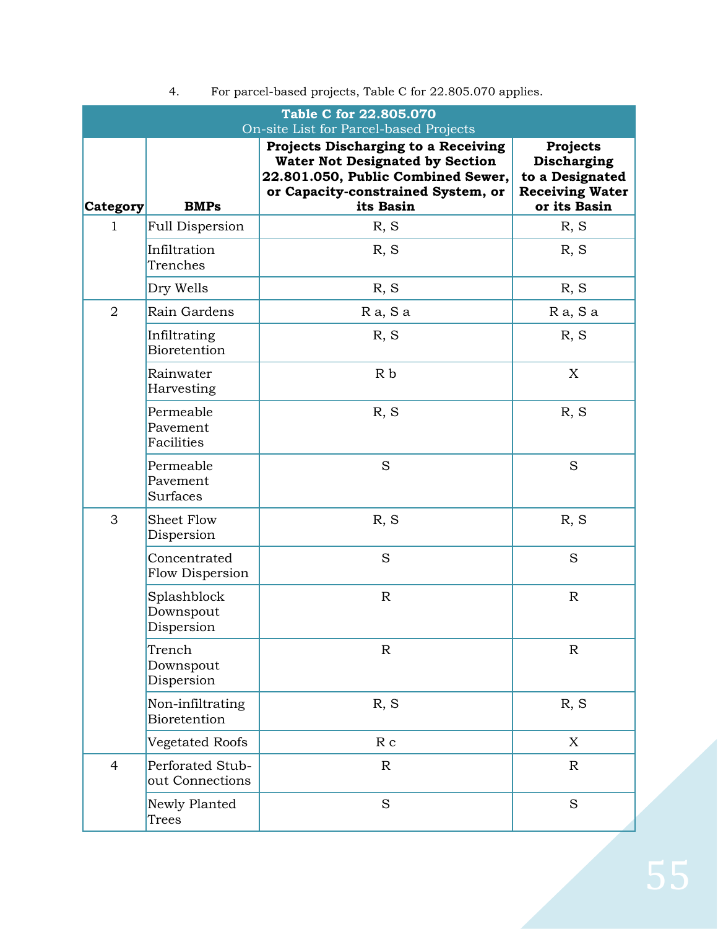| Table C for 22.805.070<br>On-site List for Parcel-based Projects |                                        |                                                                                                                                                                        |                                                                                             |
|------------------------------------------------------------------|----------------------------------------|------------------------------------------------------------------------------------------------------------------------------------------------------------------------|---------------------------------------------------------------------------------------------|
| Category                                                         | <b>BMPs</b>                            | Projects Discharging to a Receiving<br><b>Water Not Designated by Section</b><br>22.801.050, Public Combined Sewer,<br>or Capacity-constrained System, or<br>its Basin | <b>Projects</b><br>Discharging<br>to a Designated<br><b>Receiving Water</b><br>or its Basin |
| $\mathbf{1}$                                                     | <b>Full Dispersion</b>                 | R, S                                                                                                                                                                   | R, S                                                                                        |
|                                                                  | Infiltration<br>Trenches               | R, S                                                                                                                                                                   | R, S                                                                                        |
|                                                                  | Dry Wells                              | R, S                                                                                                                                                                   | R, S                                                                                        |
| $\overline{2}$                                                   | Rain Gardens                           | Ra, Sa                                                                                                                                                                 | Ra, Sa                                                                                      |
|                                                                  | Infiltrating<br>Bioretention           | R, S                                                                                                                                                                   | R, S                                                                                        |
|                                                                  | Rainwater<br>Harvesting                | R <sub>b</sub>                                                                                                                                                         | X                                                                                           |
|                                                                  | Permeable<br>Pavement<br>Facilities    | R, S                                                                                                                                                                   | R, S                                                                                        |
|                                                                  | Permeable<br>Pavement<br>Surfaces      | S                                                                                                                                                                      | S                                                                                           |
| 3                                                                | Sheet Flow<br>Dispersion               | R, S                                                                                                                                                                   | R, S                                                                                        |
|                                                                  | Concentrated<br>Flow Dispersion        | S                                                                                                                                                                      | S                                                                                           |
|                                                                  | Splashblock<br>Downspout<br>Dispersion | $\mathbb{R}$                                                                                                                                                           | $\mathbb R$                                                                                 |
|                                                                  | Trench<br>Downspout<br>Dispersion      | $\mathbb{R}$                                                                                                                                                           | ${\mathbf R}$                                                                               |
|                                                                  | Non-infiltrating<br>Bioretention       | R, S                                                                                                                                                                   | R, S                                                                                        |
|                                                                  | Vegetated Roofs                        | R <sub>c</sub>                                                                                                                                                         | X                                                                                           |
| $\overline{4}$                                                   | Perforated Stub-<br>out Connections    | $\mathbb{R}$                                                                                                                                                           | $\mathbb{R}$                                                                                |
|                                                                  | Newly Planted<br>Trees                 | S                                                                                                                                                                      | S                                                                                           |

# 4. For parcel-based projects, Table C for 22.805.070 applies.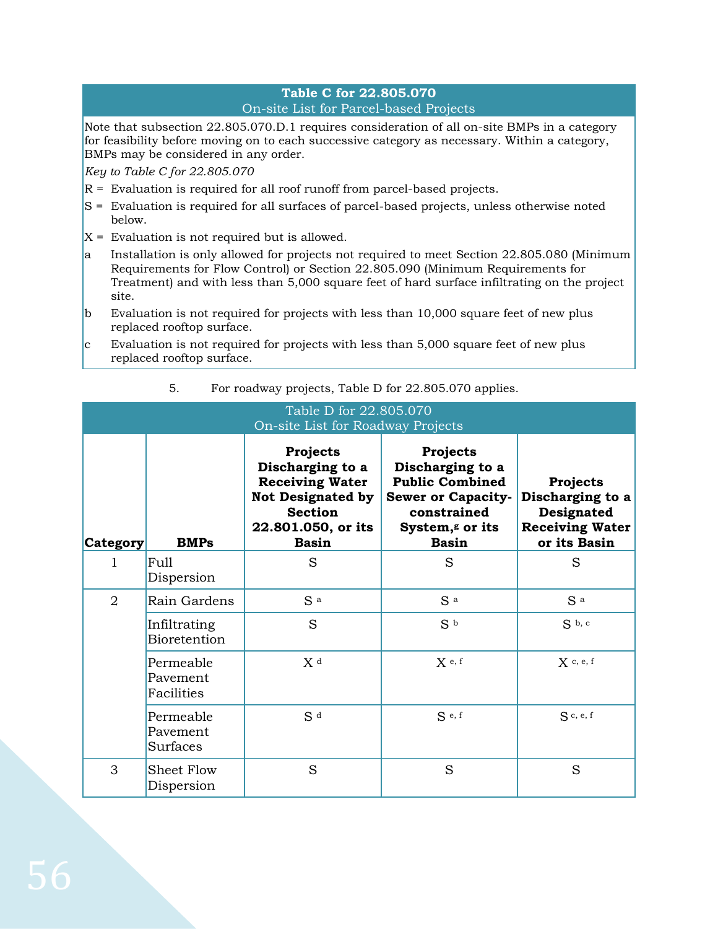# **Table C for 22.805.070** On-site List for Parcel-based Projects

Note that subsection 22.805.070.D.1 requires consideration of all on-site BMPs in a category for feasibility before moving on to each successive category as necessary. Within a category, BMPs may be considered in any order.

*Key to Table C for 22.805.070*

- R = Evaluation is required for all roof runoff from parcel-based projects.
- S = Evaluation is required for all surfaces of parcel-based projects, unless otherwise noted below.
- $X =$  Evaluation is not required but is allowed.
- a Installation is only allowed for projects not required to meet Section 22.805.080 (Minimum Requirements for Flow Control) or Section 22.805.090 (Minimum Requirements for Treatment) and with less than 5,000 square feet of hard surface infiltrating on the project site.
- b Evaluation is not required for projects with less than 10,000 square feet of new plus replaced rooftop surface.
- $\rm c$  Evaluation is not required for projects with less than 5,000 square feet of new plus replaced rooftop surface.

| Table D for 22.805.070<br>On-site List for Roadway Projects |                                     |                                                                                                                                                   |                                                                                                                                                   |                                                                                      |
|-------------------------------------------------------------|-------------------------------------|---------------------------------------------------------------------------------------------------------------------------------------------------|---------------------------------------------------------------------------------------------------------------------------------------------------|--------------------------------------------------------------------------------------|
| <b>Category</b>                                             | <b>BMPs</b>                         | <b>Projects</b><br>Discharging to a<br><b>Receiving Water</b><br><b>Not Designated by</b><br><b>Section</b><br>22.801.050, or its<br><b>Basin</b> | Projects<br>Discharging to a<br><b>Public Combined</b><br><b>Sewer or Capacity-</b><br>constrained<br>System, <sup>g</sup> or its<br><b>Basin</b> | Projects<br>Discharging to a<br>Designated<br><b>Receiving Water</b><br>or its Basin |
| 1                                                           | Full<br>Dispersion                  | S                                                                                                                                                 | S                                                                                                                                                 | S                                                                                    |
| $\overline{2}$                                              | Rain Gardens                        | S a                                                                                                                                               | S <sup>a</sup>                                                                                                                                    | S a                                                                                  |
|                                                             | Infiltrating<br><b>Bioretention</b> | S                                                                                                                                                 | S <sub>b</sub>                                                                                                                                    | $Sb$ , c                                                                             |
|                                                             | Permeable<br>Pavement<br>Facilities | X <sup>d</sup>                                                                                                                                    | $X$ e, f                                                                                                                                          | $X$ c, e, f                                                                          |
|                                                             | Permeable<br>Pavement<br>Surfaces   | S <sup>d</sup>                                                                                                                                    | $S_{e,f}$                                                                                                                                         | $S$ c, e, f                                                                          |
| 3                                                           | <b>Sheet Flow</b><br>Dispersion     | S                                                                                                                                                 | S                                                                                                                                                 | S                                                                                    |

# 5. For roadway projects, Table D for 22.805.070 applies.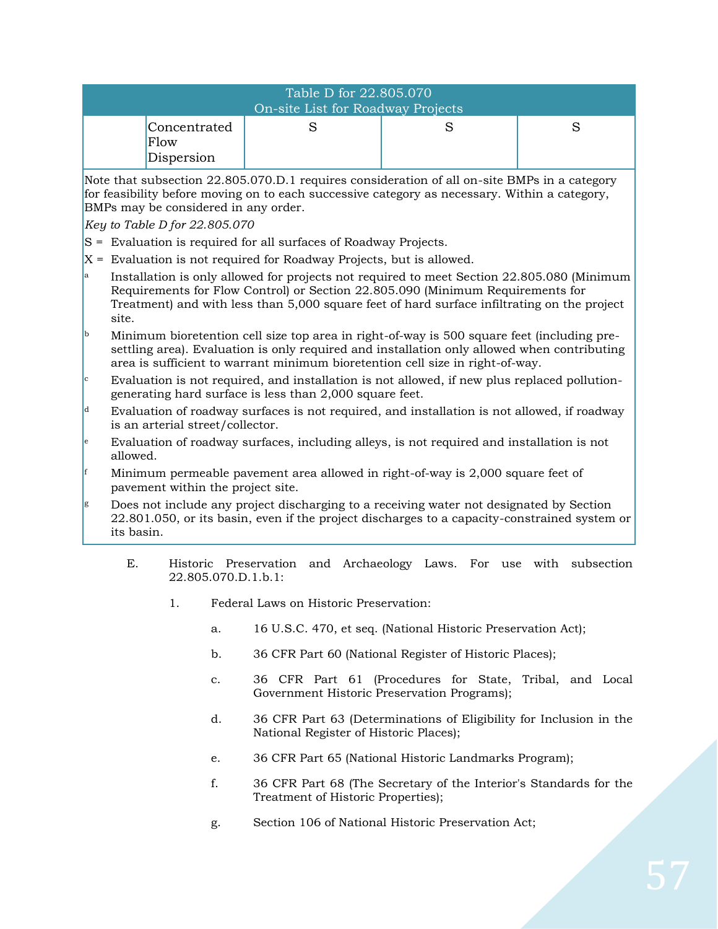| Table D for 22.805.070<br>On-site List for Roadway Projects |  |  |  |
|-------------------------------------------------------------|--|--|--|
| Concentrated<br>Flow<br>Dispersion                          |  |  |  |

Note that subsection 22.805.070.D.1 requires consideration of all on-site BMPs in a category for feasibility before moving on to each successive category as necessary. Within a category, BMPs may be considered in any order.

*Key to Table D for 22.805.070*

- S = Evaluation is required for all surfaces of Roadway Projects.
- $X =$  Evaluation is not required for Roadway Projects, but is allowed.
- Installation is only allowed for projects not required to meet Section 22.805.080 (Minimum Requirements for Flow Control) or Section 22.805.090 (Minimum Requirements for Treatment) and with less than 5,000 square feet of hard surface infiltrating on the project site.
- <sup>b</sup> Minimum bioretention cell size top area in right-of-way is 500 square feet (including presettling area). Evaluation is only required and installation only allowed when contributing area is sufficient to warrant minimum bioretention cell size in right-of-way.
- Evaluation is not required, and installation is not allowed, if new plus replaced pollutiongenerating hard surface is less than 2,000 square feet.
- $d$  Evaluation of roadway surfaces is not required, and installation is not allowed, if roadway is an arterial street/collector.
- <sup>e</sup> Evaluation of roadway surfaces, including alleys, is not required and installation is not allowed.
- Minimum permeable pavement area allowed in right-of-way is 2,000 square feet of pavement within the project site.
- <sup>g</sup> Does not include any project discharging to a receiving water not designated by Section 22.801.050, or its basin, even if the project discharges to a capacity-constrained system or its basin.
	- E. Historic Preservation and Archaeology Laws. For use with subsection 22.805.070.D.1.b.1:
		- 1. Federal Laws on Historic Preservation:
			- a. 16 U.S.C. 470, et seq. (National Historic Preservation Act);
			- b. 36 CFR Part 60 (National Register of Historic Places);
			- c. 36 CFR Part 61 (Procedures for State, Tribal, and Local Government Historic Preservation Programs);
			- d. 36 CFR Part 63 (Determinations of Eligibility for Inclusion in the National Register of Historic Places);
			- e. 36 CFR Part 65 (National Historic Landmarks Program);
			- f. 36 CFR Part 68 (The Secretary of the Interior's Standards for the Treatment of Historic Properties);
			- g. Section 106 of National Historic Preservation Act;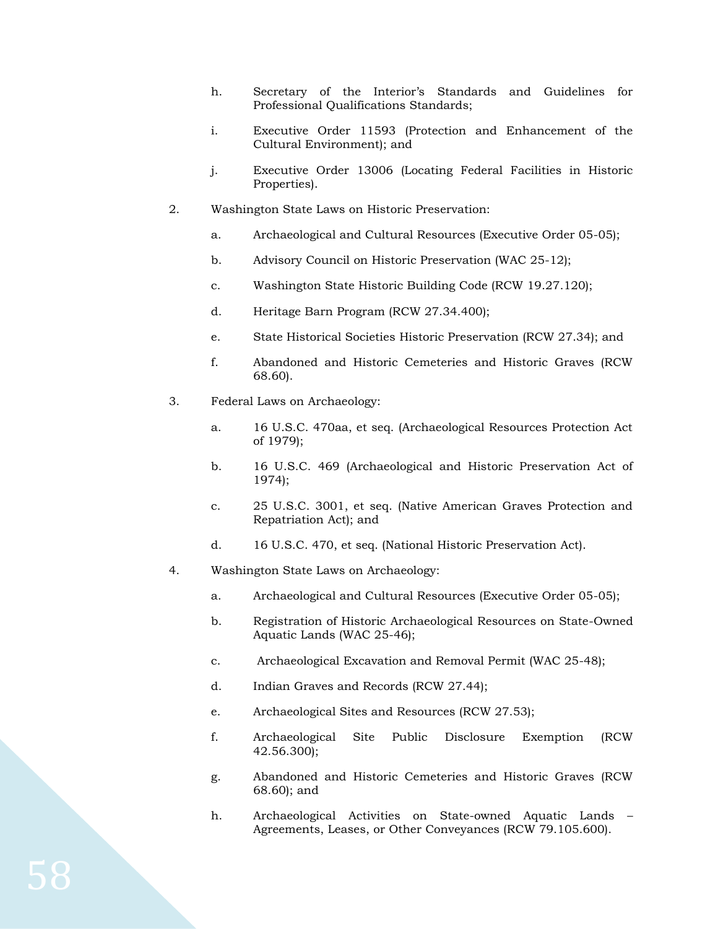- h. Secretary of the Interior's Standards and Guidelines for Professional Qualifications Standards;
- i. Executive Order 11593 (Protection and Enhancement of the Cultural Environment); and
- j. Executive Order 13006 (Locating Federal Facilities in Historic Properties).
- 2. Washington State Laws on Historic Preservation:
	- a. Archaeological and Cultural Resources (Executive Order 05-05);
	- b. Advisory Council on Historic Preservation (WAC 25-12);
	- c. Washington State Historic Building Code (RCW 19.27.120);
	- d. Heritage Barn Program (RCW 27.34.400);
	- e. State Historical Societies Historic Preservation (RCW 27.34); and
	- f. Abandoned and Historic Cemeteries and Historic Graves (RCW 68.60).
- 3. Federal Laws on Archaeology:
	- a. 16 U.S.C. 470aa, et seq. (Archaeological Resources Protection Act of 1979);
	- b. 16 U.S.C. 469 (Archaeological and Historic Preservation Act of 1974);
	- c. 25 U.S.C. 3001, et seq. (Native American Graves Protection and Repatriation Act); and
	- d. 16 U.S.C. 470, et seq. (National Historic Preservation Act).
- 4. Washington State Laws on Archaeology:
	- a. Archaeological and Cultural Resources (Executive Order 05-05);
	- b. Registration of Historic Archaeological Resources on State-Owned Aquatic Lands (WAC 25-46);
	- c. Archaeological Excavation and Removal Permit (WAC 25-48);
	- d. Indian Graves and Records (RCW 27.44);
	- e. Archaeological Sites and Resources (RCW 27.53);
	- f. Archaeological Site Public Disclosure Exemption (RCW 42.56.300);
	- g. Abandoned and Historic Cemeteries and Historic Graves (RCW 68.60); and
	- h. Archaeological Activities on State-owned Aquatic Lands Agreements, Leases, or Other Conveyances (RCW 79.105.600).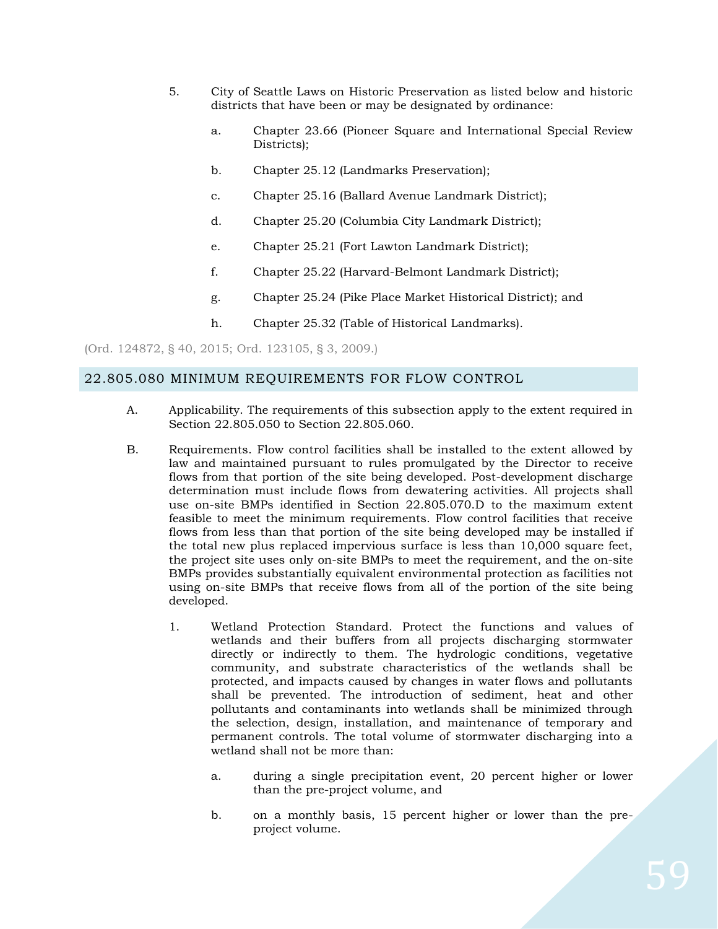- 5. City of Seattle Laws on Historic Preservation as listed below and historic districts that have been or may be designated by ordinance:
	- a. Chapter 23.66 (Pioneer Square and International Special Review Districts);
	- b. Chapter 25.12 (Landmarks Preservation);
	- c. Chapter 25.16 (Ballard Avenue Landmark District);
	- d. Chapter 25.20 (Columbia City Landmark District);
	- e. Chapter 25.21 (Fort Lawton Landmark District);
	- f. Chapter 25.22 (Harvard-Belmont Landmark District);
	- g. Chapter 25.24 (Pike Place Market Historical District); and
	- h. Chapter 25.32 (Table of Historical Landmarks).

(Ord. 124872, § 40, 2015; Ord. 123105, § 3, 2009.)

#### 22.805.080 MINIMUM REQUIREMENTS FOR FLOW CONTROL

- A. Applicability. The requirements of this subsection apply to the extent required in Section 22.805.050 to Section 22.805.060.
- B. Requirements. Flow control facilities shall be installed to the extent allowed by law and maintained pursuant to rules promulgated by the Director to receive flows from that portion of the site being developed. Post-development discharge determination must include flows from dewatering activities. All projects shall use on-site BMPs identified in Section 22.805.070.D to the maximum extent feasible to meet the minimum requirements. Flow control facilities that receive flows from less than that portion of the site being developed may be installed if the total new plus replaced impervious surface is less than 10,000 square feet, the project site uses only on-site BMPs to meet the requirement, and the on-site BMPs provides substantially equivalent environmental protection as facilities not using on-site BMPs that receive flows from all of the portion of the site being developed.
	- 1. Wetland Protection Standard. Protect the functions and values of wetlands and their buffers from all projects discharging stormwater directly or indirectly to them. The hydrologic conditions, vegetative community, and substrate characteristics of the wetlands shall be protected, and impacts caused by changes in water flows and pollutants shall be prevented. The introduction of sediment, heat and other pollutants and contaminants into wetlands shall be minimized through the selection, design, installation, and maintenance of temporary and permanent controls. The total volume of stormwater discharging into a wetland shall not be more than:
		- a. during a single precipitation event, 20 percent higher or lower than the pre-project volume, and
		- b. on a monthly basis, 15 percent higher or lower than the preproject volume.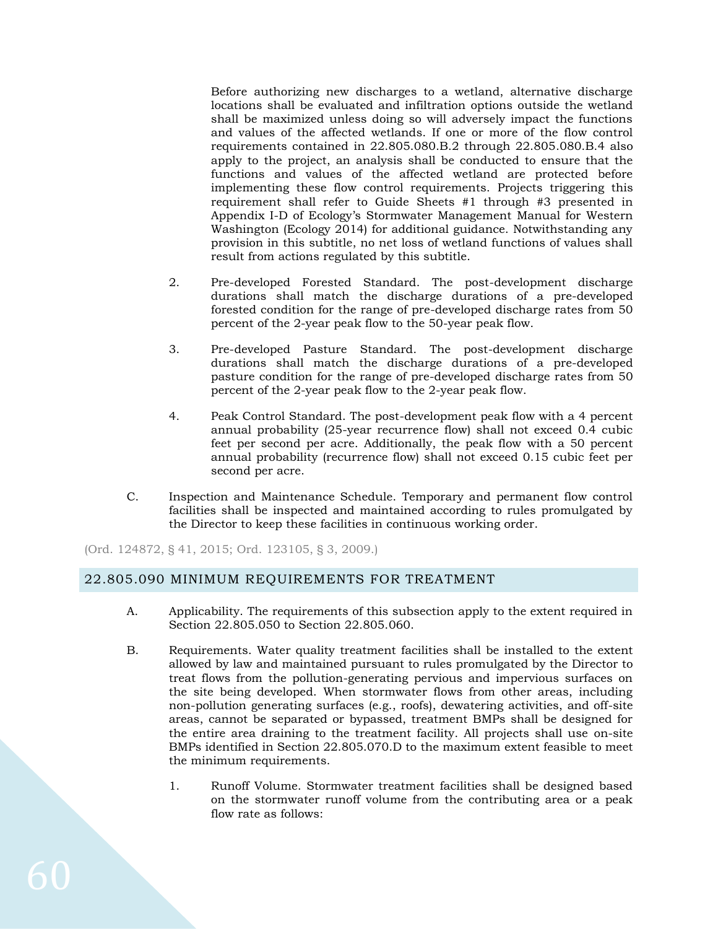Before authorizing new discharges to a wetland, alternative discharge locations shall be evaluated and infiltration options outside the wetland shall be maximized unless doing so will adversely impact the functions and values of the affected wetlands. If one or more of the flow control requirements contained in 22.805.080.B.2 through 22.805.080.B.4 also apply to the project, an analysis shall be conducted to ensure that the functions and values of the affected wetland are protected before implementing these flow control requirements. Projects triggering this requirement shall refer to Guide Sheets #1 through #3 presented in Appendix I-D of Ecology's Stormwater Management Manual for Western Washington (Ecology 2014) for additional guidance. Notwithstanding any provision in this subtitle, no net loss of wetland functions of values shall result from actions regulated by this subtitle.

- 2. Pre-developed Forested Standard. The post-development discharge durations shall match the discharge durations of a pre-developed forested condition for the range of pre-developed discharge rates from 50 percent of the 2-year peak flow to the 50-year peak flow.
- 3. Pre-developed Pasture Standard. The post-development discharge durations shall match the discharge durations of a pre-developed pasture condition for the range of pre-developed discharge rates from 50 percent of the 2-year peak flow to the 2-year peak flow.
- 4. Peak Control Standard. The post-development peak flow with a 4 percent annual probability (25-year recurrence flow) shall not exceed 0.4 cubic feet per second per acre. Additionally, the peak flow with a 50 percent annual probability (recurrence flow) shall not exceed 0.15 cubic feet per second per acre.
- C. Inspection and Maintenance Schedule. Temporary and permanent flow control facilities shall be inspected and maintained according to rules promulgated by the Director to keep these facilities in continuous working order.

(Ord. 124872, § 41, 2015; Ord. 123105, § 3, 2009.)

# 22.805.090 MINIMUM REQUIREMENTS FOR TREATMENT

- A. Applicability. The requirements of this subsection apply to the extent required in Section 22.805.050 to Section 22.805.060.
- B. Requirements. Water quality treatment facilities shall be installed to the extent allowed by law and maintained pursuant to rules promulgated by the Director to treat flows from the pollution-generating pervious and impervious surfaces on the site being developed. When stormwater flows from other areas, including non-pollution generating surfaces (e.g., roofs), dewatering activities, and off-site areas, cannot be separated or bypassed, treatment BMPs shall be designed for the entire area draining to the treatment facility. All projects shall use on-site BMPs identified in Section 22.805.070.D to the maximum extent feasible to meet the minimum requirements.
	- 1. Runoff Volume. Stormwater treatment facilities shall be designed based on the stormwater runoff volume from the contributing area or a peak flow rate as follows: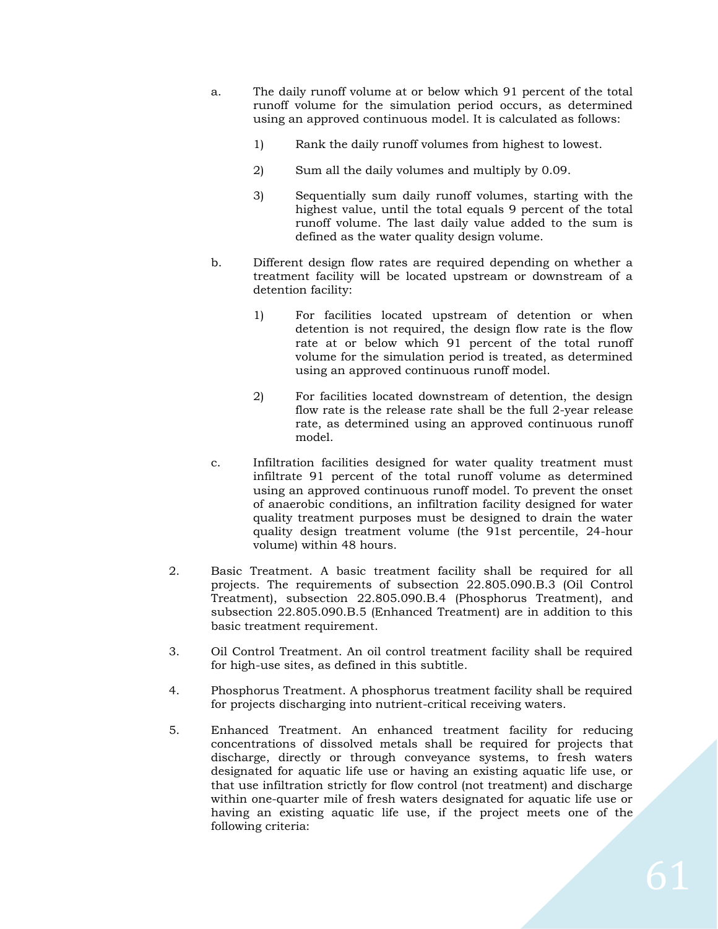- a. The daily runoff volume at or below which 91 percent of the total runoff volume for the simulation period occurs, as determined using an approved continuous model. It is calculated as follows:
	- 1) Rank the daily runoff volumes from highest to lowest.
	- 2) Sum all the daily volumes and multiply by 0.09.
	- 3) Sequentially sum daily runoff volumes, starting with the highest value, until the total equals 9 percent of the total runoff volume. The last daily value added to the sum is defined as the water quality design volume.
- b. Different design flow rates are required depending on whether a treatment facility will be located upstream or downstream of a detention facility:
	- 1) For facilities located upstream of detention or when detention is not required, the design flow rate is the flow rate at or below which 91 percent of the total runoff volume for the simulation period is treated, as determined using an approved continuous runoff model.
	- 2) For facilities located downstream of detention, the design flow rate is the release rate shall be the full 2-year release rate, as determined using an approved continuous runoff model.
- c. Infiltration facilities designed for water quality treatment must infiltrate 91 percent of the total runoff volume as determined using an approved continuous runoff model. To prevent the onset of anaerobic conditions, an infiltration facility designed for water quality treatment purposes must be designed to drain the water quality design treatment volume (the 91st percentile, 24-hour volume) within 48 hours.
- 2. Basic Treatment. A basic treatment facility shall be required for all projects. The requirements of subsection 22.805.090.B.3 (Oil Control Treatment), subsection 22.805.090.B.4 (Phosphorus Treatment), and subsection 22.805.090.B.5 (Enhanced Treatment) are in addition to this basic treatment requirement.
- 3. Oil Control Treatment. An oil control treatment facility shall be required for high-use sites, as defined in this subtitle.
- 4. Phosphorus Treatment. A phosphorus treatment facility shall be required for projects discharging into nutrient-critical receiving waters.
- 5. Enhanced Treatment. An enhanced treatment facility for reducing concentrations of dissolved metals shall be required for projects that discharge, directly or through conveyance systems, to fresh waters designated for aquatic life use or having an existing aquatic life use, or that use infiltration strictly for flow control (not treatment) and discharge within one-quarter mile of fresh waters designated for aquatic life use or having an existing aquatic life use, if the project meets one of the following criteria: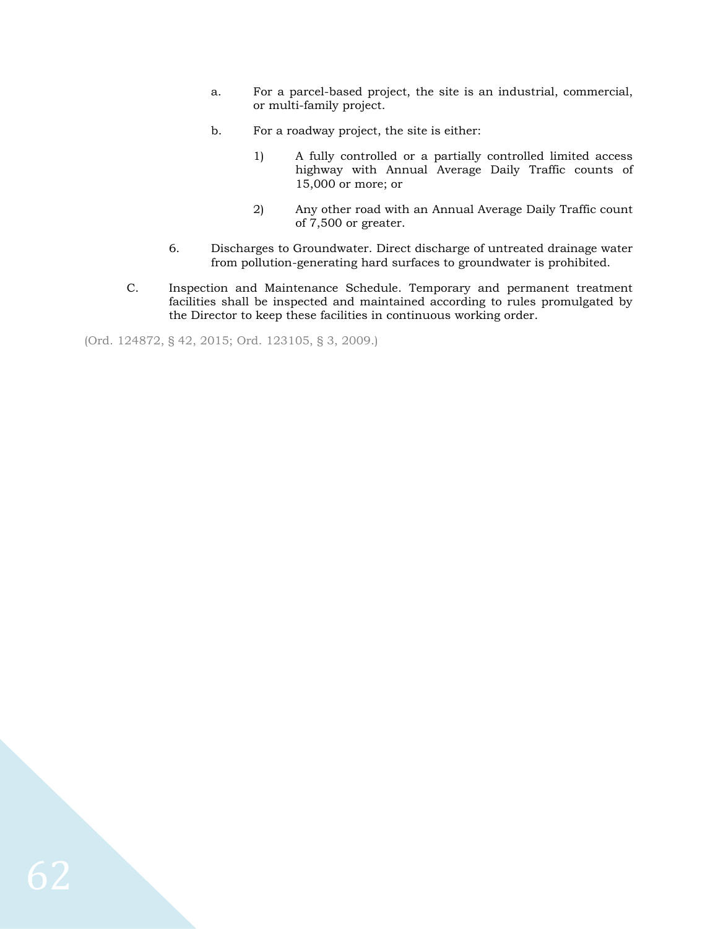- a. For a parcel-based project, the site is an industrial, commercial, or multi-family project.
- b. For a roadway project, the site is either:
	- 1) A fully controlled or a partially controlled limited access highway with Annual Average Daily Traffic counts of 15,000 or more; or
	- 2) Any other road with an Annual Average Daily Traffic count of 7,500 or greater.
- 6. Discharges to Groundwater. Direct discharge of untreated drainage water from pollution-generating hard surfaces to groundwater is prohibited.
- C. Inspection and Maintenance Schedule. Temporary and permanent treatment facilities shall be inspected and maintained according to rules promulgated by the Director to keep these facilities in continuous working order.

(Ord. 124872, § 42, 2015; Ord. 123105, § 3, 2009.)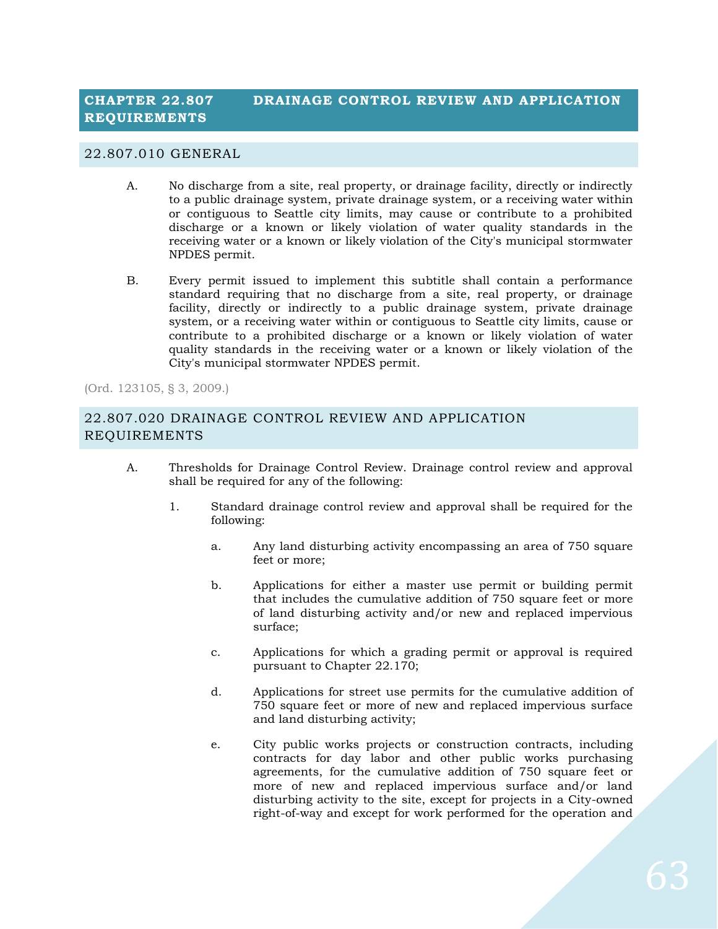#### 22.807.010 GENERAL

- A. No discharge from a site, real property, or drainage facility, directly or indirectly to a public drainage system, private drainage system, or a receiving water within or contiguous to Seattle city limits, may cause or contribute to a prohibited discharge or a known or likely violation of water quality standards in the receiving water or a known or likely violation of the City's municipal stormwater NPDES permit.
- B. Every permit issued to implement this subtitle shall contain a performance standard requiring that no discharge from a site, real property, or drainage facility, directly or indirectly to a public drainage system, private drainage system, or a receiving water within or contiguous to Seattle city limits, cause or contribute to a prohibited discharge or a known or likely violation of water quality standards in the receiving water or a known or likely violation of the City's municipal stormwater NPDES permit.

(Ord. 123105, § 3, 2009.)

# 22.807.020 DRAINAGE CONTROL REVIEW AND APPLICATION REQUIREMENTS

- A. Thresholds for Drainage Control Review. Drainage control review and approval shall be required for any of the following:
	- 1. Standard drainage control review and approval shall be required for the following:
		- a. Any land disturbing activity encompassing an area of 750 square feet or more;
		- b. Applications for either a master use permit or building permit that includes the cumulative addition of 750 square feet or more of land disturbing activity and/or new and replaced impervious surface;
		- c. Applications for which a grading permit or approval is required pursuant to Chapter 22.170;
		- d. Applications for street use permits for the cumulative addition of 750 square feet or more of new and replaced impervious surface and land disturbing activity;
		- e. City public works projects or construction contracts, including contracts for day labor and other public works purchasing agreements, for the cumulative addition of 750 square feet or more of new and replaced impervious surface and/or land disturbing activity to the site, except for projects in a City-owned right-of-way and except for work performed for the operation and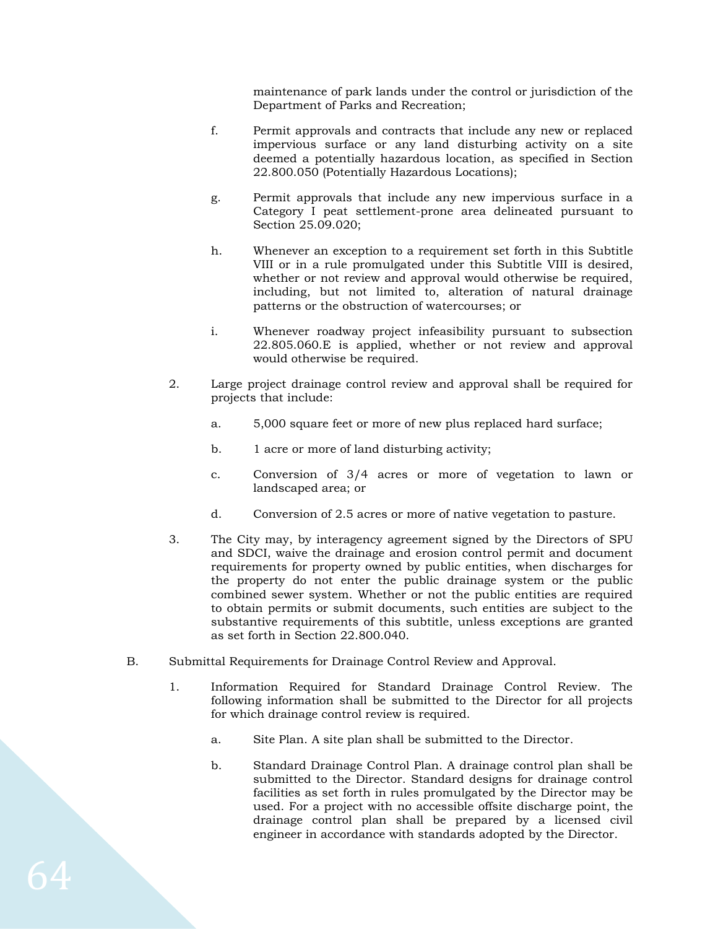maintenance of park lands under the control or jurisdiction of the Department of Parks and Recreation;

- f. Permit approvals and contracts that include any new or replaced impervious surface or any land disturbing activity on a site deemed a potentially hazardous location, as specified in Section 22.800.050 (Potentially Hazardous Locations);
- g. Permit approvals that include any new impervious surface in a Category I peat settlement-prone area delineated pursuant to Section 25.09.020;
- h. Whenever an exception to a requirement set forth in this Subtitle VIII or in a rule promulgated under this Subtitle VIII is desired, whether or not review and approval would otherwise be required, including, but not limited to, alteration of natural drainage patterns or the obstruction of watercourses; or
- i. Whenever roadway project infeasibility pursuant to subsection 22.805.060.E is applied, whether or not review and approval would otherwise be required.
- 2. Large project drainage control review and approval shall be required for projects that include:
	- a. 5,000 square feet or more of new plus replaced hard surface;
	- b. 1 acre or more of land disturbing activity;
	- c. Conversion of 3/4 acres or more of vegetation to lawn or landscaped area; or
	- d. Conversion of 2.5 acres or more of native vegetation to pasture.
- 3. The City may, by interagency agreement signed by the Directors of SPU and SDCI, waive the drainage and erosion control permit and document requirements for property owned by public entities, when discharges for the property do not enter the public drainage system or the public combined sewer system. Whether or not the public entities are required to obtain permits or submit documents, such entities are subject to the substantive requirements of this subtitle, unless exceptions are granted as set forth in Section 22.800.040.
- B. Submittal Requirements for Drainage Control Review and Approval.
	- 1. Information Required for Standard Drainage Control Review. The following information shall be submitted to the Director for all projects for which drainage control review is required.
		- a. Site Plan. A site plan shall be submitted to the Director.
		- b. Standard Drainage Control Plan. A drainage control plan shall be submitted to the Director. Standard designs for drainage control facilities as set forth in rules promulgated by the Director may be used. For a project with no accessible offsite discharge point, the drainage control plan shall be prepared by a licensed civil engineer in accordance with standards adopted by the Director.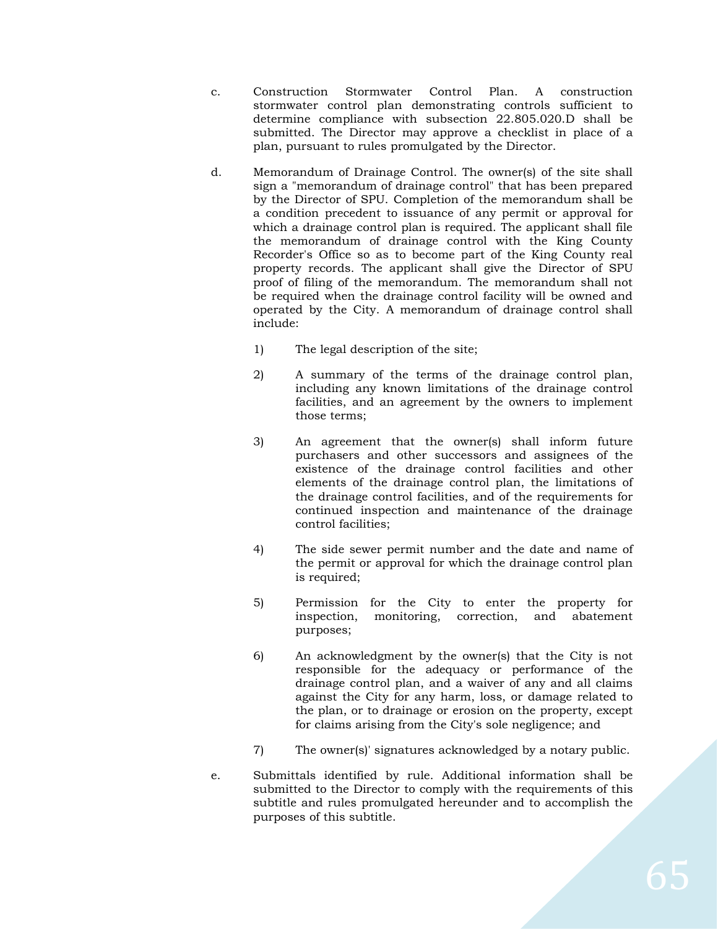- c. Construction Stormwater Control Plan. A construction stormwater control plan demonstrating controls sufficient to determine compliance with subsection 22.805.020.D shall be submitted. The Director may approve a checklist in place of a plan, pursuant to rules promulgated by the Director.
- d. Memorandum of Drainage Control. The owner(s) of the site shall sign a "memorandum of drainage control" that has been prepared by the Director of SPU. Completion of the memorandum shall be a condition precedent to issuance of any permit or approval for which a drainage control plan is required. The applicant shall file the memorandum of drainage control with the King County Recorder's Office so as to become part of the King County real property records. The applicant shall give the Director of SPU proof of filing of the memorandum. The memorandum shall not be required when the drainage control facility will be owned and operated by the City. A memorandum of drainage control shall include:
	- 1) The legal description of the site;
	- 2) A summary of the terms of the drainage control plan, including any known limitations of the drainage control facilities, and an agreement by the owners to implement those terms;
	- 3) An agreement that the owner(s) shall inform future purchasers and other successors and assignees of the existence of the drainage control facilities and other elements of the drainage control plan, the limitations of the drainage control facilities, and of the requirements for continued inspection and maintenance of the drainage control facilities;
	- 4) The side sewer permit number and the date and name of the permit or approval for which the drainage control plan is required;
	- 5) Permission for the City to enter the property for inspection, monitoring, correction, and abatement purposes;
	- 6) An acknowledgment by the owner(s) that the City is not responsible for the adequacy or performance of the drainage control plan, and a waiver of any and all claims against the City for any harm, loss, or damage related to the plan, or to drainage or erosion on the property, except for claims arising from the City's sole negligence; and
	- 7) The owner(s)' signatures acknowledged by a notary public.
- e. Submittals identified by rule. Additional information shall be submitted to the Director to comply with the requirements of this subtitle and rules promulgated hereunder and to accomplish the purposes of this subtitle.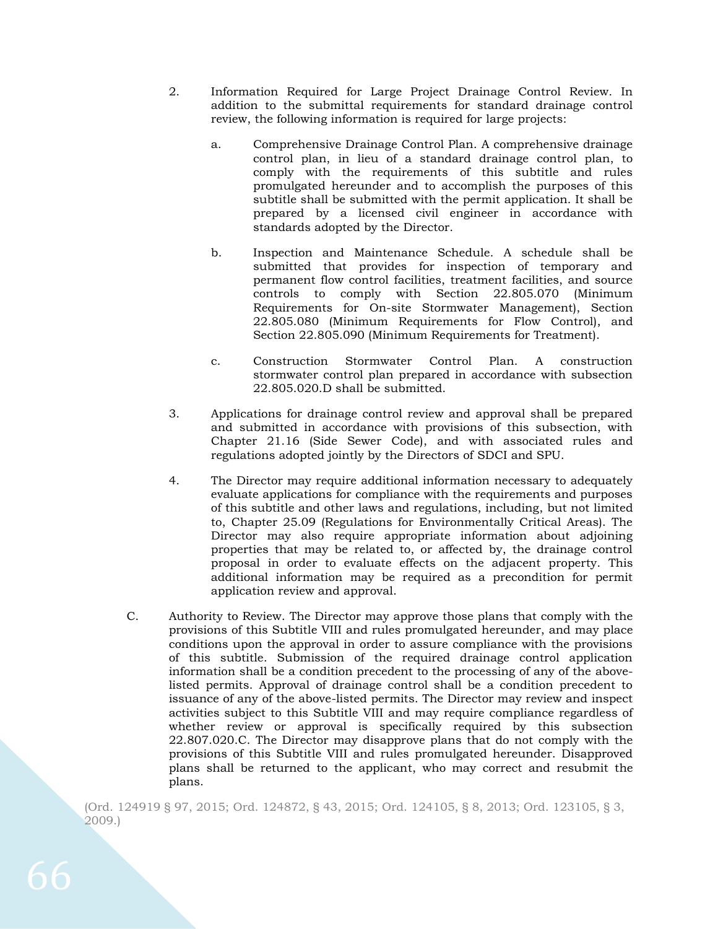- 2. Information Required for Large Project Drainage Control Review. In addition to the submittal requirements for standard drainage control review, the following information is required for large projects:
	- a. Comprehensive Drainage Control Plan. A comprehensive drainage control plan, in lieu of a standard drainage control plan, to comply with the requirements of this subtitle and rules promulgated hereunder and to accomplish the purposes of this subtitle shall be submitted with the permit application. It shall be prepared by a licensed civil engineer in accordance with standards adopted by the Director.
	- b. Inspection and Maintenance Schedule. A schedule shall be submitted that provides for inspection of temporary and permanent flow control facilities, treatment facilities, and source controls to comply with Section 22.805.070 (Minimum Requirements for On-site Stormwater Management), Section 22.805.080 (Minimum Requirements for Flow Control), and Section 22.805.090 (Minimum Requirements for Treatment).
	- c. Construction Stormwater Control Plan. A construction stormwater control plan prepared in accordance with subsection 22.805.020.D shall be submitted.
- 3. Applications for drainage control review and approval shall be prepared and submitted in accordance with provisions of this subsection, with Chapter 21.16 (Side Sewer Code), and with associated rules and regulations adopted jointly by the Directors of SDCI and SPU.
- 4. The Director may require additional information necessary to adequately evaluate applications for compliance with the requirements and purposes of this subtitle and other laws and regulations, including, but not limited to, Chapter 25.09 (Regulations for Environmentally Critical Areas). The Director may also require appropriate information about adjoining properties that may be related to, or affected by, the drainage control proposal in order to evaluate effects on the adjacent property. This additional information may be required as a precondition for permit application review and approval.
- C. Authority to Review. The Director may approve those plans that comply with the provisions of this Subtitle VIII and rules promulgated hereunder, and may place conditions upon the approval in order to assure compliance with the provisions of this subtitle. Submission of the required drainage control application information shall be a condition precedent to the processing of any of the abovelisted permits. Approval of drainage control shall be a condition precedent to issuance of any of the above-listed permits. The Director may review and inspect activities subject to this Subtitle VIII and may require compliance regardless of whether review or approval is specifically required by this subsection 22.807.020.C. The Director may disapprove plans that do not comply with the provisions of this Subtitle VIII and rules promulgated hereunder. Disapproved plans shall be returned to the applicant, who may correct and resubmit the plans.

(Ord. 124919 § 97, 2015; Ord. 124872, § 43, 2015; Ord. 124105, § 8, 2013; Ord. 123105, § 3, 2009.)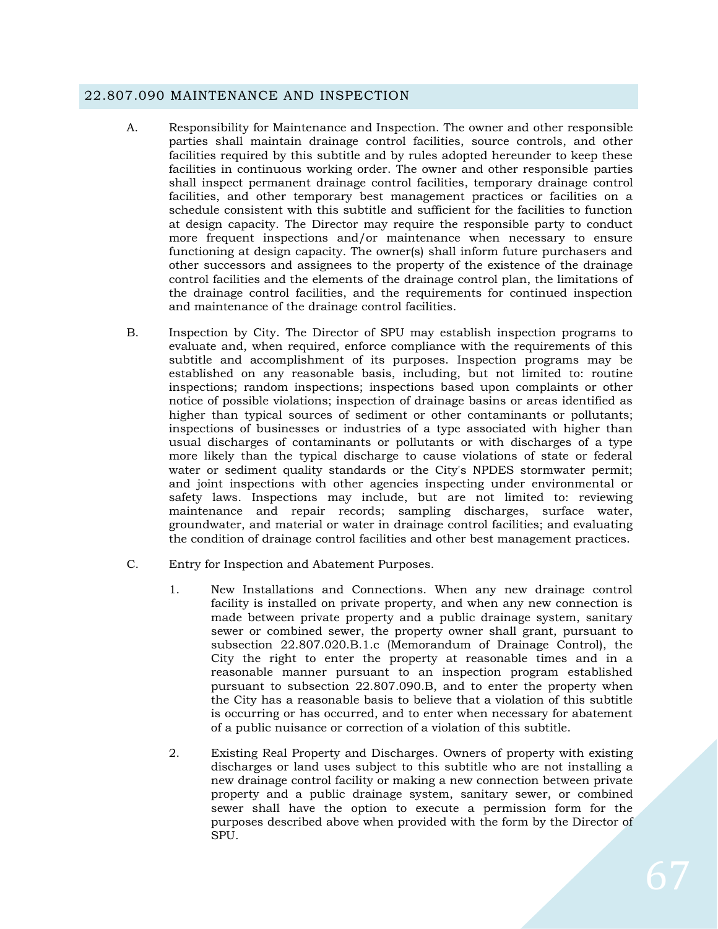#### 22.807.090 MAINTENANCE AND INSPECTION

- A. Responsibility for Maintenance and Inspection. The owner and other responsible parties shall maintain drainage control facilities, source controls, and other facilities required by this subtitle and by rules adopted hereunder to keep these facilities in continuous working order. The owner and other responsible parties shall inspect permanent drainage control facilities, temporary drainage control facilities, and other temporary best management practices or facilities on a schedule consistent with this subtitle and sufficient for the facilities to function at design capacity. The Director may require the responsible party to conduct more frequent inspections and/or maintenance when necessary to ensure functioning at design capacity. The owner(s) shall inform future purchasers and other successors and assignees to the property of the existence of the drainage control facilities and the elements of the drainage control plan, the limitations of the drainage control facilities, and the requirements for continued inspection and maintenance of the drainage control facilities.
- B. Inspection by City. The Director of SPU may establish inspection programs to evaluate and, when required, enforce compliance with the requirements of this subtitle and accomplishment of its purposes. Inspection programs may be established on any reasonable basis, including, but not limited to: routine inspections; random inspections; inspections based upon complaints or other notice of possible violations; inspection of drainage basins or areas identified as higher than typical sources of sediment or other contaminants or pollutants; inspections of businesses or industries of a type associated with higher than usual discharges of contaminants or pollutants or with discharges of a type more likely than the typical discharge to cause violations of state or federal water or sediment quality standards or the City's NPDES stormwater permit; and joint inspections with other agencies inspecting under environmental or safety laws. Inspections may include, but are not limited to: reviewing maintenance and repair records; sampling discharges, surface water, groundwater, and material or water in drainage control facilities; and evaluating the condition of drainage control facilities and other best management practices.
- C. Entry for Inspection and Abatement Purposes.
	- 1. New Installations and Connections. When any new drainage control facility is installed on private property, and when any new connection is made between private property and a public drainage system, sanitary sewer or combined sewer, the property owner shall grant, pursuant to subsection 22.807.020.B.1.c (Memorandum of Drainage Control), the City the right to enter the property at reasonable times and in a reasonable manner pursuant to an inspection program established pursuant to subsection 22.807.090.B, and to enter the property when the City has a reasonable basis to believe that a violation of this subtitle is occurring or has occurred, and to enter when necessary for abatement of a public nuisance or correction of a violation of this subtitle.
	- 2. Existing Real Property and Discharges. Owners of property with existing discharges or land uses subject to this subtitle who are not installing a new drainage control facility or making a new connection between private property and a public drainage system, sanitary sewer, or combined sewer shall have the option to execute a permission form for the purposes described above when provided with the form by the Director of **SPU.**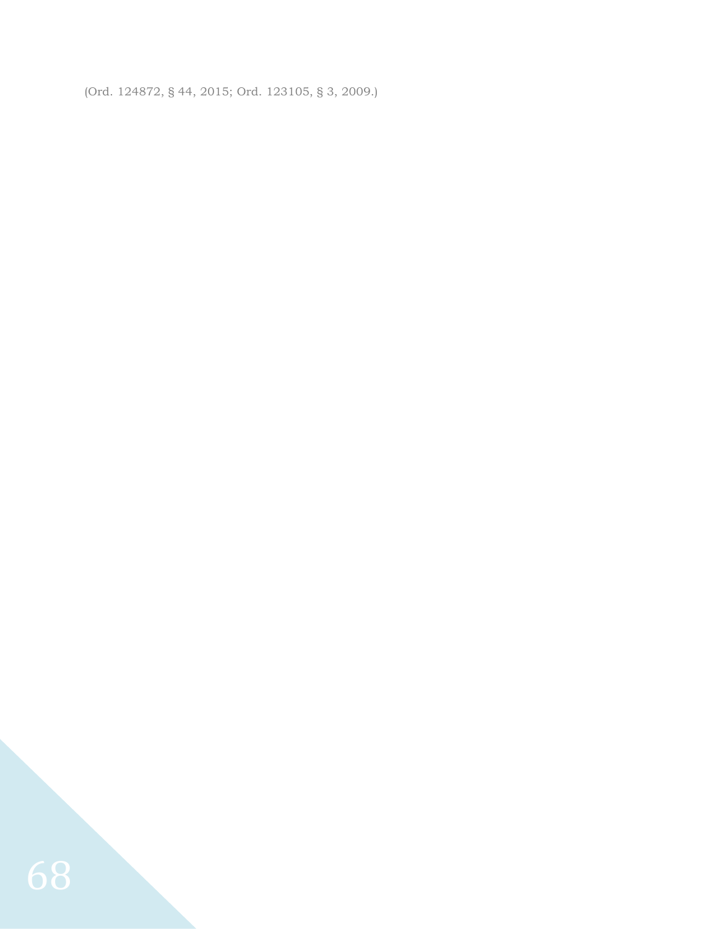(Ord. 124872, § 44, 2015; Ord. 123105, § 3, 2009.)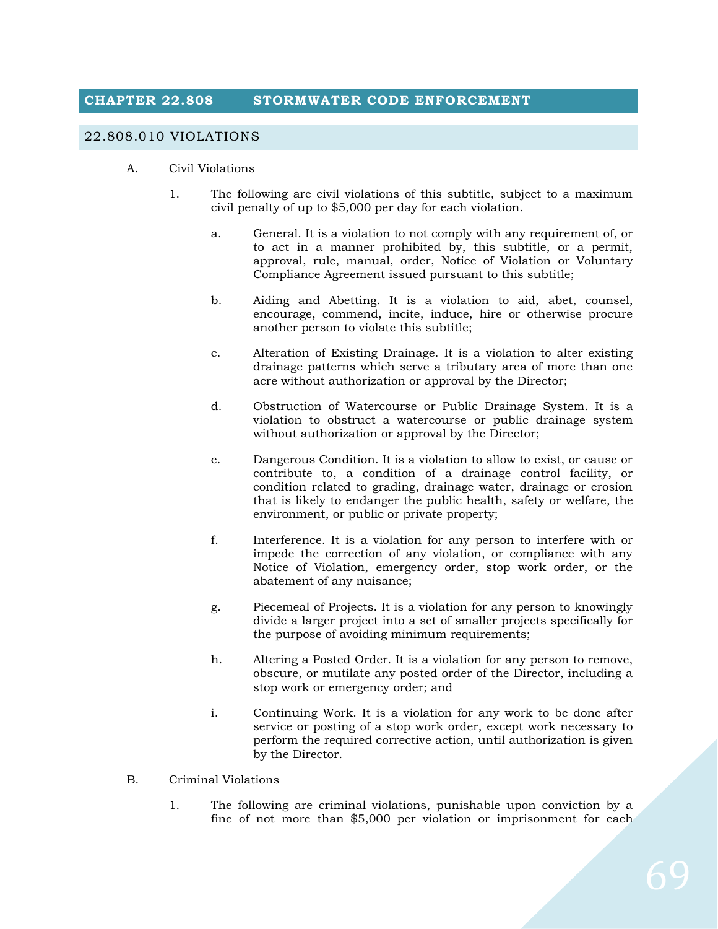# **CHAPTER 22.808 STORMWATER CODE ENFORCEMENT**

#### 22.808.010 VIOLATIONS

- A. Civil Violations
	- 1. The following are civil violations of this subtitle, subject to a maximum civil penalty of up to \$5,000 per day for each violation.
		- a. General. It is a violation to not comply with any requirement of, or to act in a manner prohibited by, this subtitle, or a permit, approval, rule, manual, order, Notice of Violation or Voluntary Compliance Agreement issued pursuant to this subtitle;
		- b. Aiding and Abetting. It is a violation to aid, abet, counsel, encourage, commend, incite, induce, hire or otherwise procure another person to violate this subtitle;
		- c. Alteration of Existing Drainage. It is a violation to alter existing drainage patterns which serve a tributary area of more than one acre without authorization or approval by the Director;
		- d. Obstruction of Watercourse or Public Drainage System. It is a violation to obstruct a watercourse or public drainage system without authorization or approval by the Director;
		- e. Dangerous Condition. It is a violation to allow to exist, or cause or contribute to, a condition of a drainage control facility, or condition related to grading, drainage water, drainage or erosion that is likely to endanger the public health, safety or welfare, the environment, or public or private property;
		- f. Interference. It is a violation for any person to interfere with or impede the correction of any violation, or compliance with any Notice of Violation, emergency order, stop work order, or the abatement of any nuisance;
		- g. Piecemeal of Projects. It is a violation for any person to knowingly divide a larger project into a set of smaller projects specifically for the purpose of avoiding minimum requirements;
		- h. Altering a Posted Order. It is a violation for any person to remove, obscure, or mutilate any posted order of the Director, including a stop work or emergency order; and
		- i. Continuing Work. It is a violation for any work to be done after service or posting of a stop work order, except work necessary to perform the required corrective action, until authorization is given by the Director.
- B. Criminal Violations
	- 1. The following are criminal violations, punishable upon conviction by a fine of not more than \$5,000 per violation or imprisonment for each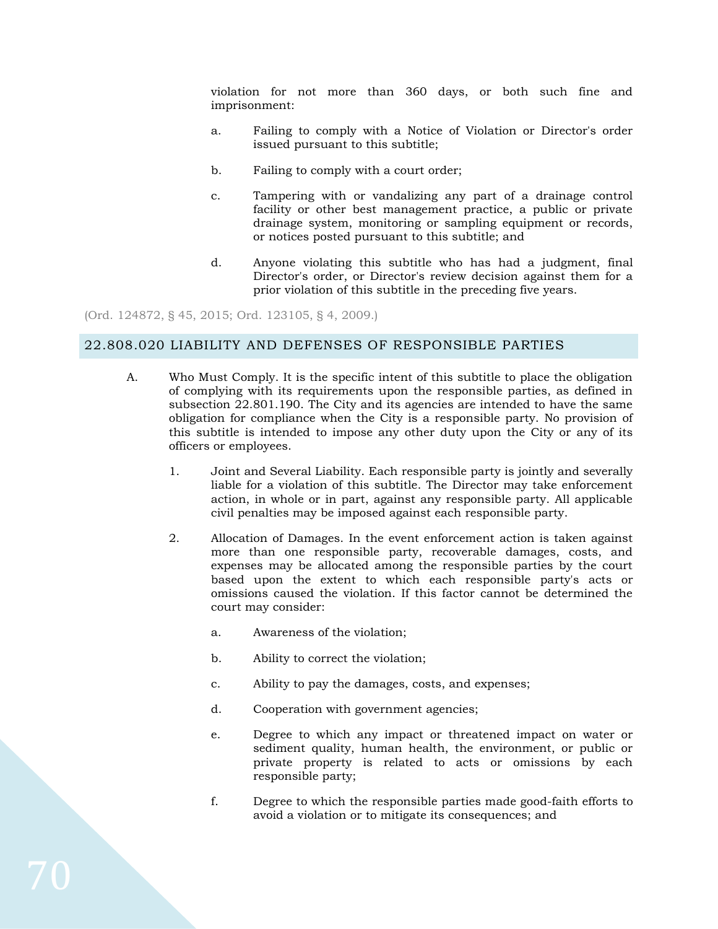violation for not more than 360 days, or both such fine and imprisonment:

- a. Failing to comply with a Notice of Violation or Director's order issued pursuant to this subtitle;
- b. Failing to comply with a court order;
- c. Tampering with or vandalizing any part of a drainage control facility or other best management practice, a public or private drainage system, monitoring or sampling equipment or records, or notices posted pursuant to this subtitle; and
- d. Anyone violating this subtitle who has had a judgment, final Director's order, or Director's review decision against them for a prior violation of this subtitle in the preceding five years.

(Ord. 124872, § 45, 2015; Ord. 123105, § 4, 2009.)

### 22.808.020 LIABILITY AND DEFENSES OF RESPONSIBLE PARTIES

- A. Who Must Comply. It is the specific intent of this subtitle to place the obligation of complying with its requirements upon the responsible parties, as defined in subsection 22.801.190. The City and its agencies are intended to have the same obligation for compliance when the City is a responsible party. No provision of this subtitle is intended to impose any other duty upon the City or any of its officers or employees.
	- 1. Joint and Several Liability. Each responsible party is jointly and severally liable for a violation of this subtitle. The Director may take enforcement action, in whole or in part, against any responsible party. All applicable civil penalties may be imposed against each responsible party.
	- 2. Allocation of Damages. In the event enforcement action is taken against more than one responsible party, recoverable damages, costs, and expenses may be allocated among the responsible parties by the court based upon the extent to which each responsible party's acts or omissions caused the violation. If this factor cannot be determined the court may consider:
		- a. Awareness of the violation;
		- b. Ability to correct the violation;
		- c. Ability to pay the damages, costs, and expenses;
		- d. Cooperation with government agencies;
		- e. Degree to which any impact or threatened impact on water or sediment quality, human health, the environment, or public or private property is related to acts or omissions by each responsible party;
		- f. Degree to which the responsible parties made good-faith efforts to avoid a violation or to mitigate its consequences; and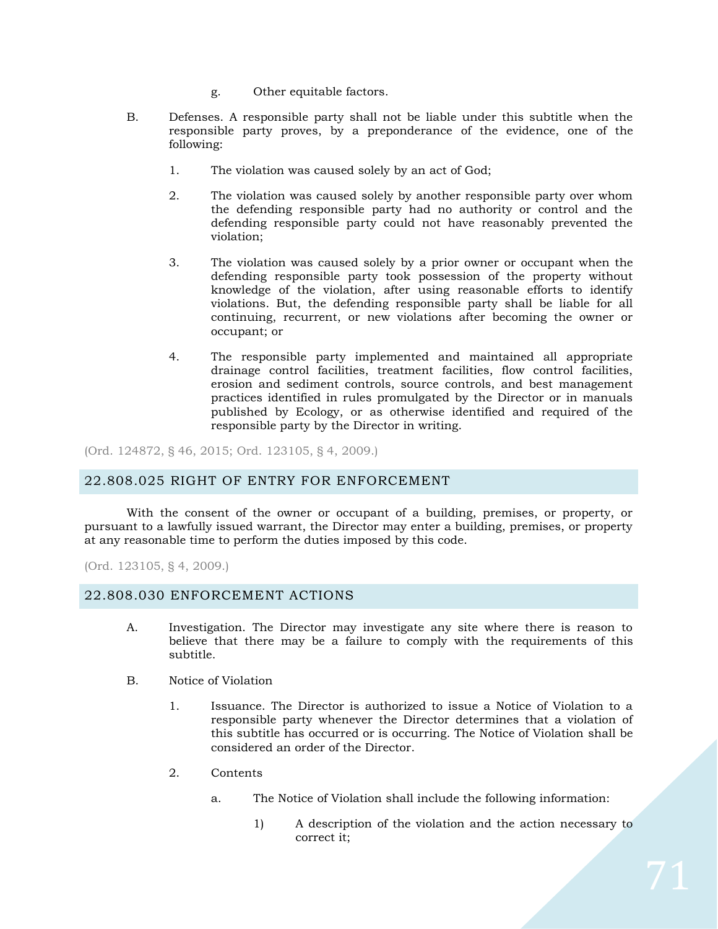- g. Other equitable factors.
- B. Defenses. A responsible party shall not be liable under this subtitle when the responsible party proves, by a preponderance of the evidence, one of the following:
	- 1. The violation was caused solely by an act of God;
	- 2. The violation was caused solely by another responsible party over whom the defending responsible party had no authority or control and the defending responsible party could not have reasonably prevented the violation;
	- 3. The violation was caused solely by a prior owner or occupant when the defending responsible party took possession of the property without knowledge of the violation, after using reasonable efforts to identify violations. But, the defending responsible party shall be liable for all continuing, recurrent, or new violations after becoming the owner or occupant; or
	- 4. The responsible party implemented and maintained all appropriate drainage control facilities, treatment facilities, flow control facilities, erosion and sediment controls, source controls, and best management practices identified in rules promulgated by the Director or in manuals published by Ecology, or as otherwise identified and required of the responsible party by the Director in writing.

(Ord. 124872, § 46, 2015; Ord. 123105, § 4, 2009.)

#### 22.808.025 RIGHT OF ENTRY FOR ENFORCEMENT

With the consent of the owner or occupant of a building, premises, or property, or pursuant to a lawfully issued warrant, the Director may enter a building, premises, or property at any reasonable time to perform the duties imposed by this code.

(Ord. 123105, § 4, 2009.)

#### 22.808.030 ENFORCEMENT ACTIONS

- A. Investigation. The Director may investigate any site where there is reason to believe that there may be a failure to comply with the requirements of this subtitle.
- B. Notice of Violation
	- 1. Issuance. The Director is authorized to issue a Notice of Violation to a responsible party whenever the Director determines that a violation of this subtitle has occurred or is occurring. The Notice of Violation shall be considered an order of the Director.
	- 2. Contents
		- a. The Notice of Violation shall include the following information:
			- 1) A description of the violation and the action necessary to correct it;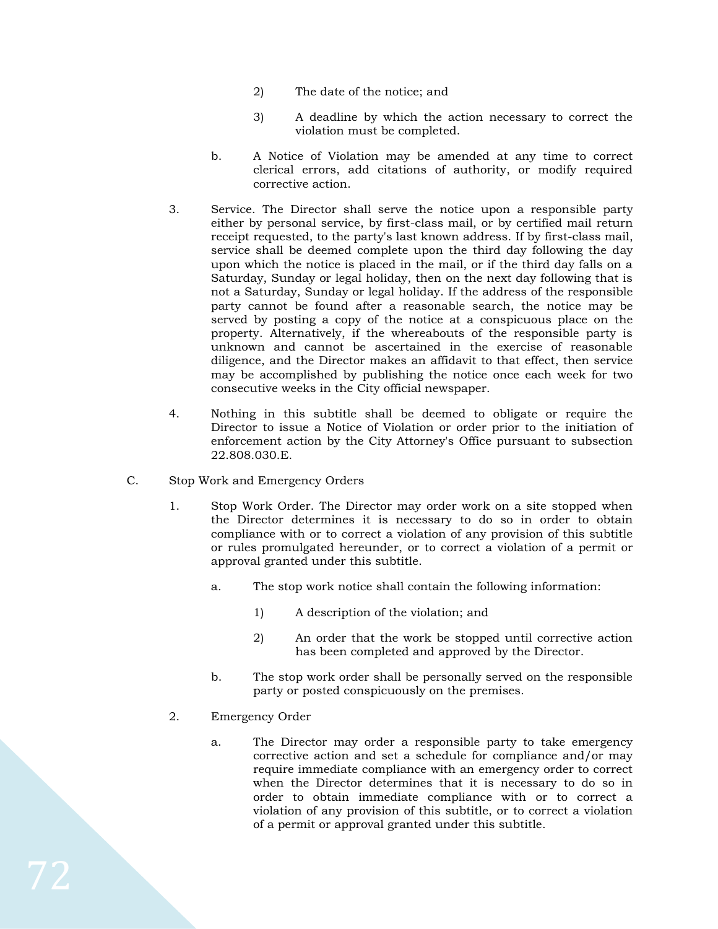- 2) The date of the notice; and
- 3) A deadline by which the action necessary to correct the violation must be completed.
- b. A Notice of Violation may be amended at any time to correct clerical errors, add citations of authority, or modify required corrective action.
- 3. Service. The Director shall serve the notice upon a responsible party either by personal service, by first-class mail, or by certified mail return receipt requested, to the party's last known address. If by first-class mail, service shall be deemed complete upon the third day following the day upon which the notice is placed in the mail, or if the third day falls on a Saturday, Sunday or legal holiday, then on the next day following that is not a Saturday, Sunday or legal holiday. If the address of the responsible party cannot be found after a reasonable search, the notice may be served by posting a copy of the notice at a conspicuous place on the property. Alternatively, if the whereabouts of the responsible party is unknown and cannot be ascertained in the exercise of reasonable diligence, and the Director makes an affidavit to that effect, then service may be accomplished by publishing the notice once each week for two consecutive weeks in the City official newspaper.
- 4. Nothing in this subtitle shall be deemed to obligate or require the Director to issue a Notice of Violation or order prior to the initiation of enforcement action by the City Attorney's Office pursuant to subsection 22.808.030.E.
- C. Stop Work and Emergency Orders
	- 1. Stop Work Order. The Director may order work on a site stopped when the Director determines it is necessary to do so in order to obtain compliance with or to correct a violation of any provision of this subtitle or rules promulgated hereunder, or to correct a violation of a permit or approval granted under this subtitle.
		- a. The stop work notice shall contain the following information:
			- 1) A description of the violation; and
			- 2) An order that the work be stopped until corrective action has been completed and approved by the Director.
		- b. The stop work order shall be personally served on the responsible party or posted conspicuously on the premises.
	- 2. Emergency Order
		- a. The Director may order a responsible party to take emergency corrective action and set a schedule for compliance and/or may require immediate compliance with an emergency order to correct when the Director determines that it is necessary to do so in order to obtain immediate compliance with or to correct a violation of any provision of this subtitle, or to correct a violation of a permit or approval granted under this subtitle.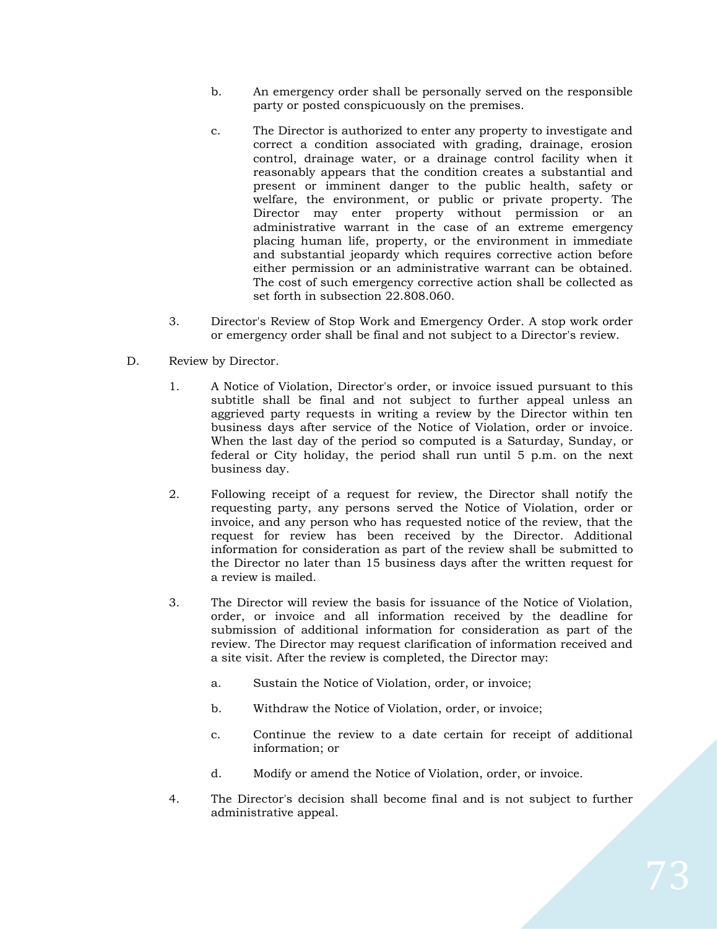- b. An emergency order shall be personally served on the responsible party or posted conspicuously on the premises.
- c. The Director is authorized to enter any property to investigate and correct a condition associated with grading, drainage, erosion control, drainage water, or a drainage control facility when it reasonably appears that the condition creates a substantial and present or imminent danger to the public health, safety or welfare, the environment, or public or private property. The Director may enter property without permission or an administrative warrant in the case of an extreme emergency placing human life, property, or the environment in immediate and substantial jeopardy which requires corrective action before either permission or an administrative warrant can be obtained. The cost of such emergency corrective action shall be collected as set forth in subsection 22.808.060.
- 3. Director's Review of Stop Work and Emergency Order. A stop work order or emergency order shall be final and not subject to a Director's review.
- D. Review by Director.
	- 1. A Notice of Violation, Director's order, or invoice issued pursuant to this subtitle shall be final and not subject to further appeal unless an aggrieved party requests in writing a review by the Director within ten business days after service of the Notice of Violation, order or invoice. When the last day of the period so computed is a Saturday, Sunday, or federal or City holiday, the period shall run until 5 p.m. on the next business day.
	- 2. Following receipt of a request for review, the Director shall notify the requesting party, any persons served the Notice of Violation, order or invoice, and any person who has requested notice of the review, that the request for review has been received by the Director. Additional information for consideration as part of the review shall be submitted to the Director no later than 15 business days after the written request for a review is mailed.
	- 3. The Director will review the basis for issuance of the Notice of Violation, order, or invoice and all information received by the deadline for submission of additional information for consideration as part of the review. The Director may request clarification of information received and a site visit. After the review is completed, the Director may:
		- a. Sustain the Notice of Violation, order, or invoice;
		- b. Withdraw the Notice of Violation, order, or invoice;
		- c. Continue the review to a date certain for receipt of additional information; or
		- d. Modify or amend the Notice of Violation, order, or invoice.
	- 4. The Director's decision shall become final and is not subject to further administrative appeal.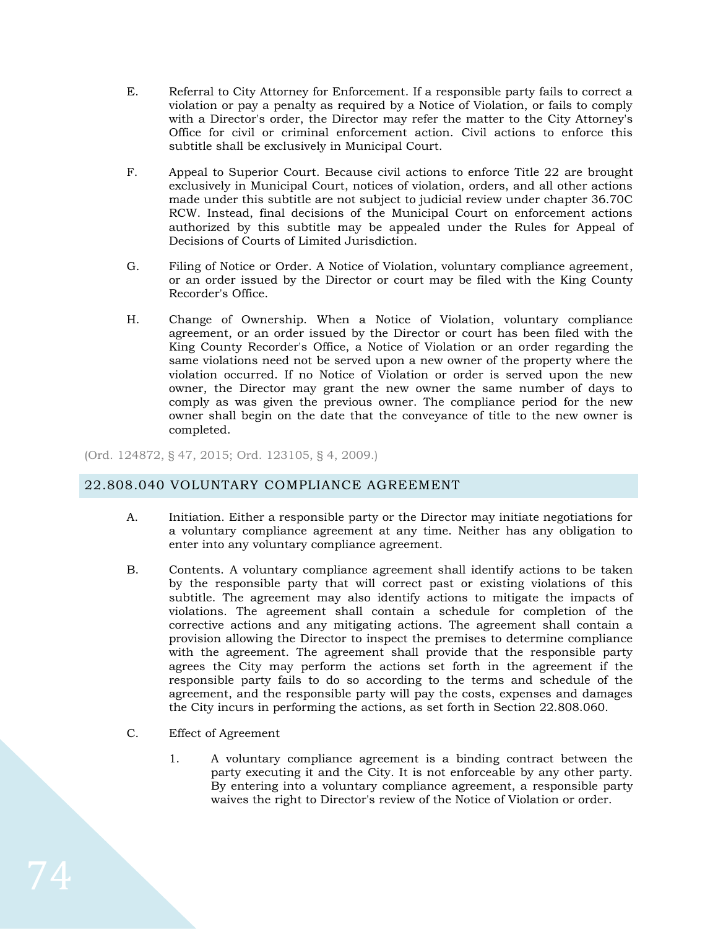- E. Referral to City Attorney for Enforcement. If a responsible party fails to correct a violation or pay a penalty as required by a Notice of Violation, or fails to comply with a Director's order, the Director may refer the matter to the City Attorney's Office for civil or criminal enforcement action. Civil actions to enforce this subtitle shall be exclusively in Municipal Court.
- F. Appeal to Superior Court. Because civil actions to enforce Title 22 are brought exclusively in Municipal Court, notices of violation, orders, and all other actions made under this subtitle are not subject to judicial review under chapter 36.70C RCW. Instead, final decisions of the Municipal Court on enforcement actions authorized by this subtitle may be appealed under the Rules for Appeal of Decisions of Courts of Limited Jurisdiction.
- G. Filing of Notice or Order. A Notice of Violation, voluntary compliance agreement, or an order issued by the Director or court may be filed with the King County Recorder's Office.
- H. Change of Ownership. When a Notice of Violation, voluntary compliance agreement, or an order issued by the Director or court has been filed with the King County Recorder's Office, a Notice of Violation or an order regarding the same violations need not be served upon a new owner of the property where the violation occurred. If no Notice of Violation or order is served upon the new owner, the Director may grant the new owner the same number of days to comply as was given the previous owner. The compliance period for the new owner shall begin on the date that the conveyance of title to the new owner is completed.

(Ord. 124872, § 47, 2015; Ord. 123105, § 4, 2009.)

# 22.808.040 VOLUNTARY COMPLIANCE AGREEMENT

- A. Initiation. Either a responsible party or the Director may initiate negotiations for a voluntary compliance agreement at any time. Neither has any obligation to enter into any voluntary compliance agreement.
- B. Contents. A voluntary compliance agreement shall identify actions to be taken by the responsible party that will correct past or existing violations of this subtitle. The agreement may also identify actions to mitigate the impacts of violations. The agreement shall contain a schedule for completion of the corrective actions and any mitigating actions. The agreement shall contain a provision allowing the Director to inspect the premises to determine compliance with the agreement. The agreement shall provide that the responsible party agrees the City may perform the actions set forth in the agreement if the responsible party fails to do so according to the terms and schedule of the agreement, and the responsible party will pay the costs, expenses and damages the City incurs in performing the actions, as set forth in Section 22.808.060.
- C. Effect of Agreement
	- 1. A voluntary compliance agreement is a binding contract between the party executing it and the City. It is not enforceable by any other party. By entering into a voluntary compliance agreement, a responsible party waives the right to Director's review of the Notice of Violation or order.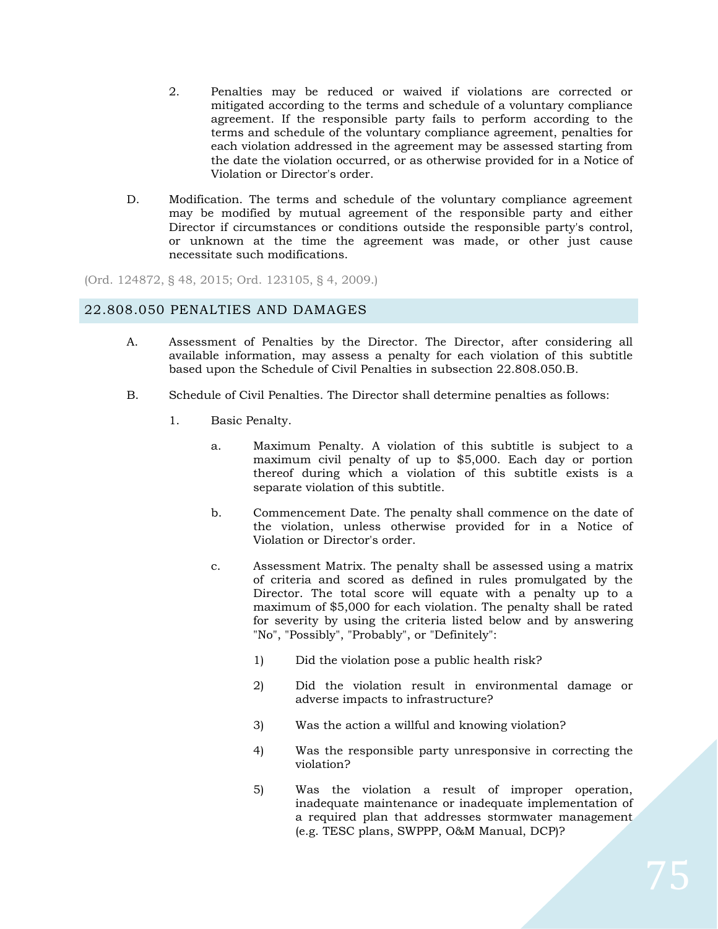- 2. Penalties may be reduced or waived if violations are corrected or mitigated according to the terms and schedule of a voluntary compliance agreement. If the responsible party fails to perform according to the terms and schedule of the voluntary compliance agreement, penalties for each violation addressed in the agreement may be assessed starting from the date the violation occurred, or as otherwise provided for in a Notice of Violation or Director's order.
- D. Modification. The terms and schedule of the voluntary compliance agreement may be modified by mutual agreement of the responsible party and either Director if circumstances or conditions outside the responsible party's control, or unknown at the time the agreement was made, or other just cause necessitate such modifications.

(Ord. 124872, § 48, 2015; Ord. 123105, § 4, 2009.)

## 22.808.050 PENALTIES AND DAMAGES

- A. Assessment of Penalties by the Director. The Director, after considering all available information, may assess a penalty for each violation of this subtitle based upon the Schedule of Civil Penalties in subsection 22.808.050.B.
- B. Schedule of Civil Penalties. The Director shall determine penalties as follows:
	- 1. Basic Penalty.
		- a. Maximum Penalty. A violation of this subtitle is subject to a maximum civil penalty of up to \$5,000. Each day or portion thereof during which a violation of this subtitle exists is a separate violation of this subtitle.
		- b. Commencement Date. The penalty shall commence on the date of the violation, unless otherwise provided for in a Notice of Violation or Director's order.
		- c. Assessment Matrix. The penalty shall be assessed using a matrix of criteria and scored as defined in rules promulgated by the Director. The total score will equate with a penalty up to a maximum of \$5,000 for each violation. The penalty shall be rated for severity by using the criteria listed below and by answering "No", "Possibly", "Probably", or "Definitely":
			- 1) Did the violation pose a public health risk?
			- 2) Did the violation result in environmental damage or adverse impacts to infrastructure?
			- 3) Was the action a willful and knowing violation?
			- 4) Was the responsible party unresponsive in correcting the violation?
			- 5) Was the violation a result of improper operation, inadequate maintenance or inadequate implementation of a required plan that addresses stormwater management (e.g. TESC plans, SWPPP, O&M Manual, DCP)?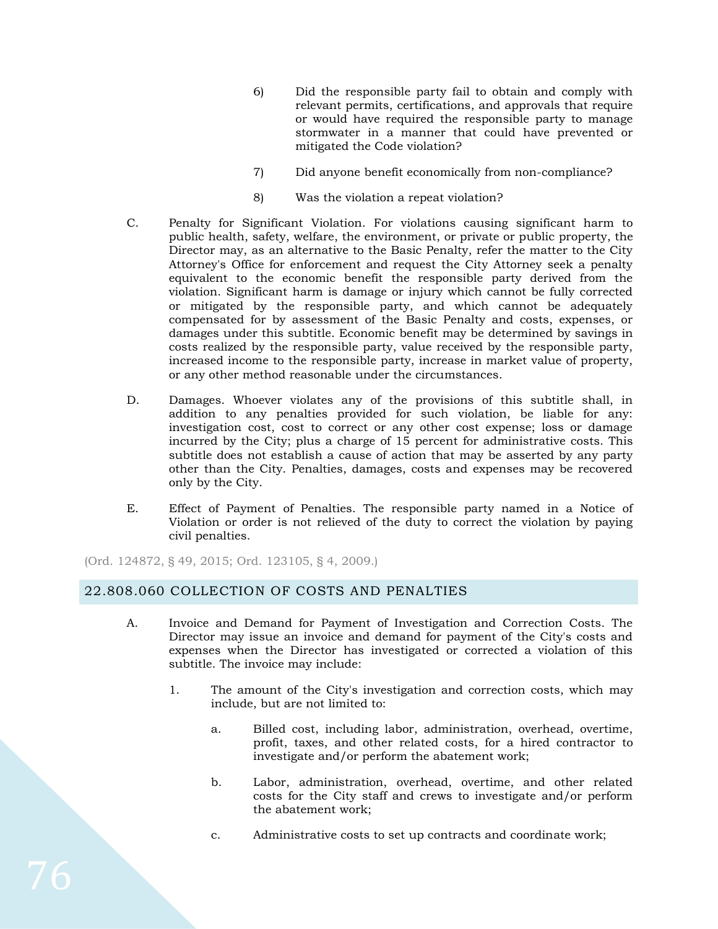- 6) Did the responsible party fail to obtain and comply with relevant permits, certifications, and approvals that require or would have required the responsible party to manage stormwater in a manner that could have prevented or mitigated the Code violation?
- 7) Did anyone benefit economically from non-compliance?
- 8) Was the violation a repeat violation?
- C. Penalty for Significant Violation. For violations causing significant harm to public health, safety, welfare, the environment, or private or public property, the Director may, as an alternative to the Basic Penalty, refer the matter to the City Attorney's Office for enforcement and request the City Attorney seek a penalty equivalent to the economic benefit the responsible party derived from the violation. Significant harm is damage or injury which cannot be fully corrected or mitigated by the responsible party, and which cannot be adequately compensated for by assessment of the Basic Penalty and costs, expenses, or damages under this subtitle. Economic benefit may be determined by savings in costs realized by the responsible party, value received by the responsible party, increased income to the responsible party, increase in market value of property, or any other method reasonable under the circumstances.
- D. Damages. Whoever violates any of the provisions of this subtitle shall, in addition to any penalties provided for such violation, be liable for any: investigation cost, cost to correct or any other cost expense; loss or damage incurred by the City; plus a charge of 15 percent for administrative costs. This subtitle does not establish a cause of action that may be asserted by any party other than the City. Penalties, damages, costs and expenses may be recovered only by the City.
- E. Effect of Payment of Penalties. The responsible party named in a Notice of Violation or order is not relieved of the duty to correct the violation by paying civil penalties.

(Ord. 124872, § 49, 2015; Ord. 123105, § 4, 2009.)

# 22.808.060 COLLECTION OF COSTS AND PENALTIES

- A. Invoice and Demand for Payment of Investigation and Correction Costs. The Director may issue an invoice and demand for payment of the City's costs and expenses when the Director has investigated or corrected a violation of this subtitle. The invoice may include:
	- 1. The amount of the City's investigation and correction costs, which may include, but are not limited to:
		- a. Billed cost, including labor, administration, overhead, overtime, profit, taxes, and other related costs, for a hired contractor to investigate and/or perform the abatement work;
		- b. Labor, administration, overhead, overtime, and other related costs for the City staff and crews to investigate and/or perform the abatement work;
		- c. Administrative costs to set up contracts and coordinate work;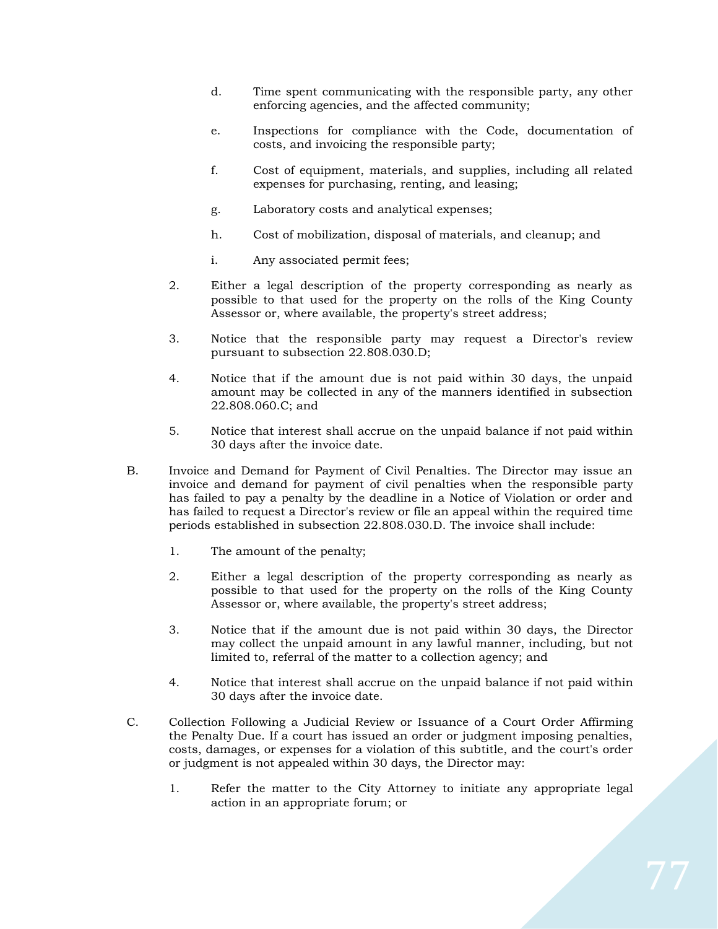- d. Time spent communicating with the responsible party, any other enforcing agencies, and the affected community;
- e. Inspections for compliance with the Code, documentation of costs, and invoicing the responsible party;
- f. Cost of equipment, materials, and supplies, including all related expenses for purchasing, renting, and leasing;
- g. Laboratory costs and analytical expenses;
- h. Cost of mobilization, disposal of materials, and cleanup; and
- i. Any associated permit fees;
- 2. Either a legal description of the property corresponding as nearly as possible to that used for the property on the rolls of the King County Assessor or, where available, the property's street address;
- 3. Notice that the responsible party may request a Director's review pursuant to subsection 22.808.030.D;
- 4. Notice that if the amount due is not paid within 30 days, the unpaid amount may be collected in any of the manners identified in subsection 22.808.060.C; and
- 5. Notice that interest shall accrue on the unpaid balance if not paid within 30 days after the invoice date.
- B. Invoice and Demand for Payment of Civil Penalties. The Director may issue an invoice and demand for payment of civil penalties when the responsible party has failed to pay a penalty by the deadline in a Notice of Violation or order and has failed to request a Director's review or file an appeal within the required time periods established in subsection 22.808.030.D. The invoice shall include:
	- 1. The amount of the penalty;
	- 2. Either a legal description of the property corresponding as nearly as possible to that used for the property on the rolls of the King County Assessor or, where available, the property's street address;
	- 3. Notice that if the amount due is not paid within 30 days, the Director may collect the unpaid amount in any lawful manner, including, but not limited to, referral of the matter to a collection agency; and
	- 4. Notice that interest shall accrue on the unpaid balance if not paid within 30 days after the invoice date.
- C. Collection Following a Judicial Review or Issuance of a Court Order Affirming the Penalty Due. If a court has issued an order or judgment imposing penalties, costs, damages, or expenses for a violation of this subtitle, and the court's order or judgment is not appealed within 30 days, the Director may:
	- 1. Refer the matter to the City Attorney to initiate any appropriate legal action in an appropriate forum; or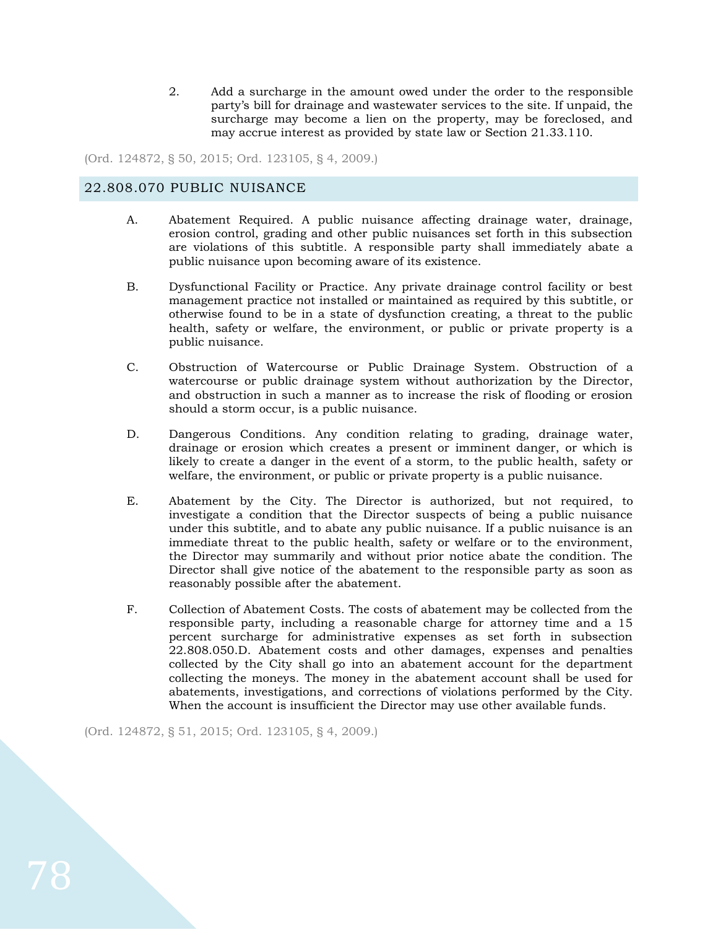2. Add a surcharge in the amount owed under the order to the responsible party's bill for drainage and wastewater services to the site. If unpaid, the surcharge may become a lien on the property, may be foreclosed, and may accrue interest as provided by state law or Section 21.33.110.

(Ord. 124872, § 50, 2015; Ord. 123105, § 4, 2009.)

### 22.808.070 PUBLIC NUISANCE

- A. Abatement Required. A public nuisance affecting drainage water, drainage, erosion control, grading and other public nuisances set forth in this subsection are violations of this subtitle. A responsible party shall immediately abate a public nuisance upon becoming aware of its existence.
- B. Dysfunctional Facility or Practice. Any private drainage control facility or best management practice not installed or maintained as required by this subtitle, or otherwise found to be in a state of dysfunction creating, a threat to the public health, safety or welfare, the environment, or public or private property is a public nuisance.
- C. Obstruction of Watercourse or Public Drainage System. Obstruction of a watercourse or public drainage system without authorization by the Director, and obstruction in such a manner as to increase the risk of flooding or erosion should a storm occur, is a public nuisance.
- D. Dangerous Conditions. Any condition relating to grading, drainage water, drainage or erosion which creates a present or imminent danger, or which is likely to create a danger in the event of a storm, to the public health, safety or welfare, the environment, or public or private property is a public nuisance.
- E. Abatement by the City. The Director is authorized, but not required, to investigate a condition that the Director suspects of being a public nuisance under this subtitle, and to abate any public nuisance. If a public nuisance is an immediate threat to the public health, safety or welfare or to the environment, the Director may summarily and without prior notice abate the condition. The Director shall give notice of the abatement to the responsible party as soon as reasonably possible after the abatement.
- F. Collection of Abatement Costs. The costs of abatement may be collected from the responsible party, including a reasonable charge for attorney time and a 15 percent surcharge for administrative expenses as set forth in subsection 22.808.050.D. Abatement costs and other damages, expenses and penalties collected by the City shall go into an abatement account for the department collecting the moneys. The money in the abatement account shall be used for abatements, investigations, and corrections of violations performed by the City. When the account is insufficient the Director may use other available funds.

(Ord. 124872, § 51, 2015; Ord. 123105, § 4, 2009.)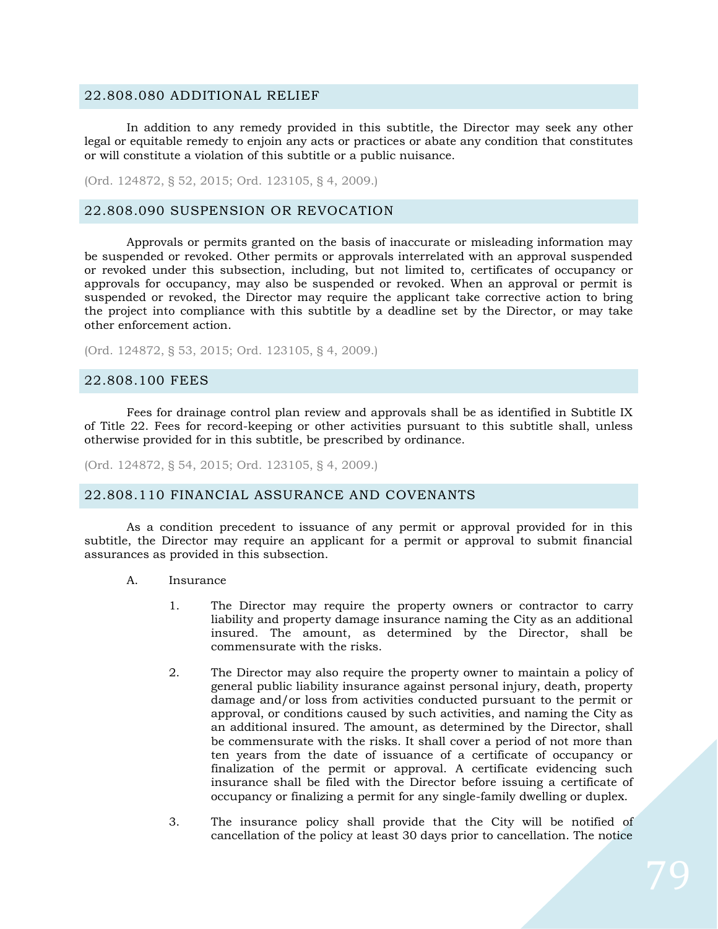### 22.808.080 ADDITIONAL RELIEF

In addition to any remedy provided in this subtitle, the Director may seek any other legal or equitable remedy to enjoin any acts or practices or abate any condition that constitutes or will constitute a violation of this subtitle or a public nuisance.

(Ord. 124872, § 52, 2015; Ord. 123105, § 4, 2009.)

## 22.808.090 SUSPENSION OR REVOCATION

Approvals or permits granted on the basis of inaccurate or misleading information may be suspended or revoked. Other permits or approvals interrelated with an approval suspended or revoked under this subsection, including, but not limited to, certificates of occupancy or approvals for occupancy, may also be suspended or revoked. When an approval or permit is suspended or revoked, the Director may require the applicant take corrective action to bring the project into compliance with this subtitle by a deadline set by the Director, or may take other enforcement action.

(Ord. 124872, § 53, 2015; Ord. 123105, § 4, 2009.)

#### 22.808.100 FEES

Fees for drainage control plan review and approvals shall be as identified in Subtitle IX of Title 22. Fees for record-keeping or other activities pursuant to this subtitle shall, unless otherwise provided for in this subtitle, be prescribed by ordinance.

(Ord. 124872, § 54, 2015; Ord. 123105, § 4, 2009.)

#### 22.808.110 FINANCIAL ASSURANCE AND COVENANTS

As a condition precedent to issuance of any permit or approval provided for in this subtitle, the Director may require an applicant for a permit or approval to submit financial assurances as provided in this subsection.

- A. Insurance
	- 1. The Director may require the property owners or contractor to carry liability and property damage insurance naming the City as an additional insured. The amount, as determined by the Director, shall be commensurate with the risks.
	- 2. The Director may also require the property owner to maintain a policy of general public liability insurance against personal injury, death, property damage and/or loss from activities conducted pursuant to the permit or approval, or conditions caused by such activities, and naming the City as an additional insured. The amount, as determined by the Director, shall be commensurate with the risks. It shall cover a period of not more than ten years from the date of issuance of a certificate of occupancy or finalization of the permit or approval. A certificate evidencing such insurance shall be filed with the Director before issuing a certificate of occupancy or finalizing a permit for any single-family dwelling or duplex.
	- 3. The insurance policy shall provide that the City will be notified of cancellation of the policy at least 30 days prior to cancellation. The notice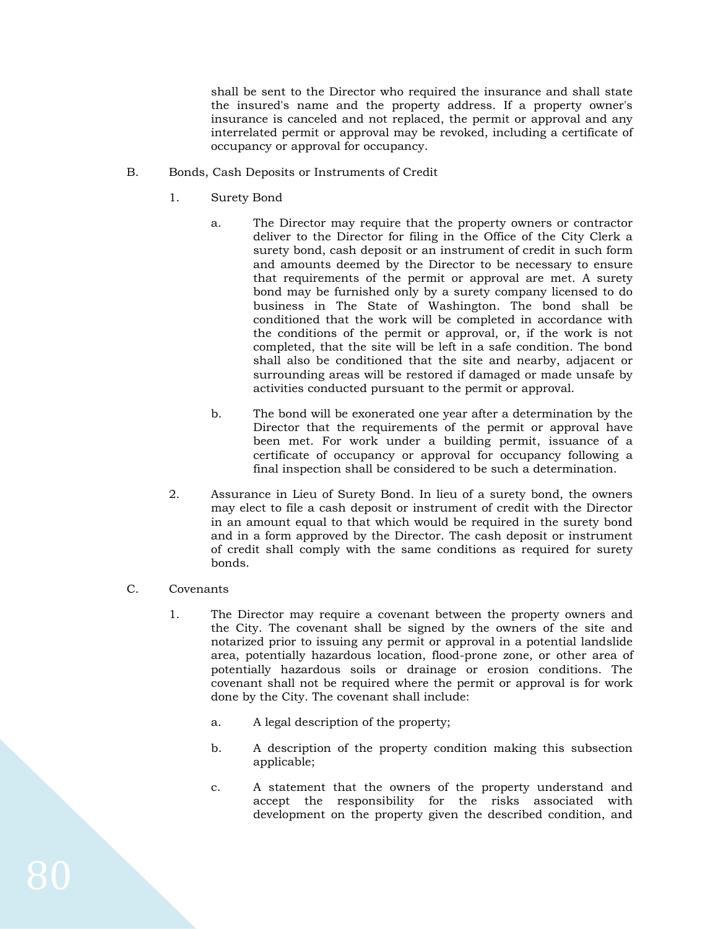shall be sent to the Director who required the insurance and shall state the insured's name and the property address. If a property owner's insurance is canceled and not replaced, the permit or approval and any interrelated permit or approval may be revoked, including a certificate of occupancy or approval for occupancy.

- B. Bonds, Cash Deposits or Instruments of Credit
	- 1. Surety Bond
		- a. The Director may require that the property owners or contractor deliver to the Director for filing in the Office of the City Clerk a surety bond, cash deposit or an instrument of credit in such form and amounts deemed by the Director to be necessary to ensure that requirements of the permit or approval are met. A surety bond may be furnished only by a surety company licensed to do business in The State of Washington. The bond shall be conditioned that the work will be completed in accordance with the conditions of the permit or approval, or, if the work is not completed, that the site will be left in a safe condition. The bond shall also be conditioned that the site and nearby, adjacent or surrounding areas will be restored if damaged or made unsafe by activities conducted pursuant to the permit or approval.
		- b. The bond will be exonerated one year after a determination by the Director that the requirements of the permit or approval have been met. For work under a building permit, issuance of a certificate of occupancy or approval for occupancy following a final inspection shall be considered to be such a determination.
	- 2. Assurance in Lieu of Surety Bond. In lieu of a surety bond, the owners may elect to file a cash deposit or instrument of credit with the Director in an amount equal to that which would be required in the surety bond and in a form approved by the Director. The cash deposit or instrument of credit shall comply with the same conditions as required for surety bonds.

#### C. Covenants

- 1. The Director may require a covenant between the property owners and the City. The covenant shall be signed by the owners of the site and notarized prior to issuing any permit or approval in a potential landslide area, potentially hazardous location, flood-prone zone, or other area of potentially hazardous soils or drainage or erosion conditions. The covenant shall not be required where the permit or approval is for work done by the City. The covenant shall include:
	- a. A legal description of the property;
	- b. A description of the property condition making this subsection applicable;
	- c. A statement that the owners of the property understand and accept the responsibility for the risks associated with development on the property given the described condition, and